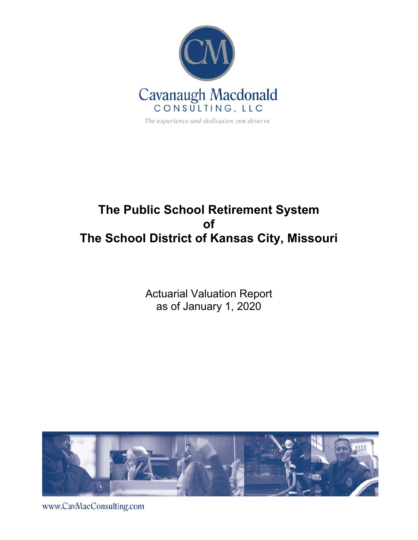

# **The Public School Retirement System of The School District of Kansas City, Missouri**

Actuarial Valuation Report as of January 1, 2020



www.CavMacConsulting.com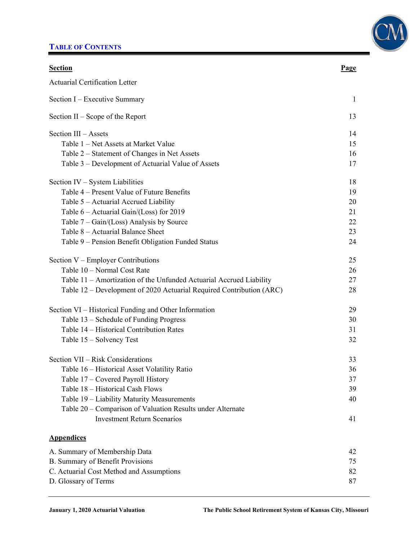## **TABLE OF CONTENTS**



| <b>Section</b>                                                       | <u>Page</u> |
|----------------------------------------------------------------------|-------------|
| <b>Actuarial Certification Letter</b>                                |             |
| Section I – Executive Summary                                        | -1          |
| Section II – Scope of the Report                                     | 13          |
| Section III - Assets                                                 | 14          |
| Table 1 – Net Assets at Market Value                                 | 15          |
| Table 2 – Statement of Changes in Net Assets                         | 16          |
| Table 3 – Development of Actuarial Value of Assets                   | 17          |
| Section IV – System Liabilities                                      | 18          |
| Table 4 – Present Value of Future Benefits                           | 19          |
| Table 5 – Actuarial Accrued Liability                                | 20          |
| Table 6 – Actuarial Gain/(Loss) for 2019                             | 21          |
| Table $7 - Gain/(Loss)$ Analysis by Source                           | 22          |
| Table 8 - Actuarial Balance Sheet                                    | 23          |
| Table 9 – Pension Benefit Obligation Funded Status                   | 24          |
| Section V – Employer Contributions                                   | 25          |
| Table 10 - Normal Cost Rate                                          | 26          |
| Table 11 – Amortization of the Unfunded Actuarial Accrued Liability  | 27          |
| Table 12 – Development of 2020 Actuarial Required Contribution (ARC) | 28          |
| Section VI – Historical Funding and Other Information                | 29          |
| Table 13 – Schedule of Funding Progress                              | 30          |
| Table 14 - Historical Contribution Rates                             | 31          |
| Table 15 – Solvency Test                                             | 32          |
| Section VII – Risk Considerations                                    | 33          |
| Table 16 – Historical Asset Volatility Ratio                         | 36          |
| Table 17 - Covered Payroll History                                   | 37          |
| Table 18 - Historical Cash Flows                                     | 39          |
| Table 19 - Liability Maturity Measurements                           | 40          |
| Table 20 – Comparison of Valuation Results under Alternate           |             |
| <b>Investment Return Scenarios</b>                                   | 41          |
| <b>Appendices</b>                                                    |             |
| A. Summary of Membership Data                                        | 42          |
| B. Summary of Benefit Provisions                                     | 75          |
| C. Actuarial Cost Method and Assumptions                             | 82          |
| D. Glossary of Terms                                                 | 87          |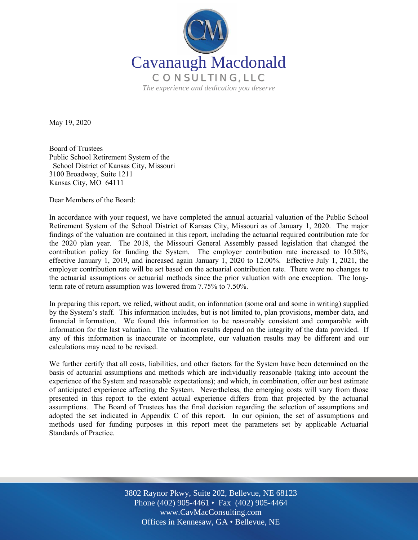

May 19, 2020

Board of Trustees Public School Retirement System of the School District of Kansas City, Missouri 3100 Broadway, Suite 1211 Kansas City, MO 64111

Dear Members of the Board:

In accordance with your request, we have completed the annual actuarial valuation of the Public School Retirement System of the School District of Kansas City, Missouri as of January 1, 2020. The major findings of the valuation are contained in this report, including the actuarial required contribution rate for the 2020 plan year. The 2018, the Missouri General Assembly passed legislation that changed the contribution policy for funding the System. The employer contribution rate increased to 10.50%, effective January 1, 2019, and increased again January 1, 2020 to 12.00%. Effective July 1, 2021, the employer contribution rate will be set based on the actuarial contribution rate. There were no changes to the actuarial assumptions or actuarial methods since the prior valuation with one exception. The longterm rate of return assumption was lowered from 7.75% to 7.50%.

In preparing this report, we relied, without audit, on information (some oral and some in writing) supplied by the System's staff. This information includes, but is not limited to, plan provisions, member data, and financial information. We found this information to be reasonably consistent and comparable with information for the last valuation. The valuation results depend on the integrity of the data provided. If any of this information is inaccurate or incomplete, our valuation results may be different and our calculations may need to be revised.

We further certify that all costs, liabilities, and other factors for the System have been determined on the basis of actuarial assumptions and methods which are individually reasonable (taking into account the experience of the System and reasonable expectations); and which, in combination, offer our best estimate of anticipated experience affecting the System. Nevertheless, the emerging costs will vary from those presented in this report to the extent actual experience differs from that projected by the actuarial assumptions. The Board of Trustees has the final decision regarding the selection of assumptions and adopted the set indicated in Appendix C of this report. In our opinion, the set of assumptions and methods used for funding purposes in this report meet the parameters set by applicable Actuarial Standards of Practice.

> Off Offices in Kennesaw, GA • Bellevue, NE 3802 Raynor Pkwy, Suite 202, Bellevue, NE 68123 Phone (402) 905-4461 • Fax (402) 905-4464 www.CavMacConsulting.com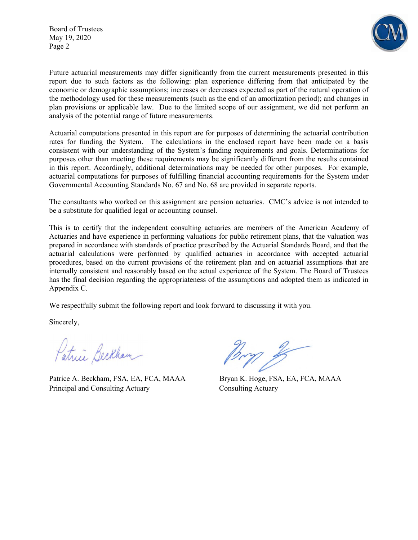Board of Trustees May 19, 2020 Page 2



Future actuarial measurements may differ significantly from the current measurements presented in this report due to such factors as the following: plan experience differing from that anticipated by the economic or demographic assumptions; increases or decreases expected as part of the natural operation of the methodology used for these measurements (such as the end of an amortization period); and changes in plan provisions or applicable law. Due to the limited scope of our assignment, we did not perform an analysis of the potential range of future measurements.

Actuarial computations presented in this report are for purposes of determining the actuarial contribution rates for funding the System. The calculations in the enclosed report have been made on a basis consistent with our understanding of the System's funding requirements and goals. Determinations for purposes other than meeting these requirements may be significantly different from the results contained in this report. Accordingly, additional determinations may be needed for other purposes. For example, actuarial computations for purposes of fulfilling financial accounting requirements for the System under Governmental Accounting Standards No. 67 and No. 68 are provided in separate reports.

The consultants who worked on this assignment are pension actuaries. CMC's advice is not intended to be a substitute for qualified legal or accounting counsel.

This is to certify that the independent consulting actuaries are members of the American Academy of Actuaries and have experience in performing valuations for public retirement plans, that the valuation was prepared in accordance with standards of practice prescribed by the Actuarial Standards Board, and that the actuarial calculations were performed by qualified actuaries in accordance with accepted actuarial procedures, based on the current provisions of the retirement plan and on actuarial assumptions that are internally consistent and reasonably based on the actual experience of the System. The Board of Trustees has the final decision regarding the appropriateness of the assumptions and adopted them as indicated in Appendix C.

We respectfully submit the following report and look forward to discussing it with you.

Sincerely,

Patrici Beckham

Patrice A. Beckham, FSA, EA, FCA, MAAA Bryan K. Hoge, FSA, EA, FCA, MAAA Principal and Consulting Actuary Consulting Actuary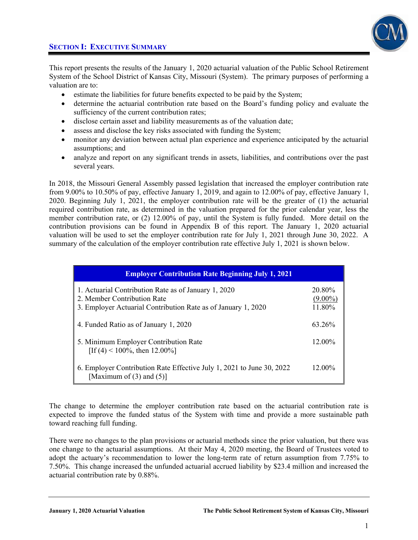

This report presents the results of the January 1, 2020 actuarial valuation of the Public School Retirement System of the School District of Kansas City, Missouri (System). The primary purposes of performing a valuation are to:

- estimate the liabilities for future benefits expected to be paid by the System;
- determine the actuarial contribution rate based on the Board's funding policy and evaluate the sufficiency of the current contribution rates;
- disclose certain asset and liability measurements as of the valuation date;
- assess and disclose the key risks associated with funding the System;
- monitor any deviation between actual plan experience and experience anticipated by the actuarial assumptions; and
- analyze and report on any significant trends in assets, liabilities, and contributions over the past several years.

In 2018, the Missouri General Assembly passed legislation that increased the employer contribution rate from 9.00% to 10.50% of pay, effective January 1, 2019, and again to 12.00% of pay, effective January 1, 2020. Beginning July 1, 2021, the employer contribution rate will be the greater of (1) the actuarial required contribution rate, as determined in the valuation prepared for the prior calendar year, less the member contribution rate, or (2) 12.00% of pay, until the System is fully funded. More detail on the contribution provisions can be found in Appendix B of this report. The January 1, 2020 actuarial valuation will be used to set the employer contribution rate for July 1, 2021 through June 30, 2022. A summary of the calculation of the employer contribution rate effective July 1, 2021 is shown below.

| <b>Employer Contribution Rate Beginning July 1, 2021</b>                                                                                             |                                |
|------------------------------------------------------------------------------------------------------------------------------------------------------|--------------------------------|
| 1. Actuarial Contribution Rate as of January 1, 2020<br>2. Member Contribution Rate<br>3. Employer Actuarial Contribution Rate as of January 1, 2020 | 20.80%<br>$(9.00\%)$<br>11.80% |
| 4. Funded Ratio as of January 1, 2020                                                                                                                | 63 26%                         |
| 5. Minimum Employer Contribution Rate<br>[If (4) < 100%, then 12.00%]                                                                                | $12.00\%$                      |
| 6. Employer Contribution Rate Effective July 1, 2021 to June 30, 2022<br>[Maximum of $(3)$ and $(5)$ ]                                               | $12.00\%$                      |

The change to determine the employer contribution rate based on the actuarial contribution rate is expected to improve the funded status of the System with time and provide a more sustainable path toward reaching full funding.

There were no changes to the plan provisions or actuarial methods since the prior valuation, but there was one change to the actuarial assumptions. At their May 4, 2020 meeting, the Board of Trustees voted to adopt the actuary's recommendation to lower the long-term rate of return assumption from 7.75% to 7.50%. This change increased the unfunded actuarial accrued liability by \$23.4 million and increased the actuarial contribution rate by 0.88%.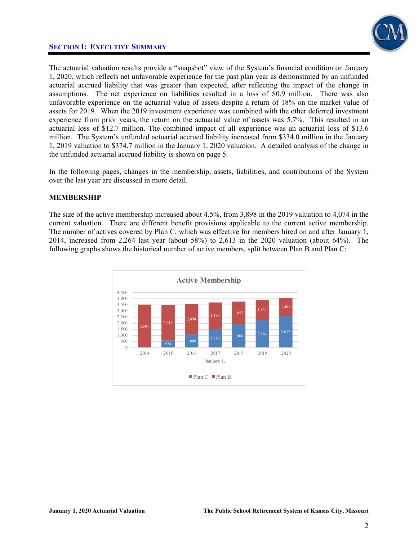

The actuarial valuation results provide a "snapshot" view of the System's financial condition on January 1, 2020, which reflects net unfavorable experience for the past plan year as demonstrated by an unfunded actuarial accrued liability that was greater than expected, after reflecting the impact of the change in assumptions. The net experience on liabilities resulted in a loss of \$0.9 million. There was also unfavorable experience on the actuarial value of assets despite a return of 18% on the market value of assets for 2019. When the 2019 investment experience was combined with the other deferred investment experience from prior years, the return on the actuarial value of assets was 5.7%. This resulted in an actuarial loss of \$12.7 million. The combined impact of all experience was an actuarial loss of \$13.6 million. The System's unfunded actuarial accrued liability increased from \$334.0 million in the January 1, 2019 valuation to \$374.7 million in the January 1, 2020 valuation. A detailed analysis of the change in the unfunded actuarial accrued liability is shown on page 5.

In the following pages, changes in the membership, assets, liabilities, and contributions of the System over the last year are discussed in more detail.

### **MEMBERSHIP**

The size of the active membership increased about 4.5%, from 3,898 in the 2019 valuation to 4,074 in the current valuation. There are different benefit provisions applicable to the current active membership. The number of actives covered by Plan C, which was effective for members hired on and after January 1, 2014, increased from 2,264 last year (about 58%) to 2,613 in the 2020 valuation (about 64%). The following graphs shows the historical number of active members, split between Plan B and Plan C:

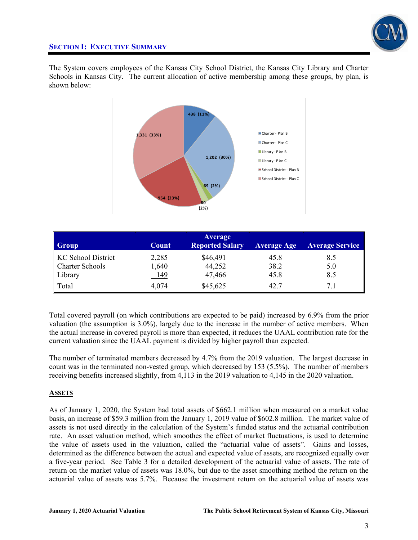

The System covers employees of the Kansas City School District, the Kansas City Library and Charter Schools in Kansas City. The current allocation of active membership among these groups, by plan, is shown below:



| Group                  | Count       | Average<br><b>Reported Salary</b> | <b>Average Age</b> | <b>Average Service</b> |
|------------------------|-------------|-----------------------------------|--------------------|------------------------|
| KC School District     | 2,285       | \$46,491                          | 45.8               | 8.5                    |
| <b>Charter Schools</b> | 1,640       | 44,252                            | 38.2               | 5.0                    |
| Library                | <u> 149</u> | 47,466                            | 45.8               | 8.5                    |
| Total                  | 4,074       | \$45,625                          | 42.7               | 7.1                    |

Total covered payroll (on which contributions are expected to be paid) increased by 6.9% from the prior valuation (the assumption is 3.0%), largely due to the increase in the number of active members. When the actual increase in covered payroll is more than expected, it reduces the UAAL contribution rate for the current valuation since the UAAL payment is divided by higher payroll than expected.

The number of terminated members decreased by 4.7% from the 2019 valuation. The largest decrease in count was in the terminated non-vested group, which decreased by 153 (5.5%). The number of members receiving benefits increased slightly, from 4,113 in the 2019 valuation to 4,145 in the 2020 valuation.

### **ASSETS**

As of January 1, 2020, the System had total assets of \$662.1 million when measured on a market value basis, an increase of \$59.3 million from the January 1, 2019 value of \$602.8 million. The market value of assets is not used directly in the calculation of the System's funded status and the actuarial contribution rate. An asset valuation method, which smoothes the effect of market fluctuations, is used to determine the value of assets used in the valuation, called the "actuarial value of assets". Gains and losses, determined as the difference between the actual and expected value of assets, are recognized equally over a five-year period. See Table 3 for a detailed development of the actuarial value of assets. The rate of return on the market value of assets was 18.0%, but due to the asset smoothing method the return on the actuarial value of assets was 5.7%. Because the investment return on the actuarial value of assets was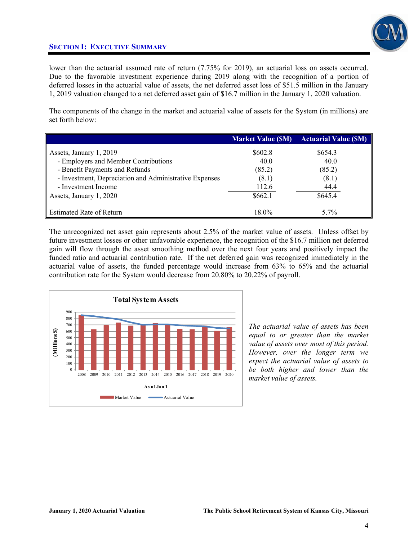

lower than the actuarial assumed rate of return (7.75% for 2019), an actuarial loss on assets occurred. Due to the favorable investment experience during 2019 along with the recognition of a portion of deferred losses in the actuarial value of assets, the net deferred asset loss of \$51.5 million in the January 1, 2019 valuation changed to a net deferred asset gain of \$16.7 million in the January 1, 2020 valuation.

The components of the change in the market and actuarial value of assets for the System (in millions) are set forth below:

|                                                        | <b>Market Value (\$M)</b> | <b>Actuarial Value (SM)</b> |
|--------------------------------------------------------|---------------------------|-----------------------------|
| Assets, January 1, 2019                                | \$602.8                   | \$654.3                     |
| - Employers and Member Contributions                   | 40.0                      | 40.0                        |
| - Benefit Payments and Refunds                         | (85.2)                    | (85.2)                      |
| - Investment, Depreciation and Administrative Expenses | (8.1)                     | (8.1)                       |
| - Investment Income                                    | 112.6                     | 44.4                        |
| Assets, January 1, 2020                                | \$662.1                   | \$645.4                     |
| <b>Estimated Rate of Return</b>                        | 18.0%                     | 5.7%                        |

The unrecognized net asset gain represents about 2.5% of the market value of assets. Unless offset by future investment losses or other unfavorable experience, the recognition of the \$16.7 million net deferred gain will flow through the asset smoothing method over the next four years and positively impact the funded ratio and actuarial contribution rate. If the net deferred gain was recognized immediately in the actuarial value of assets, the funded percentage would increase from 63% to 65% and the actuarial contribution rate for the System would decrease from 20.80% to 20.22% of payroll.



*The actuarial value of assets has been equal to or greater than the market value of assets over most of this period. However, over the longer term we expect the actuarial value of assets to be both higher and lower than the market value of assets.*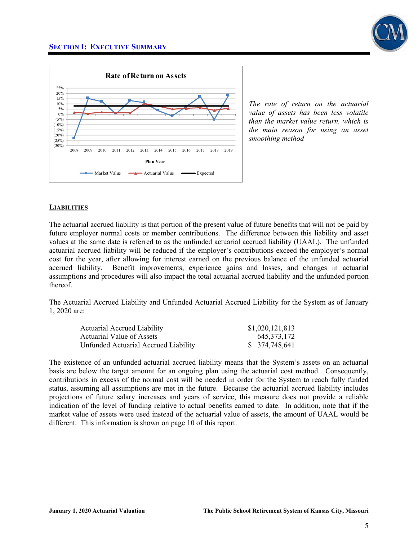

*The rate of return on the actuarial value of assets has been less volatile than the market value return, which is the main reason for using an asset smoothing method*

### **LIABILITIES**

The actuarial accrued liability is that portion of the present value of future benefits that will not be paid by future employer normal costs or member contributions. The difference between this liability and asset values at the same date is referred to as the unfunded actuarial accrued liability (UAAL). The unfunded actuarial accrued liability will be reduced if the employer's contributions exceed the employer's normal cost for the year, after allowing for interest earned on the previous balance of the unfunded actuarial accrued liability. Benefit improvements, experience gains and losses, and changes in actuarial assumptions and procedures will also impact the total actuarial accrued liability and the unfunded portion thereof.

The Actuarial Accrued Liability and Unfunded Actuarial Accrued Liability for the System as of January 1, 2020 are:

| <b>Actuarial Accrued Liability</b>   | \$1,020,121,813 |
|--------------------------------------|-----------------|
| Actuarial Value of Assets            | 645, 373, 172   |
| Unfunded Actuarial Accrued Liability | \$ 374,748,641  |

The existence of an unfunded actuarial accrued liability means that the System's assets on an actuarial basis are below the target amount for an ongoing plan using the actuarial cost method. Consequently, contributions in excess of the normal cost will be needed in order for the System to reach fully funded status, assuming all assumptions are met in the future. Because the actuarial accrued liability includes projections of future salary increases and years of service, this measure does not provide a reliable indication of the level of funding relative to actual benefits earned to date. In addition, note that if the market value of assets were used instead of the actuarial value of assets, the amount of UAAL would be different. This information is shown on page 10 of this report.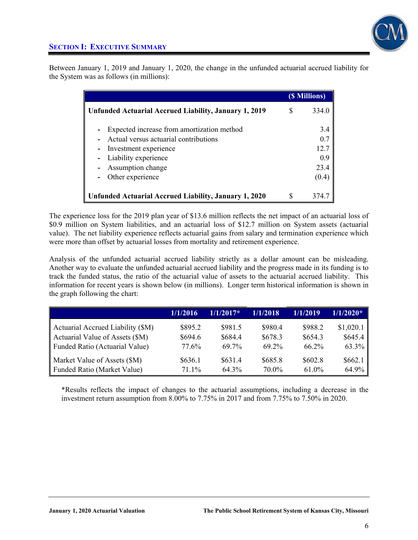

Between January 1, 2019 and January 1, 2020, the change in the unfunded actuarial accrued liability for the System was as follows (in millions):

|                                                                                                                                                                               |  | (\$ Millions)                              |
|-------------------------------------------------------------------------------------------------------------------------------------------------------------------------------|--|--------------------------------------------|
| Unfunded Actuarial Accrued Liability, January 1, 2019                                                                                                                         |  | 334.0                                      |
| Expected increase from amortization method<br>Actual versus actuarial contributions<br>Investment experience<br>Liability experience<br>Assumption change<br>Other experience |  | 3.4<br>0.7<br>12.7<br>0.9<br>23.4<br>(0.4) |
| Unfunded Actuarial Accrued Liability, January 1, 2020                                                                                                                         |  | 374.                                       |

The experience loss for the 2019 plan year of \$13.6 million reflects the net impact of an actuarial loss of \$0.9 million on System liabilities, and an actuarial loss of \$12.7 million on System assets (actuarial value). The net liability experience reflects actuarial gains from salary and termination experience which were more than offset by actuarial losses from mortality and retirement experience.

Analysis of the unfunded actuarial accrued liability strictly as a dollar amount can be misleading. Another way to evaluate the unfunded actuarial accrued liability and the progress made in its funding is to track the funded status, the ratio of the actuarial value of assets to the actuarial accrued liability. This information for recent years is shown below (in millions). Longer term historical information is shown in the graph following the chart:

|                                   | 1/1/2016 | $1/1/2017*$ | 1/1/2018 | 1/1/2019 | $1/1/2020*$ |
|-----------------------------------|----------|-------------|----------|----------|-------------|
| Actuarial Accrued Liability (\$M) | \$895.2  | \$981.5     | \$980.4  | \$988.2  | \$1,020.1   |
| Actuarial Value of Assets (\$M)   | \$694.6  | \$684.4     | \$678.3  | \$654.3  | \$645.4     |
| Funded Ratio (Actuarial Value)    | 77.6%    | 69 7%       | 69 2%    | $66.2\%$ | 63.3%       |
| Market Value of Assets (\$M)      | \$636.1  | \$631.4     | \$685.8  | \$602.8  | \$662.1     |
| Funded Ratio (Market Value)       | 71.1%    | $64.3\%$    | 70.0%    | 61.0%    | 64.9%       |

\*Results reflects the impact of changes to the actuarial assumptions, including a decrease in the investment return assumption from 8.00% to 7.75% in 2017 and from 7.75% to 7.50% in 2020.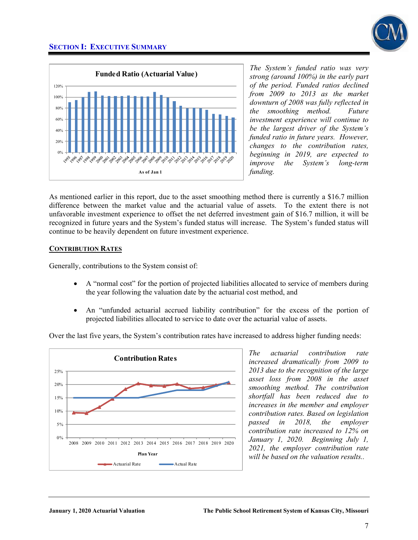

*The System's funded ratio was very strong (around 100%) in the early part of the period. Funded ratios declined from 2009 to 2013 as the market downturn of 2008 was fully reflected in the smoothing method. Future investment experience will continue to be the largest driver of the System's funded ratio in future years. However, changes to the contribution rates, beginning in 2019, are expected to improve the System's long-term funding.* 

As mentioned earlier in this report, due to the asset smoothing method there is currently a \$16.7 million difference between the market value and the actuarial value of assets. To the extent there is not unfavorable investment experience to offset the net deferred investment gain of \$16.7 million, it will be recognized in future years and the System's funded status will increase. The System's funded status will continue to be heavily dependent on future investment experience.

### **CONTRIBUTION RATES**

Generally, contributions to the System consist of:

- A "normal cost" for the portion of projected liabilities allocated to service of members during the year following the valuation date by the actuarial cost method, and
- An "unfunded actuarial accrued liability contribution" for the excess of the portion of projected liabilities allocated to service to date over the actuarial value of assets.

Over the last five years, the System's contribution rates have increased to address higher funding needs:



*The actuarial contribution rate increased dramatically from 2009 to 2013 due to the recognition of the large asset loss from 2008 in the asset smoothing method. The contribution shortfall has been reduced due to increases in the member and employer contribution rates. Based on legislation passed in 2018, the employer contribution rate increased to 12% on January 1, 2020. Beginning July 1, 2021, the employer contribution rate will be based on the valuation results..*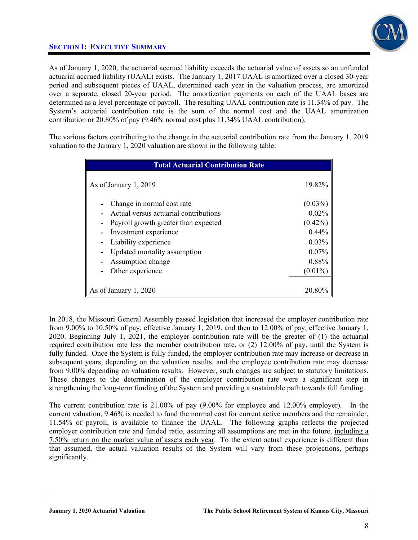

As of January 1, 2020, the actuarial accrued liability exceeds the actuarial value of assets so an unfunded actuarial accrued liability (UAAL) exists. The January 1, 2017 UAAL is amortized over a closed 30-year period and subsequent pieces of UAAL, determined each year in the valuation process, are amortized over a separate, closed 20-year period. The amortization payments on each of the UAAL bases are determined as a level percentage of payroll. The resulting UAAL contribution rate is 11.34% of pay. The System's actuarial contribution rate is the sum of the normal cost and the UAAL amortization contribution or 20.80% of pay (9.46% normal cost plus 11.34% UAAL contribution).

The various factors contributing to the change in the actuarial contribution rate from the January 1, 2019 valuation to the January 1, 2020 valuation are shown in the following table:

| <b>Total Actuarial Contribution Rate</b>                            |                     |
|---------------------------------------------------------------------|---------------------|
| As of January 1, 2019                                               | 19.82%              |
| Change in normal cost rate<br>Actual versus actuarial contributions | $(0.03\%)$<br>0.02% |
| Payroll growth greater than expected                                | $(0.42\%)$          |
| Investment experience<br>Liability experience                       | 0.44%<br>0.03%      |
| Updated mortality assumption<br>Assumption change                   | 0.07%<br>0.88%      |
| Other experience                                                    | $(0.01\%)$          |
| As of January 1, 2020                                               | 20.80%              |

In 2018, the Missouri General Assembly passed legislation that increased the employer contribution rate from 9.00% to 10.50% of pay, effective January 1, 2019, and then to 12.00% of pay, effective January 1, 2020. Beginning July 1, 2021, the employer contribution rate will be the greater of (1) the actuarial required contribution rate less the member contribution rate, or (2) 12.00% of pay, until the System is fully funded. Once the System is fully funded, the employer contribution rate may increase or decrease in subsequent years, depending on the valuation results, and the employee contribution rate may decrease from 9.00% depending on valuation results. However, such changes are subject to statutory limitations. These changes to the determination of the employer contribution rate were a significant step in strengthening the long-term funding of the System and providing a sustainable path towards full funding.

The current contribution rate is 21.00% of pay (9.00% for employee and 12.00% employer). In the current valuation, 9.46% is needed to fund the normal cost for current active members and the remainder, 11.54% of payroll, is available to finance the UAAL. The following graphs reflects the projected employer contribution rate and funded ratio, assuming all assumptions are met in the future, including a 7.50% return on the market value of assets each year. To the extent actual experience is different than that assumed, the actual valuation results of the System will vary from these projections, perhaps significantly.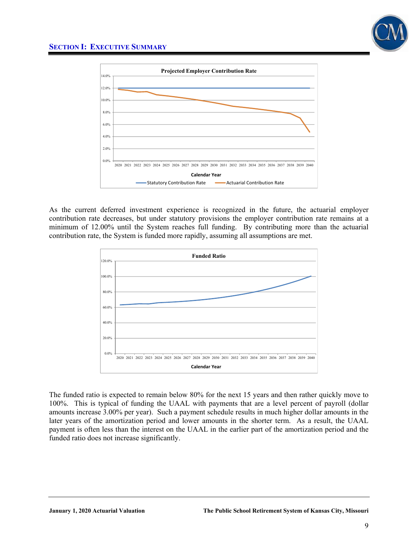



As the current deferred investment experience is recognized in the future, the actuarial employer contribution rate decreases, but under statutory provisions the employer contribution rate remains at a minimum of 12.00% until the System reaches full funding. By contributing more than the actuarial contribution rate, the System is funded more rapidly, assuming all assumptions are met.



The funded ratio is expected to remain below 80% for the next 15 years and then rather quickly move to 100%. This is typical of funding the UAAL with payments that are a level percent of payroll (dollar amounts increase 3.00% per year). Such a payment schedule results in much higher dollar amounts in the later years of the amortization period and lower amounts in the shorter term. As a result, the UAAL payment is often less than the interest on the UAAL in the earlier part of the amortization period and the funded ratio does not increase significantly.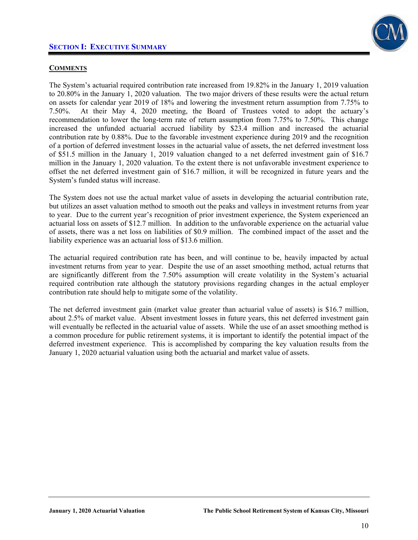

### **COMMENTS**

The System's actuarial required contribution rate increased from 19.82% in the January 1, 2019 valuation to 20.80% in the January 1, 2020 valuation. The two major drivers of these results were the actual return on assets for calendar year 2019 of 18% and lowering the investment return assumption from 7.75% to 7.50%. At their May 4, 2020 meeting, the Board of Trustees voted to adopt the actuary's recommendation to lower the long-term rate of return assumption from 7.75% to 7.50%. This change increased the unfunded actuarial accrued liability by \$23.4 million and increased the actuarial contribution rate by 0.88%. Due to the favorable investment experience during 2019 and the recognition of a portion of deferred investment losses in the actuarial value of assets, the net deferred investment loss of \$51.5 million in the January 1, 2019 valuation changed to a net deferred investment gain of \$16.7 million in the January 1, 2020 valuation. To the extent there is not unfavorable investment experience to offset the net deferred investment gain of \$16.7 million, it will be recognized in future years and the System's funded status will increase.

The System does not use the actual market value of assets in developing the actuarial contribution rate, but utilizes an asset valuation method to smooth out the peaks and valleys in investment returns from year to year. Due to the current year's recognition of prior investment experience, the System experienced an actuarial loss on assets of \$12.7 million. In addition to the unfavorable experience on the actuarial value of assets, there was a net loss on liabilities of \$0.9 million. The combined impact of the asset and the liability experience was an actuarial loss of \$13.6 million.

The actuarial required contribution rate has been, and will continue to be, heavily impacted by actual investment returns from year to year. Despite the use of an asset smoothing method, actual returns that are significantly different from the 7.50% assumption will create volatility in the System's actuarial required contribution rate although the statutory provisions regarding changes in the actual employer contribution rate should help to mitigate some of the volatility.

The net deferred investment gain (market value greater than actuarial value of assets) is \$16.7 million, about 2.5% of market value. Absent investment losses in future years, this net deferred investment gain will eventually be reflected in the actuarial value of assets. While the use of an asset smoothing method is a common procedure for public retirement systems, it is important to identify the potential impact of the deferred investment experience. This is accomplished by comparing the key valuation results from the January 1, 2020 actuarial valuation using both the actuarial and market value of assets.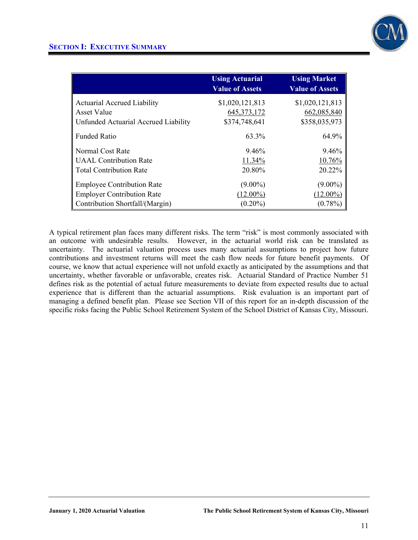

|                                      | <b>Using Actuarial</b><br><b>Value of Assets</b> | <b>Using Market</b><br><b>Value of Assets</b> |
|--------------------------------------|--------------------------------------------------|-----------------------------------------------|
| <b>Actuarial Accrued Liability</b>   | \$1,020,121,813                                  | \$1,020,121,813                               |
| Asset Value                          | 645, 373, 172                                    | 662,085,840                                   |
| Unfunded Actuarial Accrued Liability | \$374,748,641                                    | \$358,035,973                                 |
| <b>Funded Ratio</b>                  | 63.3%                                            | 64.9%                                         |
| Normal Cost Rate                     | 9.46%                                            | 9.46%                                         |
| <b>UAAL</b> Contribution Rate        | 11.34%                                           | 10.76%                                        |
| <b>Total Contribution Rate</b>       | 20.80%                                           | 20.22%                                        |
| <b>Employee Contribution Rate</b>    | $(9.00\%)$                                       | $(9.00\%)$                                    |
| <b>Employer Contribution Rate</b>    | $(12.00\%)$                                      | $(12.00\%)$                                   |
| Contribution Shortfall/(Margin)      | $(0.20\%)$                                       | $(0.78\%)$                                    |

A typical retirement plan faces many different risks. The term "risk" is most commonly associated with an outcome with undesirable results. However, in the actuarial world risk can be translated as uncertainty. The actuarial valuation process uses many actuarial assumptions to project how future contributions and investment returns will meet the cash flow needs for future benefit payments. Of course, we know that actual experience will not unfold exactly as anticipated by the assumptions and that uncertainty, whether favorable or unfavorable, creates risk. Actuarial Standard of Practice Number 51 defines risk as the potential of actual future measurements to deviate from expected results due to actual experience that is different than the actuarial assumptions. Risk evaluation is an important part of managing a defined benefit plan. Please see Section VII of this report for an in-depth discussion of the specific risks facing the Public School Retirement System of the School District of Kansas City, Missouri.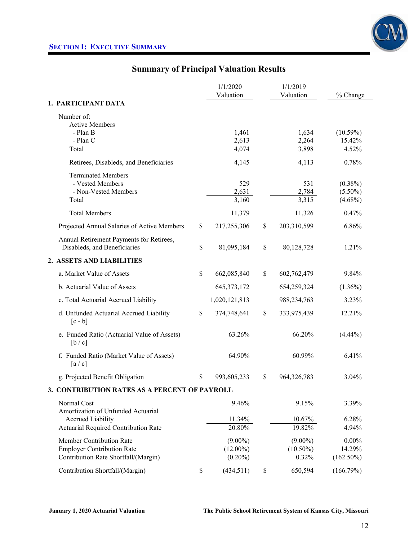

# **Summary of Principal Valuation Results**

|                                                                                                       | 1/1/2020                                | 1/1/2019                           |                                        |
|-------------------------------------------------------------------------------------------------------|-----------------------------------------|------------------------------------|----------------------------------------|
|                                                                                                       | Valuation                               | Valuation                          | % Change                               |
| 1. PARTICIPANT DATA                                                                                   |                                         |                                    |                                        |
| Number of:<br><b>Active Members</b><br>- Plan B<br>- Plan C<br>Total                                  | 1,461<br>2,613<br>4,074                 | 1,634<br>2,264<br>3,898            | $(10.59\%)$<br>15.42%<br>4.52%         |
|                                                                                                       |                                         |                                    |                                        |
| Retirees, Disableds, and Beneficiaries                                                                | 4,145                                   | 4,113                              | 0.78%                                  |
| <b>Terminated Members</b><br>- Vested Members<br>- Non-Vested Members<br>Total                        | 529<br>2,631<br>3,160                   | 531<br>2,784<br>3,315              | $(0.38\%)$<br>$(5.50\%)$<br>$(4.68\%)$ |
| <b>Total Members</b>                                                                                  | 11,379                                  | 11,326                             | 0.47%                                  |
| Projected Annual Salaries of Active Members                                                           | \$<br>217,255,306                       | \$<br>203,310,599                  | 6.86%                                  |
| Annual Retirement Payments for Retirees,<br>Disableds, and Beneficiaries                              | \$<br>81,095,184                        | \$<br>80,128,728                   | 1.21%                                  |
| 2. ASSETS AND LIABILITIES                                                                             |                                         |                                    |                                        |
| a. Market Value of Assets                                                                             | \$<br>662,085,840                       | \$<br>602,762,479                  | 9.84%                                  |
| b. Actuarial Value of Assets                                                                          | 645, 373, 172                           | 654,259,324                        | $(1.36\%)$                             |
| c. Total Actuarial Accrued Liability                                                                  | 1,020,121,813                           | 988,234,763                        | 3.23%                                  |
| d. Unfunded Actuarial Accrued Liability<br>$[c - b]$                                                  | \$<br>374,748,641                       | \$<br>333,975,439                  | 12.21%                                 |
| e. Funded Ratio (Actuarial Value of Assets)<br>[b/c]                                                  | 63.26%                                  | 66.20%                             | $(4.44\%)$                             |
| f. Funded Ratio (Market Value of Assets)<br>[a/c]                                                     | 64.90%                                  | 60.99%                             | 6.41%                                  |
| g. Projected Benefit Obligation                                                                       | \$<br>993,605,233                       | \$<br>964,326,783                  | 3.04%                                  |
| 3. CONTRIBUTION RATES AS A PERCENT OF PAYROLL                                                         |                                         |                                    |                                        |
| Normal Cost<br>Amortization of Unfunded Actuarial                                                     | 9.46%                                   | 9.15%                              | 3.39%                                  |
| <b>Accrued Liability</b><br><b>Actuarial Required Contribution Rate</b>                               | 11.34%<br>20.80%                        | 10.67%<br>19.82%                   | 6.28%<br>4.94%                         |
| Member Contribution Rate<br><b>Employer Contribution Rate</b><br>Contribution Rate Shortfall/(Margin) | $(9.00\%)$<br>$(12.00\%)$<br>$(0.20\%)$ | $(9.00\%)$<br>$(10.50\%)$<br>0.32% | $0.00\%$<br>14.29%<br>$(162.50\%)$     |
| Contribution Shortfall/(Margin)                                                                       | \$<br>(434, 511)                        | \$<br>650,594                      | (166.79%)                              |
|                                                                                                       |                                         |                                    |                                        |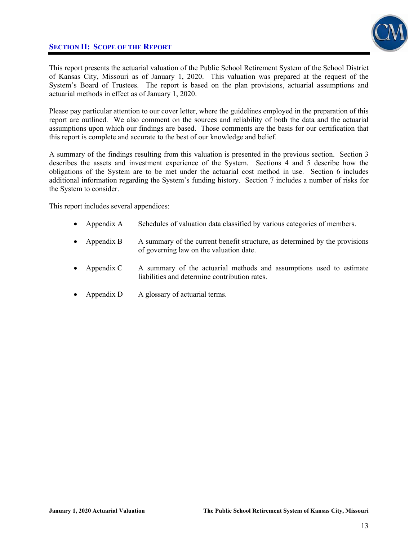## **SECTION II: SCOPE OF THE REPORT**



This report presents the actuarial valuation of the Public School Retirement System of the School District of Kansas City, Missouri as of January 1, 2020. This valuation was prepared at the request of the System's Board of Trustees. The report is based on the plan provisions, actuarial assumptions and actuarial methods in effect as of January 1, 2020.

Please pay particular attention to our cover letter, where the guidelines employed in the preparation of this report are outlined. We also comment on the sources and reliability of both the data and the actuarial assumptions upon which our findings are based. Those comments are the basis for our certification that this report is complete and accurate to the best of our knowledge and belief.

A summary of the findings resulting from this valuation is presented in the previous section. Section 3 describes the assets and investment experience of the System. Sections 4 and 5 describe how the obligations of the System are to be met under the actuarial cost method in use. Section 6 includes additional information regarding the System's funding history. Section 7 includes a number of risks for the System to consider.

This report includes several appendices:

- Appendix A Schedules of valuation data classified by various categories of members.
- Appendix B A summary of the current benefit structure, as determined by the provisions of governing law on the valuation date.
- Appendix C A summary of the actuarial methods and assumptions used to estimate liabilities and determine contribution rates.
- Appendix D A glossary of actuarial terms.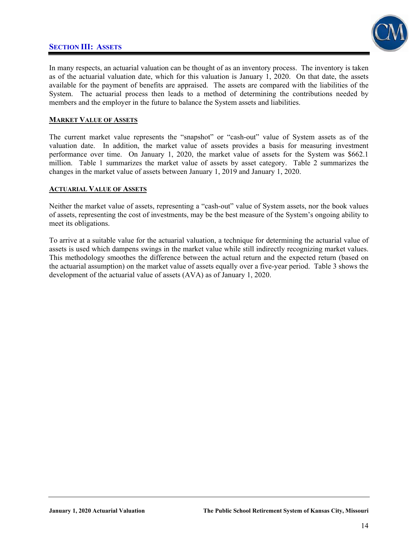### **SECTION III: ASSETS**



In many respects, an actuarial valuation can be thought of as an inventory process. The inventory is taken as of the actuarial valuation date, which for this valuation is January 1, 2020. On that date, the assets available for the payment of benefits are appraised. The assets are compared with the liabilities of the System. The actuarial process then leads to a method of determining the contributions needed by members and the employer in the future to balance the System assets and liabilities.

### **MARKET VALUE OF ASSETS**

The current market value represents the "snapshot" or "cash-out" value of System assets as of the valuation date. In addition, the market value of assets provides a basis for measuring investment performance over time. On January 1, 2020, the market value of assets for the System was \$662.1 million. Table 1 summarizes the market value of assets by asset category. Table 2 summarizes the changes in the market value of assets between January 1, 2019 and January 1, 2020.

#### **ACTUARIAL VALUE OF ASSETS**

Neither the market value of assets, representing a "cash-out" value of System assets, nor the book values of assets, representing the cost of investments, may be the best measure of the System's ongoing ability to meet its obligations.

To arrive at a suitable value for the actuarial valuation, a technique for determining the actuarial value of assets is used which dampens swings in the market value while still indirectly recognizing market values. This methodology smoothes the difference between the actual return and the expected return (based on the actuarial assumption) on the market value of assets equally over a five-year period. Table 3 shows the development of the actuarial value of assets (AVA) as of January 1, 2020.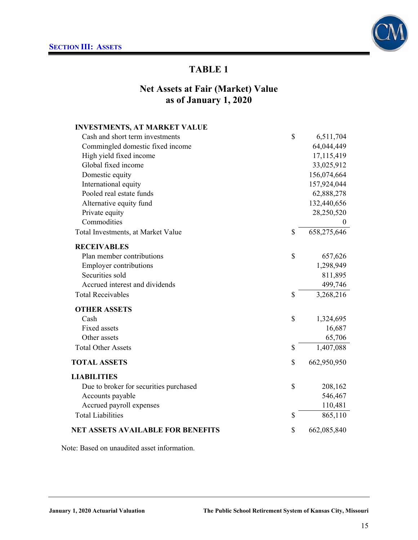

# **Net Assets at Fair (Market) Value as of January 1, 2020**

| <b>INVESTMENTS, AT MARKET VALUE</b>    |                   |
|----------------------------------------|-------------------|
| Cash and short term investments        | \$<br>6,511,704   |
| Commingled domestic fixed income       | 64,044,449        |
| High yield fixed income                | 17,115,419        |
| Global fixed income                    | 33,025,912        |
| Domestic equity                        | 156,074,664       |
| International equity                   | 157,924,044       |
| Pooled real estate funds               | 62,888,278        |
| Alternative equity fund                | 132,440,656       |
| Private equity                         | 28,250,520        |
| Commodities                            | $\theta$          |
| Total Investments, at Market Value     | \$<br>658,275,646 |
| <b>RECEIVABLES</b>                     |                   |
| Plan member contributions              | \$<br>657,626     |
| <b>Employer contributions</b>          | 1,298,949         |
| Securities sold                        | 811,895           |
| Accrued interest and dividends         | 499,746           |
| <b>Total Receivables</b>               | \$<br>3,268,216   |
| <b>OTHER ASSETS</b>                    |                   |
| Cash                                   | \$<br>1,324,695   |
| <b>Fixed assets</b>                    | 16,687            |
| Other assets                           | 65,706            |
| <b>Total Other Assets</b>              | \$<br>1,407,088   |
| <b>TOTAL ASSETS</b>                    | \$<br>662,950,950 |
| <b>LIABILITIES</b>                     |                   |
| Due to broker for securities purchased | \$<br>208,162     |
| Accounts payable                       | 546,467           |
| Accrued payroll expenses               | 110,481           |
| <b>Total Liabilities</b>               | \$<br>865,110     |
| NET ASSETS AVAILABLE FOR BENEFITS      | \$<br>662,085,840 |

Note: Based on unaudited asset information.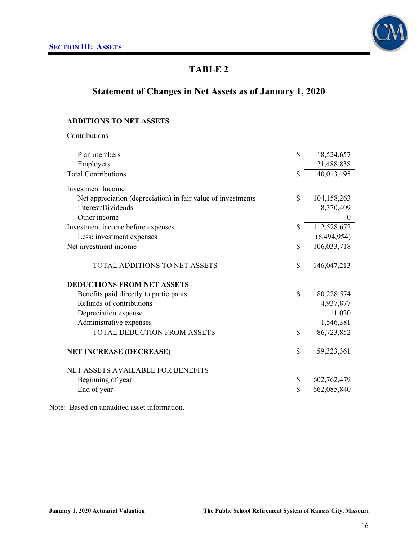

# **Statement of Changes in Net Assets as of January 1, 2020**

### **ADDITIONS TO NET ASSETS**

Contributions

| Plan members                                                 | \$<br>18,524,657  |
|--------------------------------------------------------------|-------------------|
| Employers                                                    | 21,488,838        |
| <b>Total Contributions</b>                                   | \$<br>40,013,495  |
| <b>Investment Income</b>                                     |                   |
| Net appreciation (depreciation) in fair value of investments | \$<br>104,158,263 |
| Interest/Dividends                                           | 8,370,409         |
| Other income                                                 | $\boldsymbol{0}$  |
| Investment income before expenses                            | \$<br>112,528,672 |
| Less: investment expenses                                    | (6,494,954)       |
| Net investment income                                        | \$<br>106,033,718 |
| TOTAL ADDITIONS TO NET ASSETS                                | \$<br>146,047,213 |
| <b>DEDUCTIONS FROM NET ASSETS</b>                            |                   |
| Benefits paid directly to participants                       | \$<br>80,228,574  |
| Refunds of contributions                                     | 4,937,877         |
| Depreciation expense                                         | 11,020            |
| Administrative expenses                                      | 1,546,381         |
| <b>TOTAL DEDUCTION FROM ASSETS</b>                           | \$<br>86,723,852  |
| <b>NET INCREASE (DECREASE)</b>                               | \$<br>59,323,361  |
| <b>NET ASSETS AVAILABLE FOR BENEFITS</b>                     |                   |
| Beginning of year                                            | \$<br>602,762,479 |
| End of year                                                  | \$<br>662,085,840 |
|                                                              |                   |

Note: Based on unaudited asset information.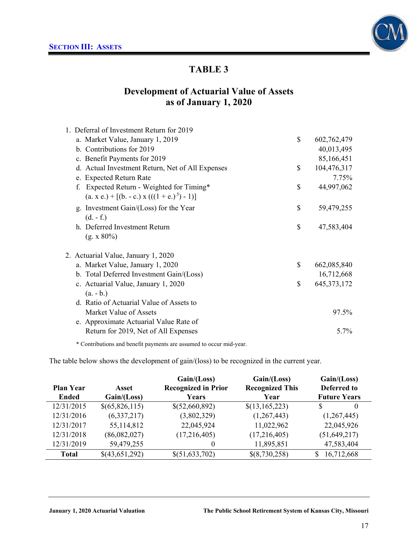

## **Development of Actuarial Value of Assets as of January 1, 2020**

| 1. Deferral of Investment Return for 2019        |                     |
|--------------------------------------------------|---------------------|
| a. Market Value, January 1, 2019                 | \$<br>602,762,479   |
| b. Contributions for 2019                        | 40,013,495          |
| c. Benefit Payments for 2019                     | 85,166,451          |
| d. Actual Investment Return, Net of All Expenses | \$<br>104,476,317   |
| e. Expected Return Rate                          | 7.75%               |
| Expected Return - Weighted for Timing*           | \$<br>44,997,062    |
| $(a. x e.) + [(b. - c.) x (((1 + e.)5) - 1)]$    |                     |
| g. Investment Gain/(Loss) for the Year           | \$<br>59,479,255    |
| $(d. - f.)$                                      |                     |
| h. Deferred Investment Return                    | \$<br>47,583,404    |
| $(g. x 80\%)$                                    |                     |
| 2. Actuarial Value, January 1, 2020              |                     |
| a. Market Value, January 1, 2020                 | \$<br>662,085,840   |
| b. Total Deferred Investment Gain/(Loss)         | 16,712,668          |
| c. Actuarial Value, January 1, 2020              | \$<br>645, 373, 172 |
| $(a - b)$                                        |                     |
| d. Ratio of Actuarial Value of Assets to         |                     |
| Market Value of Assets                           | 97.5%               |
| e. Approximate Actuarial Value Rate of           |                     |
| Return for 2019, Net of All Expenses             | 5.7%                |

\* Contributions and benefit payments are assumed to occur mid-year.

The table below shows the development of gain/(loss) to be recognized in the current year.

|                  |                | Gain/(Loss)                | Gain/(Loss)            | Gain/(Loss)         |
|------------------|----------------|----------------------------|------------------------|---------------------|
| <b>Plan Year</b> | Asset          | <b>Recognized in Prior</b> | <b>Recognized This</b> | Deferred to         |
| Ended            | Gain / (Loss)  | Years                      | Year                   | <b>Future Years</b> |
| 12/31/2015       | \$(65,826,115) | \$(52,660,892)             | $\{(13, 165, 223)\}$   | $\theta$            |
| 12/31/2016       | (6,337,217)    | (3,802,329)                | (1,267,443)            | (1,267,445)         |
| 12/31/2017       | 55,114,812     | 22,045,924                 | 11,022,962             | 22,045,926          |
| 12/31/2018       | (86,082,027)   | (17,216,405)               | (17,216,405)           | (51, 649, 217)      |
| 12/31/2019       | 59,479,255     | $\theta$                   | 11,895,851             | 47,583,404          |
| <b>Total</b>     | \$(43,651,292) | \$(51,633,702)             | \$(8,730,258)          | 16,712,668          |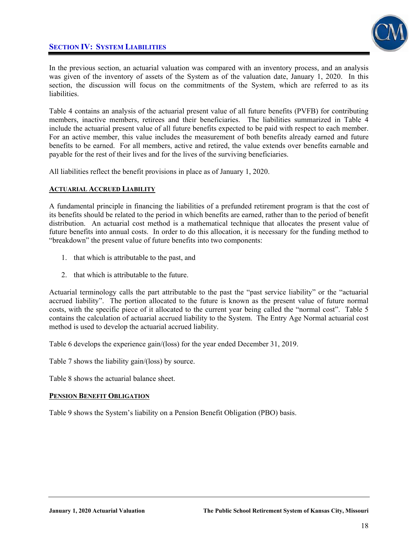## **SECTION IV: SYSTEM LIABILITIES**



In the previous section, an actuarial valuation was compared with an inventory process, and an analysis was given of the inventory of assets of the System as of the valuation date, January 1, 2020. In this section, the discussion will focus on the commitments of the System, which are referred to as its liabilities.

Table 4 contains an analysis of the actuarial present value of all future benefits (PVFB) for contributing members, inactive members, retirees and their beneficiaries. The liabilities summarized in Table 4 include the actuarial present value of all future benefits expected to be paid with respect to each member. For an active member, this value includes the measurement of both benefits already earned and future benefits to be earned. For all members, active and retired, the value extends over benefits earnable and payable for the rest of their lives and for the lives of the surviving beneficiaries.

All liabilities reflect the benefit provisions in place as of January 1, 2020.

### **ACTUARIAL ACCRUED LIABILITY**

A fundamental principle in financing the liabilities of a prefunded retirement program is that the cost of its benefits should be related to the period in which benefits are earned, rather than to the period of benefit distribution. An actuarial cost method is a mathematical technique that allocates the present value of future benefits into annual costs. In order to do this allocation, it is necessary for the funding method to "breakdown" the present value of future benefits into two components:

- 1. that which is attributable to the past, and
- 2. that which is attributable to the future.

Actuarial terminology calls the part attributable to the past the "past service liability" or the "actuarial accrued liability". The portion allocated to the future is known as the present value of future normal costs, with the specific piece of it allocated to the current year being called the "normal cost". Table 5 contains the calculation of actuarial accrued liability to the System. The Entry Age Normal actuarial cost method is used to develop the actuarial accrued liability.

Table 6 develops the experience gain/(loss) for the year ended December 31, 2019.

Table 7 shows the liability gain/(loss) by source.

Table 8 shows the actuarial balance sheet.

### **PENSION BENEFIT OBLIGATION**

Table 9 shows the System's liability on a Pension Benefit Obligation (PBO) basis.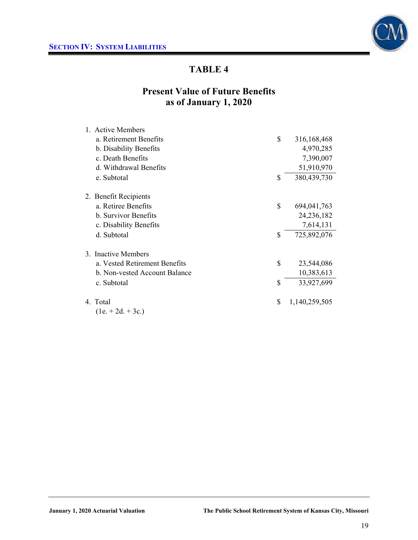

# **Present Value of Future Benefits as of January 1, 2020**

| 1. Active Members             |              |               |
|-------------------------------|--------------|---------------|
| a. Retirement Benefits        | \$           | 316,168,468   |
| b. Disability Benefits        |              | 4,970,285     |
| c. Death Benefits             |              | 7,390,007     |
| d. Withdrawal Benefits        |              | 51,910,970    |
| e. Subtotal                   | $\mathbb{S}$ | 380,439,730   |
| 2. Benefit Recipients         |              |               |
| a. Retiree Benefits           | \$           | 694,041,763   |
| b. Survivor Benefits          |              | 24, 236, 182  |
| c. Disability Benefits        |              | 7,614,131     |
| d. Subtotal                   | \$           | 725,892,076   |
| 3. Inactive Members           |              |               |
| a. Vested Retirement Benefits | \$           | 23,544,086    |
| b. Non-vested Account Balance |              | 10,383,613    |
| c. Subtotal                   | \$           | 33,927,699    |
| 4. Total                      | \$           | 1,140,259,505 |
| $(1e + 2d + 3c)$              |              |               |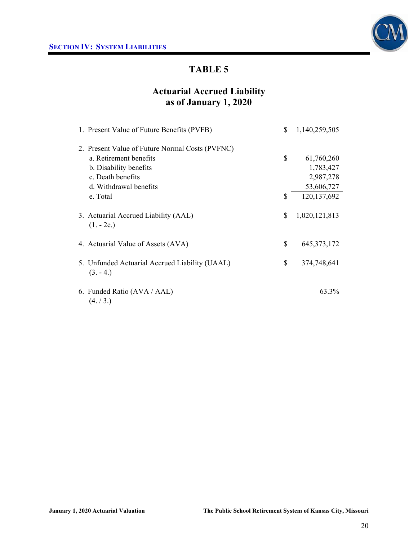

# **Actuarial Accrued Liability as of January 1, 2020**

| 1. Present Value of Future Benefits (PVFB)                   | \$<br>1,140,259,505 |
|--------------------------------------------------------------|---------------------|
| 2. Present Value of Future Normal Costs (PVFNC)              |                     |
| a. Retirement benefits                                       | \$<br>61,760,260    |
| b. Disability benefits                                       | 1,783,427           |
| c. Death benefits                                            | 2,987,278           |
| d. Withdrawal benefits                                       | 53,606,727          |
| e. Total                                                     | \$<br>120, 137, 692 |
| 3. Actuarial Accrued Liability (AAL)<br>$(1.-2e.)$           | \$<br>1,020,121,813 |
| 4. Actuarial Value of Assets (AVA)                           | \$<br>645, 373, 172 |
| 5. Unfunded Actuarial Accrued Liability (UAAL)<br>$(3. -4.)$ | \$<br>374,748,641   |
| 6. Funded Ratio (AVA / AAL)<br>(4. / 3.)                     | 63.3%               |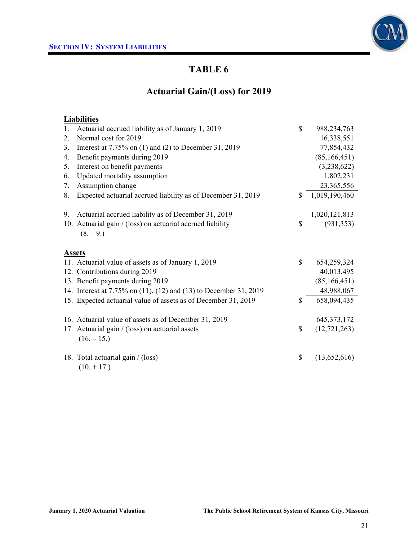

# **Actuarial Gain/(Loss) for 2019**

## **Liabilities**

| 1.      | Actuarial accrued liability as of January 1, 2019                 | $\mathbb{S}$ | 988, 234, 763  |
|---------|-------------------------------------------------------------------|--------------|----------------|
| $2_{-}$ | Normal cost for 2019                                              |              | 16,338,551     |
| 3.      | Interest at $7.75\%$ on (1) and (2) to December 31, 2019          |              | 77,854,432     |
| 4.      | Benefit payments during 2019                                      |              | (85, 166, 451) |
| 5.      | Interest on benefit payments                                      |              | (3,238,622)    |
| 6.      | Updated mortality assumption                                      |              | 1,802,231      |
| 7.      | Assumption change                                                 |              | 23,365,556     |
| 8.      | Expected actuarial accrued liability as of December 31, 2019      | \$           | 1,019,190,460  |
| 9.      | Actuarial accrued liability as of December 31, 2019               |              | 1,020,121,813  |
|         | 10. Actuarial gain / (loss) on actuarial accrued liability        | \$           | (931, 353)     |
|         | $(8, -9)$                                                         |              |                |
|         | <b>Assets</b>                                                     |              |                |
|         | 11. Actuarial value of assets as of January 1, 2019               | \$           | 654,259,324    |
|         | 12. Contributions during 2019                                     |              | 40,013,495     |
|         | 13. Benefit payments during 2019                                  |              | (85, 166, 451) |
|         | 14. Interest at 7.75% on (11), (12) and (13) to December 31, 2019 |              | 48,988,067     |
|         | 15. Expected actuarial value of assets as of December 31, 2019    | \$           | 658,094,435    |
|         | 16. Actuarial value of assets as of December 31, 2019             |              | 645, 373, 172  |
|         | 17. Actuarial gain / (loss) on actuarial assets                   | \$           | (12, 721, 263) |
|         | $(16. - 15.)$                                                     |              |                |
|         |                                                                   | \$           |                |
|         | 18. Total actuarial gain / (loss)<br>$(10. + 17.)$                |              | (13,652,616)   |
|         |                                                                   |              |                |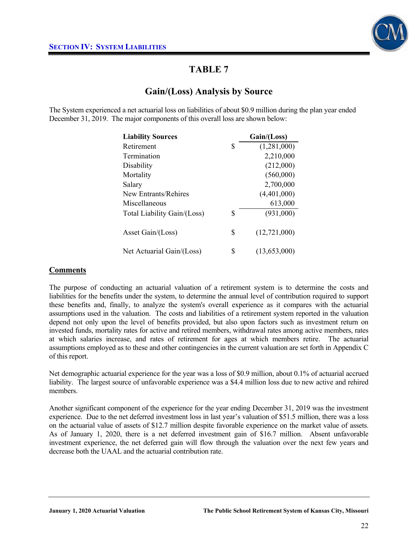

## **Gain/(Loss) Analysis by Source**

The System experienced a net actuarial loss on liabilities of about \$0.9 million during the plan year ended December 31, 2019. The major components of this overall loss are shown below:

| <b>Liability Sources</b>    | Gain/(Loss)          |
|-----------------------------|----------------------|
| Retirement                  | \$<br>(1,281,000)    |
| Termination                 | 2,210,000            |
| Disability                  | (212,000)            |
| Mortality                   | (560,000)            |
| Salary                      | 2,700,000            |
| New Entrants/Rehires        | (4,401,000)          |
| Miscellaneous               | 613,000              |
| Total Liability Gain/(Loss) | \$<br>(931,000)      |
| Asset Gain/(Loss)           | \$<br>(12, 721, 000) |
| Net Actuarial Gain/(Loss)   | \$<br>(13,653,000)   |

### **Comments**

The purpose of conducting an actuarial valuation of a retirement system is to determine the costs and liabilities for the benefits under the system, to determine the annual level of contribution required to support these benefits and, finally, to analyze the system's overall experience as it compares with the actuarial assumptions used in the valuation. The costs and liabilities of a retirement system reported in the valuation depend not only upon the level of benefits provided, but also upon factors such as investment return on invested funds, mortality rates for active and retired members, withdrawal rates among active members, rates at which salaries increase, and rates of retirement for ages at which members retire. The actuarial assumptions employed as to these and other contingencies in the current valuation are set forth in Appendix C of this report.

Net demographic actuarial experience for the year was a loss of \$0.9 million, about 0.1% of actuarial accrued liability. The largest source of unfavorable experience was a \$4.4 million loss due to new active and rehired members.

Another significant component of the experience for the year ending December 31, 2019 was the investment experience. Due to the net deferred investment loss in last year's valuation of \$51.5 million, there was a loss on the actuarial value of assets of \$12.7 million despite favorable experience on the market value of assets. As of January 1, 2020, there is a net deferred investment gain of \$16.7 million. Absent unfavorable investment experience, the net deferred gain will flow through the valuation over the next few years and decrease both the UAAL and the actuarial contribution rate.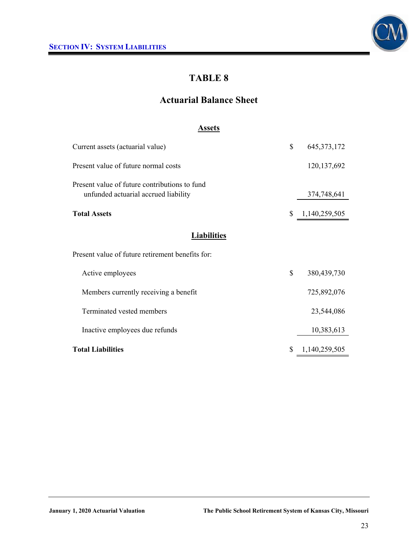

# **Actuarial Balance Sheet**

### **Assets**

| Current assets (actuarial value)                                                      | \$<br>645, 373, 172 |
|---------------------------------------------------------------------------------------|---------------------|
| Present value of future normal costs                                                  | 120, 137, 692       |
| Present value of future contributions to fund<br>unfunded actuarial accrued liability | 374,748,641         |
| <b>Total Assets</b>                                                                   | \$<br>1,140,259,505 |
| <b>Liabilities</b>                                                                    |                     |
| Present value of future retirement benefits for:                                      |                     |
| Active employees                                                                      | \$<br>380,439,730   |
| Members currently receiving a benefit                                                 | 725,892,076         |
| Terminated vested members                                                             | 23,544,086          |
| Inactive employees due refunds                                                        | 10,383,613          |
| <b>Total Liabilities</b>                                                              | \$<br>1,140,259,505 |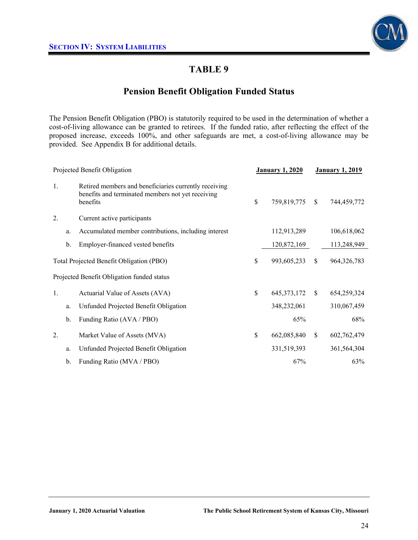

## **Pension Benefit Obligation Funded Status**

The Pension Benefit Obligation (PBO) is statutorily required to be used in the determination of whether a cost-of-living allowance can be granted to retirees. If the funded ratio, after reflecting the effect of the proposed increase, exceeds 100%, and other safeguards are met, a cost-of-living allowance may be provided. See Appendix B for additional details.

|                  |               | Projected Benefit Obligation                                                                                           | <b>January 1, 2020</b> |               | <b>January 1, 2019</b> |
|------------------|---------------|------------------------------------------------------------------------------------------------------------------------|------------------------|---------------|------------------------|
| 1.               |               | Retired members and beneficiaries currently receiving<br>benefits and terminated members not yet receiving<br>benefits | \$<br>759,819,775      | <sup>\$</sup> | 744,459,772            |
| $\overline{2}$ . |               | Current active participants                                                                                            |                        |               |                        |
|                  | a.            | Accumulated member contributions, including interest                                                                   | 112,913,289            |               | 106,618,062            |
|                  | b.            | Employer-financed vested benefits                                                                                      | 120,872,169            |               | 113,248,949            |
|                  |               | Total Projected Benefit Obligation (PBO)                                                                               | \$<br>993,605,233      | \$            | 964, 326, 783          |
|                  |               | Projected Benefit Obligation funded status                                                                             |                        |               |                        |
| 1.               |               | Actuarial Value of Assets (AVA)                                                                                        | \$<br>645, 373, 172    | <sup>\$</sup> | 654,259,324            |
|                  | a.            | Unfunded Projected Benefit Obligation                                                                                  | 348,232,061            |               | 310,067,459            |
|                  | b.            | Funding Ratio (AVA / PBO)                                                                                              | 65%                    |               | 68%                    |
| $\overline{2}$ . |               | Market Value of Assets (MVA)                                                                                           | \$<br>662,085,840      | \$            | 602,762,479            |
|                  | a.            | Unfunded Projected Benefit Obligation                                                                                  | 331,519,393            |               | 361,564,304            |
|                  | $\mathbf b$ . | Funding Ratio (MVA / PBO)                                                                                              | 67%                    |               | 63%                    |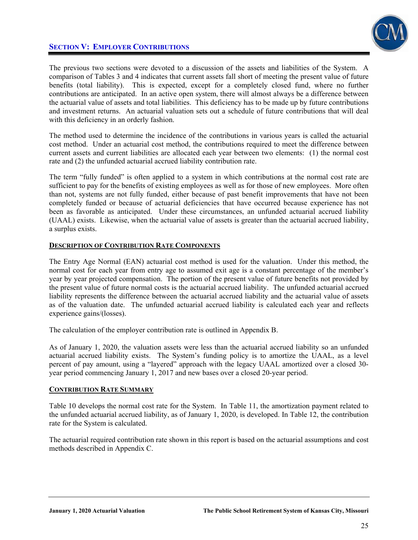### **SECTION V: EMPLOYER CONTRIBUTIONS**



The previous two sections were devoted to a discussion of the assets and liabilities of the System. A comparison of Tables 3 and 4 indicates that current assets fall short of meeting the present value of future benefits (total liability). This is expected, except for a completely closed fund, where no further contributions are anticipated. In an active open system, there will almost always be a difference between the actuarial value of assets and total liabilities. This deficiency has to be made up by future contributions and investment returns. An actuarial valuation sets out a schedule of future contributions that will deal with this deficiency in an orderly fashion.

The method used to determine the incidence of the contributions in various years is called the actuarial cost method. Under an actuarial cost method, the contributions required to meet the difference between current assets and current liabilities are allocated each year between two elements: (1) the normal cost rate and (2) the unfunded actuarial accrued liability contribution rate.

The term "fully funded" is often applied to a system in which contributions at the normal cost rate are sufficient to pay for the benefits of existing employees as well as for those of new employees. More often than not, systems are not fully funded, either because of past benefit improvements that have not been completely funded or because of actuarial deficiencies that have occurred because experience has not been as favorable as anticipated. Under these circumstances, an unfunded actuarial accrued liability (UAAL) exists. Likewise, when the actuarial value of assets is greater than the actuarial accrued liability, a surplus exists.

### **DESCRIPTION OF CONTRIBUTION RATE COMPONENTS**

The Entry Age Normal (EAN) actuarial cost method is used for the valuation. Under this method, the normal cost for each year from entry age to assumed exit age is a constant percentage of the member's year by year projected compensation. The portion of the present value of future benefits not provided by the present value of future normal costs is the actuarial accrued liability. The unfunded actuarial accrued liability represents the difference between the actuarial accrued liability and the actuarial value of assets as of the valuation date. The unfunded actuarial accrued liability is calculated each year and reflects experience gains/(losses).

The calculation of the employer contribution rate is outlined in Appendix B.

As of January 1, 2020, the valuation assets were less than the actuarial accrued liability so an unfunded actuarial accrued liability exists. The System's funding policy is to amortize the UAAL, as a level percent of pay amount, using a "layered" approach with the legacy UAAL amortized over a closed 30 year period commencing January 1, 2017 and new bases over a closed 20-year period.

#### **CONTRIBUTION RATE SUMMARY**

Table 10 develops the normal cost rate for the System. In Table 11, the amortization payment related to the unfunded actuarial accrued liability, as of January 1, 2020, is developed. In Table 12, the contribution rate for the System is calculated.

The actuarial required contribution rate shown in this report is based on the actuarial assumptions and cost methods described in Appendix C.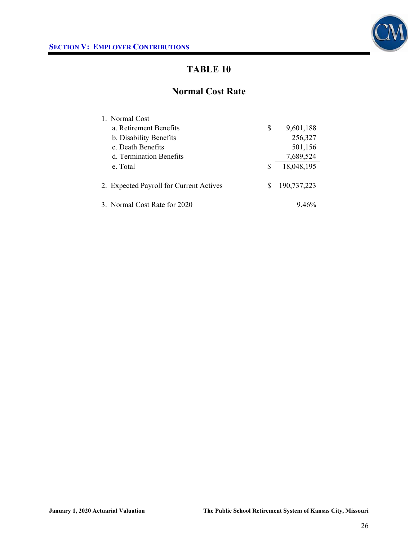

## **Normal Cost Rate**

| 1. Normal Cost                          |    |             |
|-----------------------------------------|----|-------------|
| a. Retirement Benefits                  | \$ | 9,601,188   |
| b. Disability Benefits                  |    | 256,327     |
| c. Death Benefits                       |    | 501,156     |
| d. Termination Benefits                 |    | 7,689,524   |
| e. Total                                | S  | 18,048,195  |
| 2. Expected Payroll for Current Actives | S  | 190,737,223 |
| 3. Normal Cost Rate for 2020            |    | $9.46\%$    |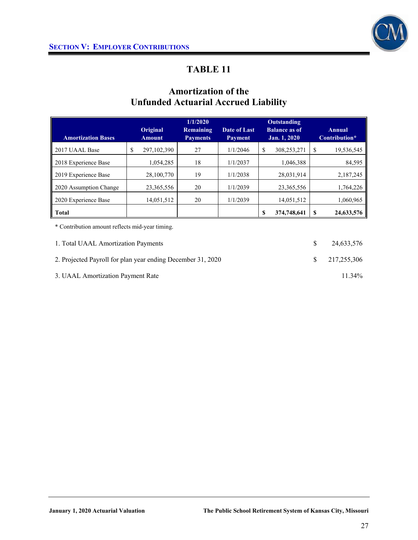

# **Amortization of the Unfunded Actuarial Accrued Liability**

|                                                                                                                                                                                                                                                                                                                                                                                                                                                                                                                       |   |                           | 1/1/2020                     |                                | Outstanding                          |    |                         |
|-----------------------------------------------------------------------------------------------------------------------------------------------------------------------------------------------------------------------------------------------------------------------------------------------------------------------------------------------------------------------------------------------------------------------------------------------------------------------------------------------------------------------|---|---------------------------|------------------------------|--------------------------------|--------------------------------------|----|-------------------------|
| <b>Amortization Bases</b>                                                                                                                                                                                                                                                                                                                                                                                                                                                                                             |   | Original<br><b>Amount</b> | Remaining<br><b>Payments</b> | Date of Last<br><b>Payment</b> | <b>Balance as of</b><br>Jan. 1, 2020 |    | Annual<br>Contribution* |
|                                                                                                                                                                                                                                                                                                                                                                                                                                                                                                                       |   |                           |                              |                                |                                      |    |                         |
| 2017 UAAL Base                                                                                                                                                                                                                                                                                                                                                                                                                                                                                                        | S | 297,102,390               | 27                           | 1/1/2046                       | \$<br>308,253,271                    | \$ | 19,536,545              |
| 2018 Experience Base                                                                                                                                                                                                                                                                                                                                                                                                                                                                                                  |   | 1,054,285                 | 18                           | 1/1/2037                       | 1,046,388                            |    | 84,595                  |
| 2019 Experience Base                                                                                                                                                                                                                                                                                                                                                                                                                                                                                                  |   | 28,100,770                | 19                           | 1/1/2038                       | 28,031,914                           |    | 2,187,245               |
| 2020 Assumption Change                                                                                                                                                                                                                                                                                                                                                                                                                                                                                                |   | 23, 365, 556              | 20                           | 1/1/2039                       | 23, 365, 556                         |    | 1,764,226               |
| 2020 Experience Base                                                                                                                                                                                                                                                                                                                                                                                                                                                                                                  |   | 14,051,512                | 20                           | 1/1/2039                       | 14,051,512                           |    | 1,060,965               |
| <b>Total</b>                                                                                                                                                                                                                                                                                                                                                                                                                                                                                                          |   |                           |                              |                                | \$<br>374,748,641                    | S  | 24,633,576              |
| $\bullet$ $\alpha$ $\rightarrow$ $\alpha$ $\rightarrow$ $\alpha$ $\rightarrow$ $\alpha$ $\rightarrow$ $\alpha$ $\rightarrow$ $\alpha$ $\rightarrow$ $\alpha$ $\rightarrow$ $\alpha$ $\rightarrow$ $\alpha$ $\rightarrow$ $\alpha$ $\rightarrow$ $\alpha$ $\rightarrow$ $\alpha$ $\rightarrow$ $\alpha$ $\rightarrow$ $\alpha$ $\rightarrow$ $\alpha$ $\rightarrow$ $\alpha$ $\rightarrow$ $\alpha$ $\rightarrow$ $\alpha$ $\rightarrow$ $\alpha$ $\rightarrow$ $\alpha$ $\rightarrow$ $\alpha$ $\rightarrow$ $\alpha$ |   |                           |                              |                                |                                      |    |                         |

\* Contribution amount reflects mid-year timing.

| 1. Total UAAL Amortization Payments                         | 24.633.576               |
|-------------------------------------------------------------|--------------------------|
| 2. Projected Payroll for plan year ending December 31, 2020 | $\frac{\$}{217.255.306}$ |
| 3. UAAL Amortization Payment Rate                           | 11 34\%                  |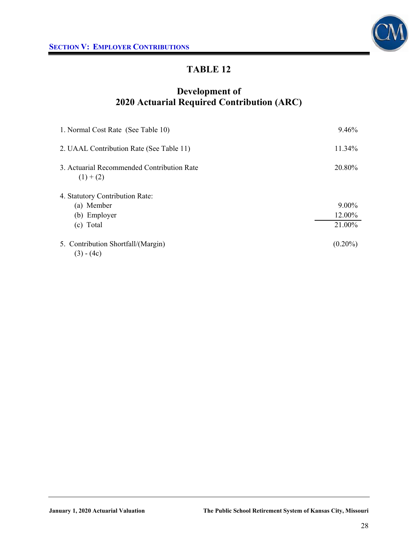

# **Development of 2020 Actuarial Required Contribution (ARC)**

| 1. Normal Cost Rate (See Table 10)                      | 9.46%      |
|---------------------------------------------------------|------------|
| 2. UAAL Contribution Rate (See Table 11)                | 11.34%     |
| 3. Actuarial Recommended Contribution Rate<br>$(1)+(2)$ | 20.80%     |
| 4. Statutory Contribution Rate:                         |            |
| (a) Member                                              | $9.00\%$   |
| (b) Employer                                            | 12.00%     |
| (c) Total                                               | 21.00%     |
| 5. Contribution Shortfall/(Margin)<br>$(3) - (4c)$      | $(0.20\%)$ |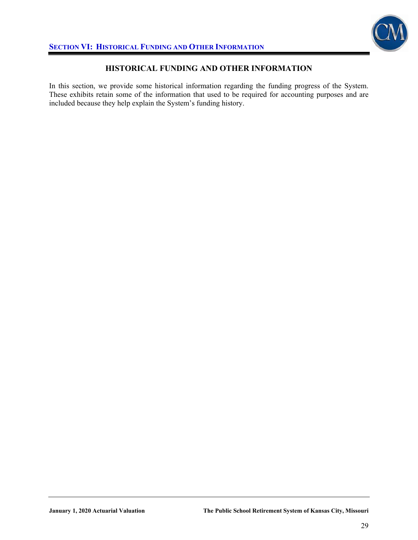

### **HISTORICAL FUNDING AND OTHER INFORMATION**

In this section, we provide some historical information regarding the funding progress of the System. These exhibits retain some of the information that used to be required for accounting purposes and are included because they help explain the System's funding history.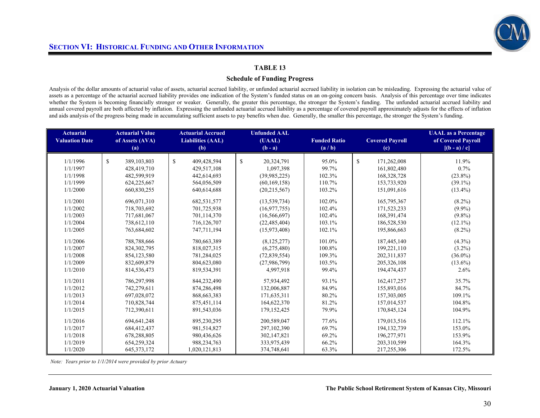

#### **Schedule of Funding Progress**

Analysis of the dollar amounts of actuarial value of assets, actuarial accrued liability, or unfunded actuarial accrued liability in isolation can be misleading. Expressing the actuarial value of assets as a percentage of the actuarial accrued liability provides one indication of the System's funded status on an on-going concern basis. Analysis of this percentage over time indicates whether the System is becoming financially stronger or weaker. Generally, the greater this percentage, the stronger the System's funding. The unfunded actuarial accrued liability and annual covered payroll are both affected by inflation. Expressing the unfunded actuarial accrued liability as a percentage of covered payroll approximately adjusts for the effects of inflation and aids analysis of the progress being made in accumulating sufficient assets to pay benefits when due. Generally, the smaller this percentage, the stronger the System's funding.

| <b>Actuarial Value</b><br>of Assets (AVA)<br>(a) | <b>Actuarial Accrued</b><br><b>Liabilities (AAL)</b><br>(b)                                                                                                                 | <b>Unfunded AAL</b><br>(UAAL)<br>$(b - a)$                                                                                                                                          | <b>Funded Ratio</b><br>(a/b)                                                                                                                                                          | <b>Covered Payroll</b><br>(c)                                                             | <b>UAAL</b> as a Percentage<br>of Covered Payroll<br>$[(b - a) / c]$                                                                                                 |
|--------------------------------------------------|-----------------------------------------------------------------------------------------------------------------------------------------------------------------------------|-------------------------------------------------------------------------------------------------------------------------------------------------------------------------------------|---------------------------------------------------------------------------------------------------------------------------------------------------------------------------------------|-------------------------------------------------------------------------------------------|----------------------------------------------------------------------------------------------------------------------------------------------------------------------|
|                                                  |                                                                                                                                                                             |                                                                                                                                                                                     |                                                                                                                                                                                       |                                                                                           | 11.9%                                                                                                                                                                |
|                                                  |                                                                                                                                                                             |                                                                                                                                                                                     |                                                                                                                                                                                       |                                                                                           | 0.7%                                                                                                                                                                 |
|                                                  |                                                                                                                                                                             |                                                                                                                                                                                     |                                                                                                                                                                                       |                                                                                           |                                                                                                                                                                      |
|                                                  |                                                                                                                                                                             |                                                                                                                                                                                     |                                                                                                                                                                                       |                                                                                           | $(23.8\%)$                                                                                                                                                           |
|                                                  |                                                                                                                                                                             |                                                                                                                                                                                     |                                                                                                                                                                                       |                                                                                           | $(39.1\%)$                                                                                                                                                           |
|                                                  |                                                                                                                                                                             |                                                                                                                                                                                     |                                                                                                                                                                                       |                                                                                           | $(13.4\%)$                                                                                                                                                           |
| 696,071,310                                      | 682,531,577                                                                                                                                                                 | (13, 539, 734)                                                                                                                                                                      | 102.0%                                                                                                                                                                                | 165,795,367                                                                               | $(8.2\%)$                                                                                                                                                            |
| 718,703,692                                      | 701,725,938                                                                                                                                                                 | (16, 977, 755)                                                                                                                                                                      | 102.4%                                                                                                                                                                                | 171,523,233                                                                               | $(9.9\%)$                                                                                                                                                            |
| 717,681,067                                      | 701,114,370                                                                                                                                                                 | (16, 566, 697)                                                                                                                                                                      | 102.4%                                                                                                                                                                                | 168,391,474                                                                               | $(9.8\%)$                                                                                                                                                            |
| 738,612,110                                      | 716,126,707                                                                                                                                                                 | (22, 485, 404)                                                                                                                                                                      | 103.1%                                                                                                                                                                                | 186,528,530                                                                               | $(12.1\%)$                                                                                                                                                           |
| 763,684,602                                      | 747,711,194                                                                                                                                                                 | (15,973,408)                                                                                                                                                                        | 102.1%                                                                                                                                                                                | 195,866,663                                                                               | $(8.2\%)$                                                                                                                                                            |
| 788,788,666                                      | 780,663,389                                                                                                                                                                 | (8, 125, 277)                                                                                                                                                                       | 101.0%                                                                                                                                                                                | 187,445,140                                                                               | $(4.3\%)$                                                                                                                                                            |
| 824, 302, 795                                    | 818,027,315                                                                                                                                                                 | (6,275,480)                                                                                                                                                                         | 100.8%                                                                                                                                                                                | 199,221,110                                                                               | $(3.2\%)$                                                                                                                                                            |
| 854,123,580                                      | 781,284,025                                                                                                                                                                 | (72, 839, 554)                                                                                                                                                                      | 109.3%                                                                                                                                                                                | 202,311,837                                                                               | $(36.0\%)$                                                                                                                                                           |
| 832,609,879                                      | 804,623,080                                                                                                                                                                 | (27,986,799)                                                                                                                                                                        | 103.5%                                                                                                                                                                                | 205, 326, 108                                                                             | $(13.6\%)$                                                                                                                                                           |
| 814,536,473                                      | 819,534,391                                                                                                                                                                 | 4,997,918                                                                                                                                                                           | 99.4%                                                                                                                                                                                 | 194,474,437                                                                               | 2.6%                                                                                                                                                                 |
| 786,297,998                                      | 844,232,490                                                                                                                                                                 | 57,934,492                                                                                                                                                                          | 93.1%                                                                                                                                                                                 | 162,417,257                                                                               | 35.7%                                                                                                                                                                |
|                                                  |                                                                                                                                                                             |                                                                                                                                                                                     | 84.9%                                                                                                                                                                                 | 155,893,016                                                                               | 84.7%                                                                                                                                                                |
| 697,028,072                                      | 868,663,383                                                                                                                                                                 | 171,635,311                                                                                                                                                                         | 80.2%                                                                                                                                                                                 | 157,303,005                                                                               | 109.1%                                                                                                                                                               |
| 710,828,744                                      | 875,451,114                                                                                                                                                                 | 164,622,370                                                                                                                                                                         | 81.2%                                                                                                                                                                                 | 157,014,537                                                                               | 104.8%                                                                                                                                                               |
| 712,390,611                                      | 891,543,036                                                                                                                                                                 | 179, 152, 425                                                                                                                                                                       | 79.9%                                                                                                                                                                                 | 170,845,124                                                                               | 104.9%                                                                                                                                                               |
|                                                  |                                                                                                                                                                             |                                                                                                                                                                                     |                                                                                                                                                                                       |                                                                                           | 112.1%                                                                                                                                                               |
|                                                  |                                                                                                                                                                             |                                                                                                                                                                                     |                                                                                                                                                                                       |                                                                                           | 153.0%                                                                                                                                                               |
|                                                  |                                                                                                                                                                             |                                                                                                                                                                                     |                                                                                                                                                                                       |                                                                                           | 153.9%                                                                                                                                                               |
|                                                  |                                                                                                                                                                             |                                                                                                                                                                                     |                                                                                                                                                                                       |                                                                                           | 164.3%                                                                                                                                                               |
|                                                  |                                                                                                                                                                             |                                                                                                                                                                                     |                                                                                                                                                                                       |                                                                                           | 172.5%                                                                                                                                                               |
|                                                  | \$<br>389,103,803<br>428,419,710<br>482,599,919<br>624,225,667<br>660.830.255<br>742,279,611<br>694, 641, 248<br>684,412,437<br>678,288,805<br>654,259,324<br>645, 373, 172 | $\mathbf{s}$<br>409,428,594<br>429,517,108<br>442,614,693<br>564,056,509<br>640,614,688<br>874,286,498<br>895,230,295<br>981,514,827<br>980,436,626<br>988,234,763<br>1,020,121,813 | $\mathbf{s}$<br>20,324,791<br>1,097,398<br>(39,985,225)<br>(60, 169, 158)<br>(20, 215, 567)<br>132,006,887<br>200,589,047<br>297,102,390<br>302,147,821<br>333,975,439<br>374,748,641 | 95.0%<br>99.7%<br>102.3%<br>110.7%<br>103.2%<br>77.6%<br>69.7%<br>69.2%<br>66.2%<br>63.3% | $\mathbf{s}$<br>171,262,008<br>161,802,480<br>168,328,728<br>153,733,920<br>151,091,616<br>179,013,516<br>194, 132, 739<br>196,277,971<br>203,310,599<br>217,255,306 |

 *Note: Years prior to 1/1/2014 were provided by prior Actuary*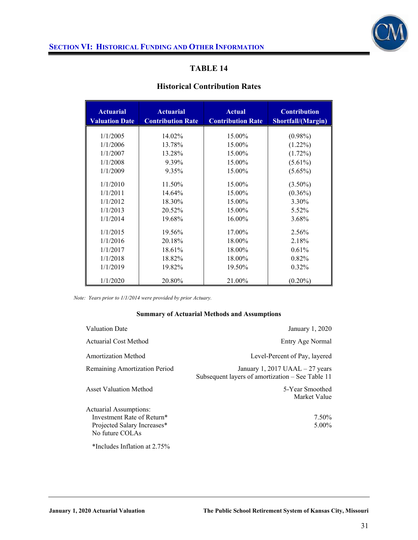

### **Historical Contribution Rates**

| <b>Actuarial</b><br><b>Valuation Date</b> | <b>Actuarial</b><br><b>Contribution Rate</b> | <b>Actual</b><br><b>Contribution Rate</b> | <b>Contribution</b><br>Shortfall/(Margin) |  |
|-------------------------------------------|----------------------------------------------|-------------------------------------------|-------------------------------------------|--|
| 1/1/2005                                  | 14.02%                                       | 15.00%                                    | $(0.98\%)$                                |  |
| 1/1/2006                                  | 13.78%                                       | 15.00%                                    | $(1.22\%)$                                |  |
| 1/1/2007                                  | 13.28%                                       | 15.00%                                    | $(1.72\%)$                                |  |
| 1/1/2008                                  | 9.39%                                        | 15.00%                                    | $(5.61\%)$                                |  |
| 1/1/2009                                  | 9.35%                                        | 15.00%                                    | $(5.65\%)$                                |  |
|                                           |                                              |                                           |                                           |  |
| 1/1/2010                                  | 11.50%                                       | 15.00%                                    | $(3.50\%)$                                |  |
| 1/1/2011                                  | 14.64%                                       | 15.00%                                    | $(0.36\%)$                                |  |
| 1/1/2012                                  | 18.30%                                       | 15.00%                                    | 3.30%                                     |  |
| 1/1/2013                                  | 20.52%                                       | 15.00%                                    | 5.52%                                     |  |
| 1/1/2014                                  | 19.68%                                       | 16.00%                                    | 3.68%                                     |  |
| 1/1/2015                                  | 19.56%                                       | 17.00%                                    | 2.56%                                     |  |
| 1/1/2016                                  | 20.18%                                       | 18.00%                                    | 2.18%                                     |  |
| 1/1/2017                                  | 18.61%                                       | 18.00%                                    | 0.61%                                     |  |
| 1/1/2018                                  | 18.82%                                       | 18.00%                                    | 0.82%                                     |  |
| 1/1/2019                                  | 19.82%                                       | 19.50%                                    | $0.32\%$                                  |  |
| 1/1/2020                                  | 20.80%                                       | 21.00%                                    | $(0.20\%)$                                |  |

*Note: Years prior to 1/1/2014 were provided by prior Actuary.* 

#### **Summary of Actuarial Methods and Assumptions**

| <b>Valuation Date</b>         | January 1, 2020                                                                      |
|-------------------------------|--------------------------------------------------------------------------------------|
| <b>Actuarial Cost Method</b>  | Entry Age Normal                                                                     |
| <b>Amortization Method</b>    | Level-Percent of Pay, layered                                                        |
| Remaining Amortization Period | January 1, 2017 UAAL $-27$ years<br>Subsequent layers of amortization – See Table 11 |
| <b>Asset Valuation Method</b> | 5-Year Smoothed<br>Market Value                                                      |
| Actuarial Assumptions:        |                                                                                      |
| Investment Rate of Return*    | 7.50%                                                                                |
| Projected Salary Increases*   | 5.00%                                                                                |
| No future COLAs               |                                                                                      |
| *Includes Inflation at 2.75%  |                                                                                      |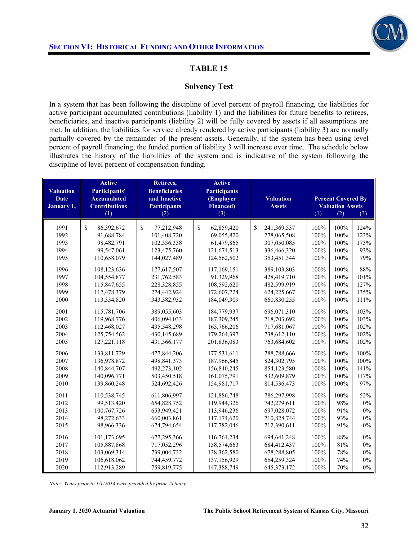

### **Solvency Test**

In a system that has been following the discipline of level percent of payroll financing, the liabilities for active participant accumulated contributions (liability 1) and the liabilities for future benefits to retirees, beneficiaries, and inactive participants (liability 2) will be fully covered by assets if all assumptions are met. In addition, the liabilities for service already rendered by active participants (liability 3) are normally partially covered by the remainder of the present assets. Generally, if the system has been using level percent of payroll financing, the funded portion of liability 3 will increase over time. The schedule below illustrates the history of the liabilities of the system and is indicative of the system following the discipline of level percent of compensation funding.

| <b>Valuation</b><br><b>Date</b><br>January 1, | <b>Active</b><br>Participants'<br><b>Accumulated</b><br><b>Contributions</b><br>(1) | Retirees,<br><b>Beneficiaries</b><br>and Inactive<br><b>Participants</b><br>(2) | <b>Active</b><br><b>Participants</b><br>(Employer<br><b>Financed</b> )<br>(3) | <b>Valuation</b><br><b>Assets</b> | <b>Percent Covered By</b><br><b>Valuation Assets</b><br>(1)<br>(2)<br>(3) |      |       |
|-----------------------------------------------|-------------------------------------------------------------------------------------|---------------------------------------------------------------------------------|-------------------------------------------------------------------------------|-----------------------------------|---------------------------------------------------------------------------|------|-------|
|                                               |                                                                                     |                                                                                 |                                                                               |                                   |                                                                           |      |       |
| 1991                                          | \$<br>86,392,672                                                                    | \$<br>77,212,948                                                                | \$<br>62,859,420                                                              | \$<br>241,369,537                 | 100%                                                                      | 100% | 124%  |
| 1992                                          | 91,688,784                                                                          | 101,408,720                                                                     | 69,055,820                                                                    | 278,065,508                       | 100%                                                                      | 100% | 123%  |
| 1993                                          | 98,482,791                                                                          | 102,336,338                                                                     | 61,479,865                                                                    | 307,050,085                       | 100%                                                                      | 100% | 173%  |
| 1994                                          | 99,547,061                                                                          | 123,475,760                                                                     | 121,674,513                                                                   | 336,466,320                       | 100%                                                                      | 100% | 93%   |
| 1995                                          | 110,658,079                                                                         | 144,027,489                                                                     | 124,562,502                                                                   | 353,451,344                       | 100%                                                                      | 100% | 79%   |
| 1996                                          | 108,123,636                                                                         | 177,617,507                                                                     | 117,169,151                                                                   | 389,103,803                       | 100%                                                                      | 100% | 88%   |
| 1997                                          | 104,554,877                                                                         | 231,762,583                                                                     | 91,329,968                                                                    | 428,419,710                       | 100%                                                                      | 100% | 101%  |
| 1998                                          | 115,847,655                                                                         | 228,328,855                                                                     | 108,592,620                                                                   | 482,599,919                       | 100%                                                                      | 100% | 127%  |
| 1999                                          | 117,478,379                                                                         | 274,442,924                                                                     | 172,607,724                                                                   | 624,225,667                       | 100%                                                                      | 100% | 135%  |
| 2000                                          | 113,334,820                                                                         | 343,382,932                                                                     | 184,049,309                                                                   | 660,830,255                       | 100%                                                                      | 100% | 111%  |
| 2001                                          | 115,781,706                                                                         | 389,055,603                                                                     | 184,779,937                                                                   | 696,071,310                       | 100%                                                                      | 100% | 103%  |
| 2002                                          | 119,968,776                                                                         | 406,094,033                                                                     | 187,309,245                                                                   | 718,703,692                       | 100%                                                                      | 100% | 103%  |
| 2003                                          | 112,468,027                                                                         | 435,548,298                                                                     | 165,766,206                                                                   | 717,681,067                       | 100%                                                                      | 100% | 102%  |
| 2004                                          | 125,754,562                                                                         | 430,145,689                                                                     | 179,264,397                                                                   | 738,612,110                       | 100%                                                                      | 100% | 102%  |
| 2005                                          | 127, 221, 118                                                                       | 431,366,177                                                                     | 201,836,083                                                                   | 763,684,602                       | 100%                                                                      | 100% | 102%  |
| 2006                                          | 133,811,729                                                                         | 477,844,206                                                                     | 177,531,611                                                                   | 788,788,666                       | 100%                                                                      | 100% | 100%  |
| 2007                                          | 136,978,872                                                                         | 498, 841, 373                                                                   | 187,966,845                                                                   | 824,302,795                       | 100%                                                                      | 100% | 100%  |
| 2008                                          | 140,844,707                                                                         | 492,273,102                                                                     | 156,840,245                                                                   | 854,123,580                       | 100%                                                                      | 100% | 141%  |
| 2009                                          | 140,096,771                                                                         | 503,450,518                                                                     | 161,075,791                                                                   | 832,609,879                       | 100%                                                                      | 100% | 117%  |
| 2010                                          | 139,860,248                                                                         | 524,692,426                                                                     | 154,981,717                                                                   | 814,536,473                       | 100%                                                                      | 100% | 97%   |
| 2011                                          | 110,538,745                                                                         | 611,806,997                                                                     | 121,886,748                                                                   | 786,297,998                       | 100%                                                                      | 100% | 52%   |
| 2012                                          | 99,513,420                                                                          | 654,828,752                                                                     | 119,944,326                                                                   | 742,279,611                       | 100%                                                                      | 98%  | $0\%$ |
| 2013                                          | 100,767,726                                                                         | 653,949,421                                                                     | 113,946,236                                                                   | 697,028,072                       | 100%                                                                      | 91%  | $0\%$ |
| 2014                                          | 98,272,633                                                                          | 660,003,861                                                                     | 117,174,620                                                                   | 710,828,744                       | 100%                                                                      | 93%  | $0\%$ |
| 2015                                          | 98,966,336                                                                          | 674,794,654                                                                     | 117,782,046                                                                   | 712,390,611                       | 100%                                                                      | 91%  | 0%    |
| 2016                                          | 101,173,695                                                                         | 677,295,366                                                                     | 116,761,234                                                                   | 694, 641, 248                     | 100%                                                                      | 88%  | 0%    |
| 2017                                          | 105,887,868                                                                         | 717,052,296                                                                     | 158,574,663                                                                   | 684,412,437                       | 100%                                                                      | 81%  | $0\%$ |
| 2018                                          | 103,069,314                                                                         | 739,004,732                                                                     | 138,362,580                                                                   | 678,288,805                       | 100%                                                                      | 78%  | $0\%$ |
| 2019                                          | 106,618,062                                                                         | 744,459,772                                                                     | 137,156,929                                                                   | 654,259,324                       | 100%                                                                      | 74%  | $0\%$ |
| 2020                                          | 112,913,289                                                                         | 759,819,775                                                                     | 147,388,749                                                                   | 645, 373, 172                     | 100%                                                                      | 70%  | $0\%$ |

*Note: Years prior to 1/1/2014 were provided by prior Actuary*.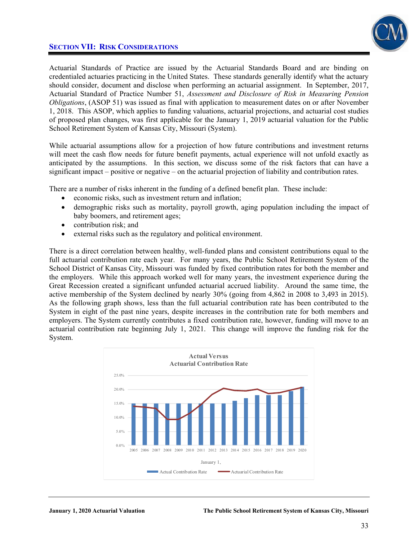

Actuarial Standards of Practice are issued by the Actuarial Standards Board and are binding on credentialed actuaries practicing in the United States. These standards generally identify what the actuary should consider, document and disclose when performing an actuarial assignment. In September, 2017, Actuarial Standard of Practice Number 51, *Assessment and Disclosure of Risk in Measuring Pension Obligations*, (ASOP 51) was issued as final with application to measurement dates on or after November 1, 2018. This ASOP, which applies to funding valuations, actuarial projections, and actuarial cost studies of proposed plan changes, was first applicable for the January 1, 2019 actuarial valuation for the Public School Retirement System of Kansas City, Missouri (System).

While actuarial assumptions allow for a projection of how future contributions and investment returns will meet the cash flow needs for future benefit payments, actual experience will not unfold exactly as anticipated by the assumptions. In this section, we discuss some of the risk factors that can have a significant impact – positive or negative – on the actuarial projection of liability and contribution rates.

There are a number of risks inherent in the funding of a defined benefit plan. These include:

- economic risks, such as investment return and inflation;
- demographic risks such as mortality, payroll growth, aging population including the impact of baby boomers, and retirement ages;
- contribution risk; and
- external risks such as the regulatory and political environment.

There is a direct correlation between healthy, well-funded plans and consistent contributions equal to the full actuarial contribution rate each year. For many years, the Public School Retirement System of the School District of Kansas City, Missouri was funded by fixed contribution rates for both the member and the employers. While this approach worked well for many years, the investment experience during the Great Recession created a significant unfunded actuarial accrued liability. Around the same time, the active membership of the System declined by nearly 30% (going from 4,862 in 2008 to 3,493 in 2015). As the following graph shows, less than the full actuarial contribution rate has been contributed to the System in eight of the past nine years, despite increases in the contribution rate for both members and employers. The System currently contributes a fixed contribution rate, however, funding will move to an actuarial contribution rate beginning July 1, 2021. This change will improve the funding risk for the System.

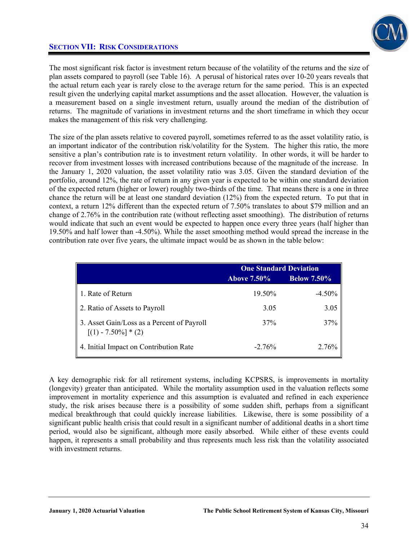

The most significant risk factor is investment return because of the volatility of the returns and the size of plan assets compared to payroll (see Table 16). A perusal of historical rates over 10-20 years reveals that the actual return each year is rarely close to the average return for the same period. This is an expected result given the underlying capital market assumptions and the asset allocation. However, the valuation is a measurement based on a single investment return, usually around the median of the distribution of returns. The magnitude of variations in investment returns and the short timeframe in which they occur makes the management of this risk very challenging.

The size of the plan assets relative to covered payroll, sometimes referred to as the asset volatility ratio, is an important indicator of the contribution risk/volatility for the System. The higher this ratio, the more sensitive a plan's contribution rate is to investment return volatility. In other words, it will be harder to recover from investment losses with increased contributions because of the magnitude of the increase. In the January 1, 2020 valuation, the asset volatility ratio was 3.05. Given the standard deviation of the portfolio, around 12%, the rate of return in any given year is expected to be within one standard deviation of the expected return (higher or lower) roughly two-thirds of the time. That means there is a one in three chance the return will be at least one standard deviation (12%) from the expected return. To put that in context, a return 12% different than the expected return of 7.50% translates to about \$79 million and an change of 2.76% in the contribution rate (without reflecting asset smoothing). The distribution of returns would indicate that such an event would be expected to happen once every three years (half higher than 19.50% and half lower than -4.50%). While the asset smoothing method would spread the increase in the contribution rate over five years, the ultimate impact would be as shown in the table below:

|                                                                      | <b>One Standard Deviation</b> |                    |  |
|----------------------------------------------------------------------|-------------------------------|--------------------|--|
|                                                                      | <b>Above 7.50%</b>            | <b>Below 7.50%</b> |  |
| 1. Rate of Return                                                    | 19.50%                        | $-4.50%$           |  |
| 2. Ratio of Assets to Payroll                                        | 3.05                          | 3.05               |  |
| 3. Asset Gain/Loss as a Percent of Payroll<br>$[(1) - 7.50\%] * (2)$ | 37%                           | 37%                |  |
| 4. Initial Impact on Contribution Rate                               | $-2.76%$                      | 2.76%              |  |

A key demographic risk for all retirement systems, including KCPSRS, is improvements in mortality (longevity) greater than anticipated. While the mortality assumption used in the valuation reflects some improvement in mortality experience and this assumption is evaluated and refined in each experience study, the risk arises because there is a possibility of some sudden shift, perhaps from a significant medical breakthrough that could quickly increase liabilities. Likewise, there is some possibility of a significant public health crisis that could result in a significant number of additional deaths in a short time period, would also be significant, although more easily absorbed. While either of these events could happen, it represents a small probability and thus represents much less risk than the volatility associated with investment returns.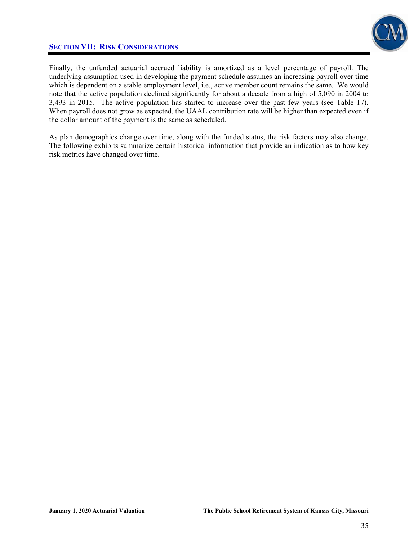

Finally, the unfunded actuarial accrued liability is amortized as a level percentage of payroll. The underlying assumption used in developing the payment schedule assumes an increasing payroll over time which is dependent on a stable employment level, i.e., active member count remains the same. We would note that the active population declined significantly for about a decade from a high of 5,090 in 2004 to 3,493 in 2015. The active population has started to increase over the past few years (see Table 17). When payroll does not grow as expected, the UAAL contribution rate will be higher than expected even if the dollar amount of the payment is the same as scheduled.

As plan demographics change over time, along with the funded status, the risk factors may also change. The following exhibits summarize certain historical information that provide an indication as to how key risk metrics have changed over time.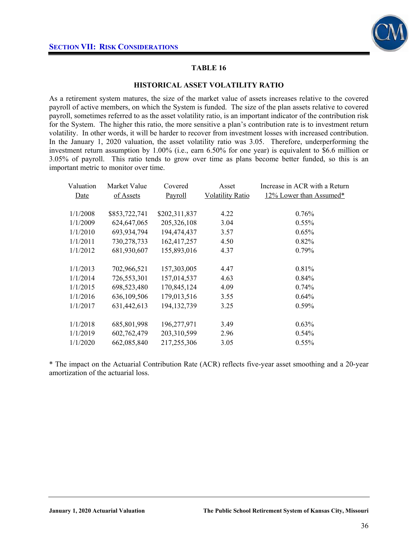

#### **HISTORICAL ASSET VOLATILITY RATIO**

As a retirement system matures, the size of the market value of assets increases relative to the covered payroll of active members, on which the System is funded. The size of the plan assets relative to covered payroll, sometimes referred to as the asset volatility ratio, is an important indicator of the contribution risk for the System. The higher this ratio, the more sensitive a plan's contribution rate is to investment return volatility. In other words, it will be harder to recover from investment losses with increased contribution. In the January 1, 2020 valuation, the asset volatility ratio was 3.05. Therefore, underperforming the investment return assumption by 1.00% (i.e., earn 6.50% for one year) is equivalent to \$6.6 million or 3.05% of payroll. This ratio tends to grow over time as plans become better funded, so this is an important metric to monitor over time.

| Valuation | Market Value  | Covered       | Asset                   | Increase in ACR with a Return |
|-----------|---------------|---------------|-------------------------|-------------------------------|
| Date      | of Assets     | Payroll       | <b>Volatility Ratio</b> | 12% Lower than Assumed*       |
|           |               |               |                         |                               |
| 1/1/2008  | \$853,722,741 | \$202,311,837 | 4.22                    | 0.76%                         |
| 1/1/2009  | 624, 647, 065 | 205,326,108   | 3.04                    | $0.55\%$                      |
| 1/1/2010  | 693,934,794   | 194,474,437   | 3.57                    | $0.65\%$                      |
| 1/1/2011  | 730,278,733   | 162,417,257   | 4.50                    | $0.82\%$                      |
| 1/1/2012  | 681,930,607   | 155,893,016   | 4.37                    | $0.79\%$                      |
|           |               |               |                         |                               |
| 1/1/2013  | 702,966,521   | 157,303,005   | 4.47                    | 0.81%                         |
| 1/1/2014  | 726,553,301   | 157,014,537   | 4.63                    | $0.84\%$                      |
| 1/1/2015  | 698,523,480   | 170,845,124   | 4.09                    | $0.74\%$                      |
| 1/1/2016  | 636,109,506   | 179,013,516   | 3.55                    | $0.64\%$                      |
| 1/1/2017  | 631,442,613   | 194, 132, 739 | 3.25                    | $0.59\%$                      |
|           |               |               |                         |                               |
| 1/1/2018  | 685,801,998   | 196,277,971   | 3.49                    | $0.63\%$                      |
| 1/1/2019  | 602,762,479   | 203,310,599   | 2.96                    | $0.54\%$                      |
| 1/1/2020  | 662,085,840   | 217,255,306   | 3.05                    | $0.55\%$                      |

\* The impact on the Actuarial Contribution Rate (ACR) reflects five-year asset smoothing and a 20-year amortization of the actuarial loss.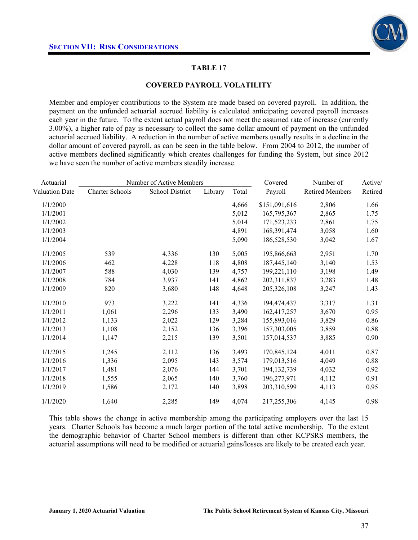

#### **COVERED PAYROLL VOLATILITY**

Member and employer contributions to the System are made based on covered payroll. In addition, the payment on the unfunded actuarial accrued liability is calculated anticipating covered payroll increases each year in the future. To the extent actual payroll does not meet the assumed rate of increase (currently 3.00%), a higher rate of pay is necessary to collect the same dollar amount of payment on the unfunded actuarial accrued liability. A reduction in the number of active members usually results in a decline in the dollar amount of covered payroll, as can be seen in the table below. From 2004 to 2012, the number of active members declined significantly which creates challenges for funding the System, but since 2012 we have seen the number of active members steadily increase.

| Actuarial             | Number of Active Members |                        |         |       | Covered       | Number of              | Active/ |
|-----------------------|--------------------------|------------------------|---------|-------|---------------|------------------------|---------|
| <b>Valuation Date</b> | <b>Charter Schools</b>   | <b>School District</b> | Library | Total | Payroll       | <b>Retired Members</b> | Retired |
| 1/1/2000              |                          |                        |         | 4,666 | \$151,091,616 | 2,806                  | 1.66    |
| 1/1/2001              |                          |                        |         | 5,012 | 165,795,367   | 2,865                  | 1.75    |
| 1/1/2002              |                          |                        |         | 5,014 | 171,523,233   | 2,861                  | 1.75    |
| 1/1/2003              |                          |                        |         | 4,891 | 168,391,474   | 3,058                  | 1.60    |
| 1/1/2004              |                          |                        |         | 5,090 | 186,528,530   | 3,042                  | 1.67    |
| 1/1/2005              | 539                      | 4,336                  | 130     | 5,005 | 195,866,663   | 2,951                  | 1.70    |
| 1/1/2006              | 462                      | 4,228                  | 118     | 4,808 | 187,445,140   | 3,140                  | 1.53    |
| 1/1/2007              | 588                      | 4,030                  | 139     | 4,757 | 199,221,110   | 3,198                  | 1.49    |
| 1/1/2008              | 784                      | 3,937                  | 141     | 4,862 | 202,311,837   | 3,283                  | 1.48    |
| 1/1/2009              | 820                      | 3,680                  | 148     | 4,648 | 205, 326, 108 | 3,247                  | 1.43    |
| 1/1/2010              | 973                      | 3,222                  | 141     | 4,336 | 194,474,437   | 3,317                  | 1.31    |
| 1/1/2011              | 1,061                    | 2,296                  | 133     | 3,490 | 162,417,257   | 3,670                  | 0.95    |
| 1/1/2012              | 1,133                    | 2,022                  | 129     | 3,284 | 155,893,016   | 3,829                  | 0.86    |
| 1/1/2013              | 1,108                    | 2,152                  | 136     | 3,396 | 157,303,005   | 3,859                  | 0.88    |
| 1/1/2014              | 1,147                    | 2,215                  | 139     | 3,501 | 157,014,537   | 3,885                  | 0.90    |
| 1/1/2015              | 1,245                    | 2,112                  | 136     | 3,493 | 170,845,124   | 4,011                  | 0.87    |
| 1/1/2016              | 1,336                    | 2,095                  | 143     | 3,574 | 179,013,516   | 4,049                  | 0.88    |
| 1/1/2017              | 1,481                    | 2,076                  | 144     | 3,701 | 194, 132, 739 | 4,032                  | 0.92    |
| 1/1/2018              | 1,555                    | 2,065                  | 140     | 3,760 | 196,277,971   | 4,112                  | 0.91    |
| 1/1/2019              | 1,586                    | 2,172                  | 140     | 3,898 | 203,310,599   | 4,113                  | 0.95    |
| 1/1/2020              | 1,640                    | 2,285                  | 149     | 4,074 | 217,255,306   | 4,145                  | 0.98    |

This table shows the change in active membership among the participating employers over the last 15 years. Charter Schools has become a much larger portion of the total active membership. To the extent the demographic behavior of Charter School members is different than other KCPSRS members, the actuarial assumptions will need to be modified or actuarial gains/losses are likely to be created each year.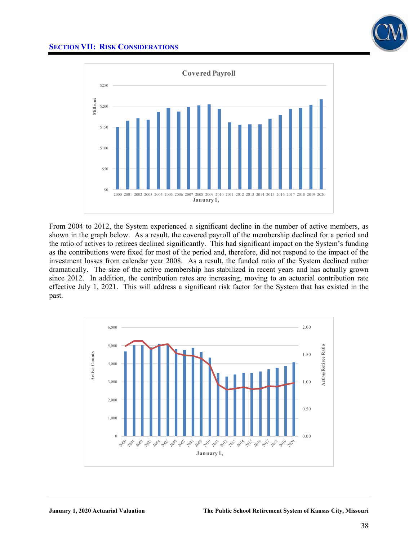



From 2004 to 2012, the System experienced a significant decline in the number of active members, as shown in the graph below. As a result, the covered payroll of the membership declined for a period and the ratio of actives to retirees declined significantly. This had significant impact on the System's funding as the contributions were fixed for most of the period and, therefore, did not respond to the impact of the investment losses from calendar year 2008. As a result, the funded ratio of the System declined rather dramatically. The size of the active membership has stabilized in recent years and has actually grown since 2012. In addition, the contribution rates are increasing, moving to an actuarial contribution rate effective July 1, 2021. This will address a significant risk factor for the System that has existed in the past.

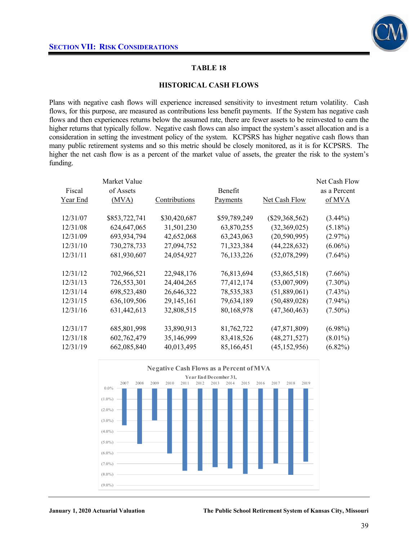

#### **HISTORICAL CASH FLOWS**

Plans with negative cash flows will experience increased sensitivity to investment return volatility. Cash flows, for this purpose, are measured as contributions less benefit payments. If the System has negative cash flows and then experiences returns below the assumed rate, there are fewer assets to be reinvested to earn the higher returns that typically follow. Negative cash flows can also impact the system's asset allocation and is a consideration in setting the investment policy of the system. KCPSRS has higher negative cash flows than many public retirement systems and so this metric should be closely monitored, as it is for KCPSRS. The higher the net cash flow is as a percent of the market value of assets, the greater the risk to the system's funding.

| Fiscal<br>Year End | Market Value<br>of Assets<br>(MVA) | Contributions | <b>Benefit</b><br>Payments | Net Cash Flow    | Net Cash Flow<br>as a Percent<br>of MVA |
|--------------------|------------------------------------|---------------|----------------------------|------------------|-----------------------------------------|
|                    |                                    |               |                            |                  |                                         |
| 12/31/07           | \$853,722,741                      | \$30,420,687  | \$59,789,249               | $(\$29,368,562)$ | $(3.44\%)$                              |
| 12/31/08           | 624, 647, 065                      | 31,501,230    | 63,870,255                 | (32,369,025)     | $(5.18\%)$                              |
| 12/31/09           | 693,934,794                        | 42,652,068    | 63,243,063                 | (20, 590, 995)   | $(2.97\%)$                              |
| 12/31/10           | 730,278,733                        | 27,094,752    | 71,323,384                 | (44, 228, 632)   | $(6.06\%)$                              |
| 12/31/11           | 681,930,607                        | 24,054,927    | 76, 133, 226               | (52,078,299)     | $(7.64\%)$                              |
|                    |                                    |               |                            |                  |                                         |
| 12/31/12           | 702,966,521                        | 22,948,176    | 76,813,694                 | (53,865,518)     | $(7.66\%)$                              |
| 12/31/13           | 726,553,301                        | 24,404,265    | 77,412,174                 | (53,007,909)     | $(7.30\%)$                              |
| 12/31/14           | 698,523,480                        | 26,646,322    | 78,535,383                 | (51,889,061)     | $(7.43\%)$                              |
| 12/31/15           | 636, 109, 506                      | 29, 145, 161  | 79,634,189                 | (50, 489, 028)   | $(7.94\%)$                              |
| 12/31/16           | 631,442,613                        | 32,808,515    | 80,168,978                 | (47,360,463)     | $(7.50\%)$                              |
|                    |                                    |               |                            |                  |                                         |
| 12/31/17           | 685,801,998                        | 33,890,913    | 81,762,722                 | (47, 871, 809)   | $(6.98\%)$                              |
| 12/31/18           | 602,762,479                        | 35,146,999    | 83,418,526                 | (48, 271, 527)   | $(8.01\%)$                              |
| 12/31/19           | 662,085,840                        | 40,013,495    | 85,166,451                 | (45, 152, 956)   | $(6.82\%)$                              |
|                    |                                    |               |                            |                  |                                         |

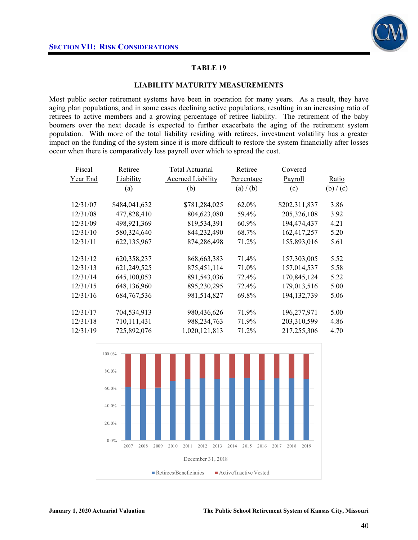

#### **LIABILITY MATURITY MEASUREMENTS**

Most public sector retirement systems have been in operation for many years. As a result, they have aging plan populations, and in some cases declining active populations, resulting in an increasing ratio of retirees to active members and a growing percentage of retiree liability. The retirement of the baby boomers over the next decade is expected to further exacerbate the aging of the retirement system population. With more of the total liability residing with retirees, investment volatility has a greater impact on the funding of the system since it is more difficult to restore the system financially after losses occur when there is comparatively less payroll over which to spread the cost.

| Fiscal   | Retiree       | <b>Total Actuarial</b>   | Retiree    | Covered       |           |
|----------|---------------|--------------------------|------------|---------------|-----------|
| Year End | Liability     | <b>Accrued Liability</b> | Percentage | Payroll       | Ratio     |
|          | (a)           | (b)                      | (a) / (b)  | (c)           | (b) / (c) |
| 12/31/07 | \$484,041,632 | \$781,284,025            | 62.0%      | \$202,311,837 | 3.86      |
| 12/31/08 | 477,828,410   | 804,623,080              | 59.4%      | 205,326,108   | 3.92      |
| 12/31/09 | 498,921,369   | 819,534,391              | 60.9%      | 194,474,437   | 4.21      |
| 12/31/10 | 580,324,640   | 844,232,490              | 68.7%      | 162,417,257   | 5.20      |
| 12/31/11 | 622,135,967   | 874,286,498              | 71.2%      | 155,893,016   | 5.61      |
|          |               |                          |            |               |           |
| 12/31/12 | 620,358,237   | 868, 663, 383            | 71.4%      | 157,303,005   | 5.52      |
| 12/31/13 | 621,249,525   | 875,451,114              | 71.0%      | 157,014,537   | 5.58      |
| 12/31/14 | 645,100,053   | 891,543,036              | 72.4%      | 170,845,124   | 5.22      |
| 12/31/15 | 648,136,960   | 895,230,295              | 72.4%      | 179,013,516   | 5.00      |
| 12/31/16 | 684, 767, 536 | 981,514,827              | 69.8%      | 194, 132, 739 | 5.06      |
|          |               |                          |            |               |           |
| 12/31/17 | 704,534,913   | 980,436,626              | 71.9%      | 196,277,971   | 5.00      |
| 12/31/18 | 710,111,431   | 988,234,763              | 71.9%      | 203,310,599   | 4.86      |
| 12/31/19 | 725,892,076   | 1,020,121,813            | 71.2%      | 217,255,306   | 4.70      |

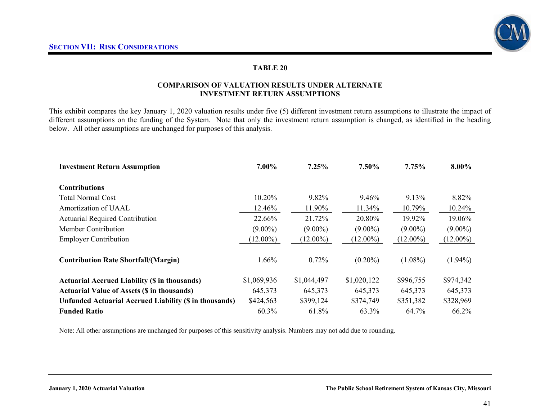

#### **COMPARISON OF VALUATION RESULTS UNDER ALTERNATE INVESTMENT RETURN ASSUMPTIONS**

This exhibit compares the key January 1, 2020 valuation results under five (5) different investment return assumptions to illustrate the impact of different assumptions on the funding of the System. Note that only the investment return assumption is changed, as identified in the heading below. All other assumptions are unchanged for purposes of this analysis.

| <b>Investment Return Assumption</b>                           | 7.00%       | 7.25%       | 7.50%       | 7.75%       | 8.00%       |
|---------------------------------------------------------------|-------------|-------------|-------------|-------------|-------------|
| <b>Contributions</b>                                          |             |             |             |             |             |
| Total Normal Cost                                             | 10.20%      | 9.82%       | 9.46%       | 9.13%       | 8.82%       |
| Amortization of UAAL                                          | 12.46%      | 11.90%      | 11.34%      | 10.79%      | 10.24%      |
| <b>Actuarial Required Contribution</b>                        | 22.66%      | 21.72%      | 20.80%      | 19.92%      | 19.06%      |
| <b>Member Contribution</b>                                    | $(9.00\%)$  | $(9.00\%)$  | $(9.00\%)$  | $(9.00\%)$  | $(9.00\%)$  |
| <b>Employer Contribution</b>                                  | $(12.00\%)$ | $(12.00\%)$ | $(12.00\%)$ | $(12.00\%)$ | $(12.00\%)$ |
| <b>Contribution Rate Shortfall/(Margin)</b>                   | 1.66%       | 0.72%       | $(0.20\%)$  | $(1.08\%)$  | $(1.94\%)$  |
| <b>Actuarial Accrued Liability (\$ in thousands)</b>          | \$1,069,936 | \$1,044,497 | \$1,020,122 | \$996,755   | \$974,342   |
| <b>Actuarial Value of Assets (\$ in thousands)</b>            | 645,373     | 645,373     | 645,373     | 645,373     | 645,373     |
| <b>Unfunded Actuarial Accrued Liability (\$ in thousands)</b> | \$424,563   | \$399,124   | \$374,749   | \$351,382   | \$328,969   |
| <b>Funded Ratio</b>                                           | 60.3%       | 61.8%       | 63.3%       | 64.7%       | 66.2%       |

Note: All other assumptions are unchanged for purposes of this sensitivity analysis. Numbers may not add due to rounding.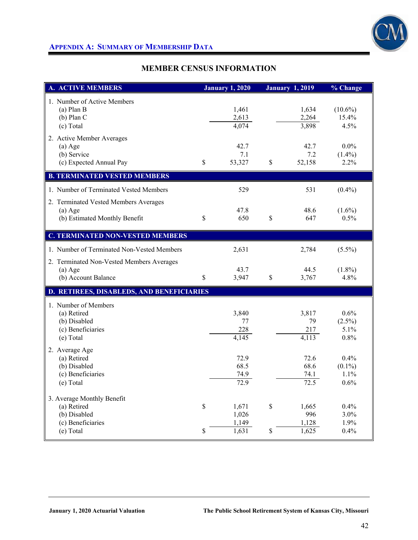

# **APPENDIX A: SUMMARY OF MEMBERSHIP DATA**

# **MEMBER CENSUS INFORMATION**

| A. ACTIVE MEMBERS                                                                           |             | <b>January 1, 2020</b>           |             | <b>January 1, 2019</b>         | % Change                             |
|---------------------------------------------------------------------------------------------|-------------|----------------------------------|-------------|--------------------------------|--------------------------------------|
| 1. Number of Active Members<br>$(a)$ Plan B<br>$(b)$ Plan C<br>(c) Total                    |             | 1,461<br>2,613<br>4,074          |             | 1,634<br>2,264<br>3,898        | $(10.6\%)$<br>15.4%<br>4.5%          |
| 2. Active Member Averages<br>$(a)$ Age<br>(b) Service<br>(c) Expected Annual Pay            | $\mathbf S$ | 42.7<br>7.1<br>53,327            | \$          | 42.7<br>7.2<br>52,158          | $0.0\%$<br>$(1.4\%)$<br>2.2%         |
| <b>B. TERMINATED VESTED MEMBERS</b>                                                         |             |                                  |             |                                |                                      |
| 1. Number of Terminated Vested Members                                                      |             | 529                              |             | 531                            | $(0.4\%)$                            |
| 2. Terminated Vested Members Averages<br>$(a)$ Age<br>(b) Estimated Monthly Benefit         | \$          | 47.8<br>650                      | \$          | 48.6<br>647                    | $(1.6\%)$<br>0.5%                    |
| <b>C. TERMINATED NON-VESTED MEMBERS</b>                                                     |             |                                  |             |                                |                                      |
| 1. Number of Terminated Non-Vested Members                                                  |             | 2,631                            |             | 2,784                          | $(5.5\%)$                            |
| 2. Terminated Non-Vested Members Averages<br>$(a)$ Age<br>(b) Account Balance               | \$          | 43.7<br>3,947                    | $\mathbf S$ | 44.5<br>3,767                  | $(1.8\%)$<br>4.8%                    |
| D. RETIREES, DISABLEDS, AND BENEFICIARIES                                                   |             |                                  |             |                                |                                      |
| 1. Number of Members<br>(a) Retired<br>(b) Disabled<br>(c) Beneficiaries<br>(e) Total       |             | 3,840<br>77<br>228<br>4,145      |             | 3,817<br>79<br>217<br>4,113    | 0.6%<br>$(2.5\%)$<br>5.1%<br>0.8%    |
| 2. Average Age<br>(a) Retired<br>(b) Disabled<br>(c) Beneficiaries<br>(e) Total             |             | 72.9<br>68.5<br>74.9<br>72.9     |             | 72.6<br>68.6<br>74.1<br>72.5   | $0.4\%$<br>$(0.1\%)$<br>1.1%<br>0.6% |
| 3. Average Monthly Benefit<br>(a) Retired<br>(b) Disabled<br>(c) Beneficiaries<br>(e) Total | \$<br>\$    | 1,671<br>1,026<br>1,149<br>1,631 | \$<br>\$    | 1,665<br>996<br>1.128<br>1,625 | 0.4%<br>3.0%<br>1.9%<br>0.4%         |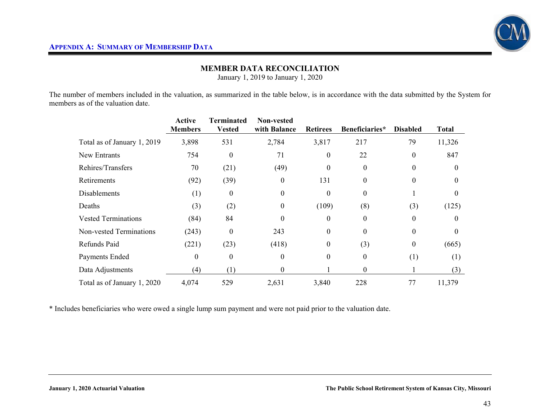## **MEMBER DATA RECONCILIATION**

January 1, 2019 to January 1, 2020

The number of members included in the valuation, as summarized in the table below, is in accordance with the data submitted by the System for members as of the valuation date.

|                             | <b>Active</b><br><b>Members</b> | Terminated<br><b>Vested</b> | <b>Non-vested</b><br>with Balance | <b>Retirees</b>  | Beneficiaries* | <b>Disabled</b> | <b>Total</b> |
|-----------------------------|---------------------------------|-----------------------------|-----------------------------------|------------------|----------------|-----------------|--------------|
| Total as of January 1, 2019 | 3,898                           | 531                         | 2,784                             | 3,817            | 217            | 79              | 11,326       |
| New Entrants                | 754                             | $\theta$                    | 71                                | $\boldsymbol{0}$ | 22             | $\theta$        | 847          |
| Rehires/Transfers           | 70                              | (21)                        | (49)                              | $\boldsymbol{0}$ | $\Omega$       | $\Omega$        | $\theta$     |
| Retirements                 | (92)                            | (39)                        | $\boldsymbol{0}$                  | 131              | $\theta$       | $\theta$        | $\theta$     |
| <b>Disablements</b>         | (1)                             | $\bf{0}$                    | $\boldsymbol{0}$                  | $\boldsymbol{0}$ | $\theta$       |                 |              |
| Deaths                      | (3)                             | (2)                         | $\boldsymbol{0}$                  | (109)            | (8)            | (3)             | (125)        |
| <b>Vested Terminations</b>  | (84)                            | 84                          | $\theta$                          | $\boldsymbol{0}$ | $\Omega$       | $\Omega$        |              |
| Non-vested Terminations     | (243)                           | $\theta$                    | 243                               | $\boldsymbol{0}$ | $\Omega$       | $\Omega$        | $\Omega$     |
| Refunds Paid                | (221)                           | (23)                        | (418)                             | $\boldsymbol{0}$ | (3)            | $\theta$        | (665)        |
| Payments Ended              | $\theta$                        | $\theta$                    | $\theta$                          | $\boldsymbol{0}$ | $\theta$       | (1)             | (1)          |
| Data Adjustments            | (4)                             | (1)                         | $\boldsymbol{0}$                  |                  | $\theta$       |                 | (3)          |
| Total as of January 1, 2020 | 4,074                           | 529                         | 2,631                             | 3,840            | 228            | 77              | 11,379       |

\* Includes beneficiaries who were owed a single lump sum payment and were not paid prior to the valuation date.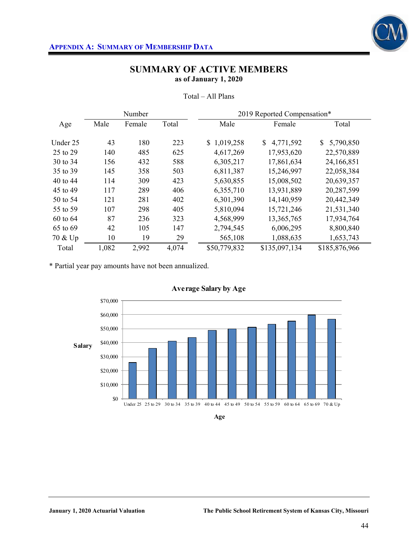

|          |       | Number |       |              | 2019 Reported Compensation* |                 |
|----------|-------|--------|-------|--------------|-----------------------------|-----------------|
| Age      | Male  | Female | Total | Male         | Female                      | Total           |
|          |       |        |       |              |                             |                 |
| Under 25 | 43    | 180    | 223   | \$1,019,258  | 4,771,592<br>\$             | 5,790,850<br>S. |
| 25 to 29 | 140   | 485    | 625   | 4,617,269    | 17,953,620                  | 22,570,889      |
| 30 to 34 | 156   | 432    | 588   | 6,305,217    | 17,861,634                  | 24,166,851      |
| 35 to 39 | 145   | 358    | 503   | 6,811,387    | 15,246,997                  | 22,058,384      |
| 40 to 44 | 114   | 309    | 423   | 5,630,855    | 15,008,502                  | 20,639,357      |
| 45 to 49 | 117   | 289    | 406   | 6,355,710    | 13,931,889                  | 20,287,599      |
| 50 to 54 | 121   | 281    | 402   | 6,301,390    | 14,140,959                  | 20,442,349      |
| 55 to 59 | 107   | 298    | 405   | 5,810,094    | 15,721,246                  | 21,531,340      |
| 60 to 64 | 87    | 236    | 323   | 4,568,999    | 13,365,765                  | 17,934,764      |
| 65 to 69 | 42    | 105    | 147   | 2,794,545    | 6,006,295                   | 8,800,840       |
| 70 & Up  | 10    | 19     | 29    | 565,108      | 1,088,635                   | 1,653,743       |
| Total    | 1,082 | 2,992  | 4,074 | \$50,779,832 | \$135,097,134               | \$185,876,966   |

Total – All Plans

\* Partial year pay amounts have not been annualized.



**Age**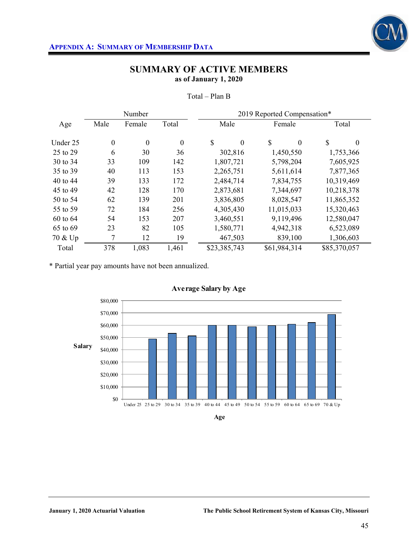

|          | Number           |                  |                  | 2019 Reported Compensation* |                |                |  |  |
|----------|------------------|------------------|------------------|-----------------------------|----------------|----------------|--|--|
| Age      | Male             | Female           | Total            | Male                        | Female         | Total          |  |  |
| Under 25 | $\boldsymbol{0}$ | $\boldsymbol{0}$ | $\boldsymbol{0}$ | \$<br>$\boldsymbol{0}$      | \$<br>$\theta$ | \$<br>$\theta$ |  |  |
| 25 to 29 | 6                | 30               | 36               | 302,816                     | 1,450,550      | 1,753,366      |  |  |
| 30 to 34 | 33               | 109              | 142              | 1,807,721                   | 5,798,204      | 7,605,925      |  |  |
| 35 to 39 | 40               | 113              | 153              | 2,265,751                   | 5,611,614      | 7,877,365      |  |  |
| 40 to 44 | 39               | 133              | 172              | 2,484,714                   | 7,834,755      | 10,319,469     |  |  |
| 45 to 49 | 42               | 128              | 170              | 2,873,681                   | 7,344,697      | 10,218,378     |  |  |
| 50 to 54 | 62               | 139              | 201              | 3,836,805                   | 8,028,547      | 11,865,352     |  |  |
| 55 to 59 | 72               | 184              | 256              | 4,305,430                   | 11,015,033     | 15,320,463     |  |  |
| 60 to 64 | 54               | 153              | 207              | 3,460,551                   | 9,119,496      | 12,580,047     |  |  |
| 65 to 69 | 23               | 82               | 105              | 1,580,771                   | 4,942,318      | 6,523,089      |  |  |
| 70 & Up  | 7                | 12               | 19               | 467,503                     | 839,100        | 1,306,603      |  |  |
| Total    | 378              | 1,083            | 1,461            | \$23,385,743                | \$61,984,314   | \$85,370,057   |  |  |

Total – Plan B

\* Partial year pay amounts have not been annualized.



**Age**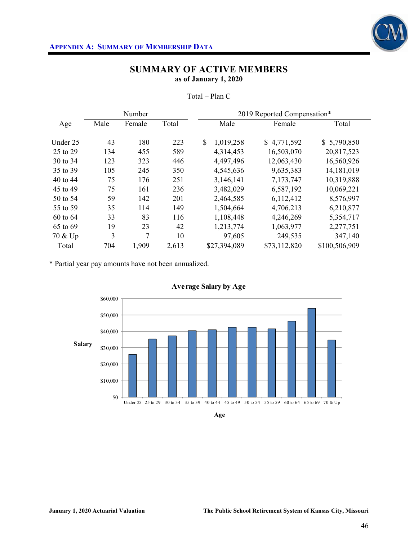

|          |      | Number |       |                 | 2019 Reported Compensation* |               |
|----------|------|--------|-------|-----------------|-----------------------------|---------------|
| Age      | Male | Female | Total | Male            | Female                      | Total         |
| Under 25 | 43   | 180    | 223   | \$<br>1,019,258 | \$4,771,592                 | \$5,790,850   |
| 25 to 29 | 134  | 455    | 589   | 4,314,453       | 16,503,070                  | 20,817,523    |
| 30 to 34 | 123  | 323    | 446   | 4,497,496       | 12,063,430                  | 16,560,926    |
| 35 to 39 | 105  | 245    | 350   | 4,545,636       | 9,635,383                   | 14, 181, 019  |
| 40 to 44 | 75   | 176    | 251   | 3,146,141       | 7,173,747                   | 10,319,888    |
| 45 to 49 | 75   | 161    | 236   | 3,482,029       | 6,587,192                   | 10,069,221    |
| 50 to 54 | 59   | 142    | 201   | 2,464,585       | 6,112,412                   | 8,576,997     |
| 55 to 59 | 35   | 114    | 149   | 1,504,664       | 4,706,213                   | 6,210,877     |
| 60 to 64 | 33   | 83     | 116   | 1,108,448       | 4,246,269                   | 5,354,717     |
| 65 to 69 | 19   | 23     | 42    | 1,213,774       | 1,063,977                   | 2,277,751     |
| 70 & Up  | 3    | 7      | 10    | 97,605          | 249,535                     | 347,140       |
| Total    | 704  | 1,909  | 2,613 | \$27,394,089    | \$73,112,820                | \$100,506,909 |

Total – Plan C

\* Partial year pay amounts have not been annualized.



**Age**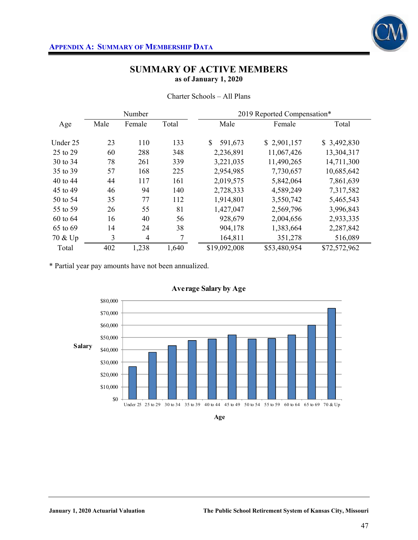

|  |  | Charter Schools - All Plans |
|--|--|-----------------------------|
|--|--|-----------------------------|

|          |      | Number         |       | 2019 Reported Compensation* |              |              |  |  |
|----------|------|----------------|-------|-----------------------------|--------------|--------------|--|--|
| Age      | Male | Female         | Total | Male                        | Female       | Total        |  |  |
| Under 25 | 23   | 110            | 133   | \$<br>591,673               | \$2,901,157  | \$3,492,830  |  |  |
| 25 to 29 | 60   | 288            | 348   | 2,236,891                   | 11,067,426   | 13,304,317   |  |  |
| 30 to 34 | 78   | 261            | 339   | 3,221,035                   | 11,490,265   | 14,711,300   |  |  |
| 35 to 39 | 57   | 168            | 225   | 2,954,985                   | 7,730,657    | 10,685,642   |  |  |
| 40 to 44 | 44   | 117            | 161   | 2,019,575                   | 5,842,064    | 7,861,639    |  |  |
| 45 to 49 | 46   | 94             | 140   | 2,728,333                   | 4,589,249    | 7,317,582    |  |  |
| 50 to 54 | 35   | 77             | 112   | 1,914,801                   | 3,550,742    | 5,465,543    |  |  |
| 55 to 59 | 26   | 55             | 81    | 1,427,047                   | 2,569,796    | 3,996,843    |  |  |
| 60 to 64 | 16   | 40             | 56    | 928,679                     | 2,004,656    | 2,933,335    |  |  |
| 65 to 69 | 14   | 24             | 38    | 904,178                     | 1,383,664    | 2,287,842    |  |  |
| 70 & Up  | 3    | $\overline{4}$ | 7     | 164,811                     | 351,278      | 516,089      |  |  |
| Total    | 402  | 1,238          | 1,640 | \$19,092,008                | \$53,480,954 | \$72,572,962 |  |  |

\* Partial year pay amounts have not been annualized.



**Age**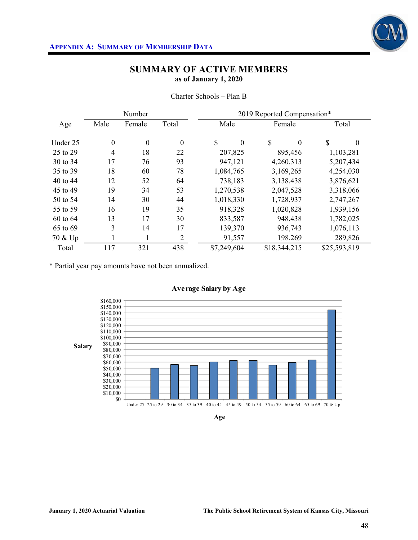

|          |                  | Number           |                  | 2019 Reported Compensation* |                           |                |  |  |  |
|----------|------------------|------------------|------------------|-----------------------------|---------------------------|----------------|--|--|--|
| Age      | Male             | Female           | Total            | Male                        | Female                    | Total          |  |  |  |
| Under 25 | $\boldsymbol{0}$ | $\boldsymbol{0}$ | $\boldsymbol{0}$ | \$<br>$\boldsymbol{0}$      | <sup>\$</sup><br>$\theta$ | \$<br>$\theta$ |  |  |  |
| 25 to 29 | $\overline{4}$   | 18               | 22               | 207,825                     | 895,456                   | 1,103,281      |  |  |  |
| 30 to 34 | 17               | 76               | 93               | 947,121                     | 4,260,313                 | 5,207,434      |  |  |  |
| 35 to 39 | 18               | 60               | 78               | 1,084,765                   | 3,169,265                 | 4,254,030      |  |  |  |
| 40 to 44 | 12               | 52               | 64               | 738,183                     | 3,138,438                 | 3,876,621      |  |  |  |
| 45 to 49 | 19               | 34               | 53               | 1,270,538                   | 2,047,528                 | 3,318,066      |  |  |  |
| 50 to 54 | 14               | 30               | 44               | 1,018,330                   | 1,728,937                 | 2,747,267      |  |  |  |
| 55 to 59 | 16               | 19               | 35               | 918,328                     | 1,020,828                 | 1,939,156      |  |  |  |
| 60 to 64 | 13               | 17               | 30               | 833,587                     | 948,438                   | 1,782,025      |  |  |  |
| 65 to 69 | 3                | 14               | 17               | 139,370                     | 936,743                   | 1,076,113      |  |  |  |
| 70 & Up  | $\mathbf{I}$     | Ι.               | $\overline{2}$   | 91,557                      | 198,269                   | 289,826        |  |  |  |
| Total    | 117              | 321              | 438              | \$7,249,604                 | \$18,344,215              | \$25,593,819   |  |  |  |

Charter Schools – Plan B

\* Partial year pay amounts have not been annualized.



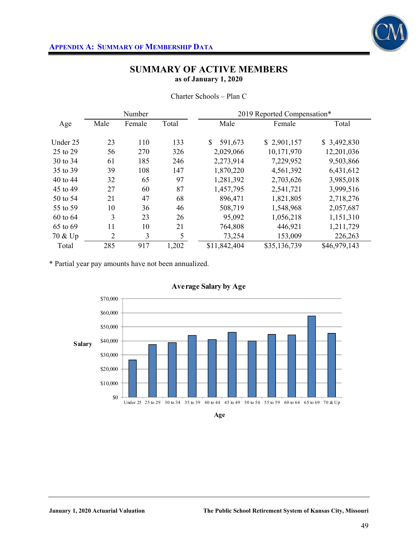

|          |                | Number |       | 2019 Reported Compensation* |              |              |  |  |
|----------|----------------|--------|-------|-----------------------------|--------------|--------------|--|--|
| Age      | Male           | Female | Total | Male                        | Female       | Total        |  |  |
| Under 25 | 23             | 110    | 133   | 591,673                     | \$2,901,157  | \$3,492,830  |  |  |
| 25 to 29 | 56             | 270    | 326   | 2,029,066                   | 10,171,970   | 12,201,036   |  |  |
| 30 to 34 | 61             | 185    | 246   | 2,273,914                   | 7,229,952    | 9,503,866    |  |  |
| 35 to 39 | 39             | 108    | 147   | 1,870,220                   | 4,561,392    | 6,431,612    |  |  |
| 40 to 44 | 32             | 65     | 97    | 1,281,392                   | 2,703,626    | 3,985,018    |  |  |
| 45 to 49 | 27             | 60     | 87    | 1,457,795                   | 2,541,721    | 3,999,516    |  |  |
| 50 to 54 | 21             | 47     | 68    | 896,471                     | 1,821,805    | 2,718,276    |  |  |
| 55 to 59 | 10             | 36     | 46    | 508,719                     | 1,548,968    | 2,057,687    |  |  |
| 60 to 64 | 3              | 23     | 26    | 95,092                      | 1,056,218    | 1,151,310    |  |  |
| 65 to 69 | 11             | 10     | 21    | 764,808                     | 446,921      | 1,211,729    |  |  |
| 70 & Up  | $\overline{2}$ | 3      | 5     | 73,254                      | 153,009      | 226,263      |  |  |
| Total    | 285            | 917    | 1,202 | \$11,842,404                | \$35,136,739 | \$46,979,143 |  |  |

Charter Schools – Plan C

\* Partial year pay amounts have not been annualized.

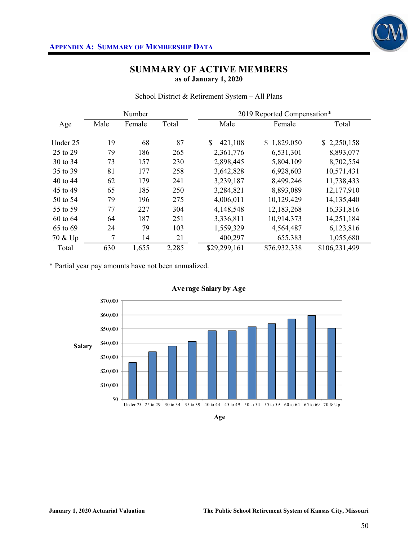

School District & Retirement System – All Plans

|          |      | Number |       | 2019 Reported Compensation* |              |               |  |  |
|----------|------|--------|-------|-----------------------------|--------------|---------------|--|--|
| Age      | Male | Female | Total | Male                        | Female       | Total         |  |  |
| Under 25 | 19   | 68     | 87    | \$<br>421,108               | \$1,829,050  | \$2,250,158   |  |  |
| 25 to 29 | 79   | 186    | 265   | 2,361,776                   | 6,531,301    | 8,893,077     |  |  |
| 30 to 34 | 73   | 157    | 230   | 2,898,445                   | 5,804,109    | 8,702,554     |  |  |
| 35 to 39 | 81   | 177    | 258   | 3,642,828                   | 6,928,603    | 10,571,431    |  |  |
| 40 to 44 | 62   | 179    | 241   | 3,239,187                   | 8,499,246    | 11,738,433    |  |  |
| 45 to 49 | 65   | 185    | 250   | 3,284,821                   | 8,893,089    | 12,177,910    |  |  |
| 50 to 54 | 79   | 196    | 275   | 4,006,011                   | 10,129,429   | 14,135,440    |  |  |
| 55 to 59 | 77   | 227    | 304   | 4,148,548                   | 12, 183, 268 | 16,331,816    |  |  |
| 60 to 64 | 64   | 187    | 251   | 3,336,811                   | 10,914,373   | 14,251,184    |  |  |
| 65 to 69 | 24   | 79     | 103   | 1,559,329                   | 4,564,487    | 6,123,816     |  |  |
| 70 & Up  | 7    | 14     | 21    | 400,297                     | 655,383      | 1,055,680     |  |  |
| Total    | 630  | 1,655  | 2,285 | \$29,299,161                | \$76,932,338 | \$106,231,499 |  |  |

\* Partial year pay amounts have not been annualized.



**Age**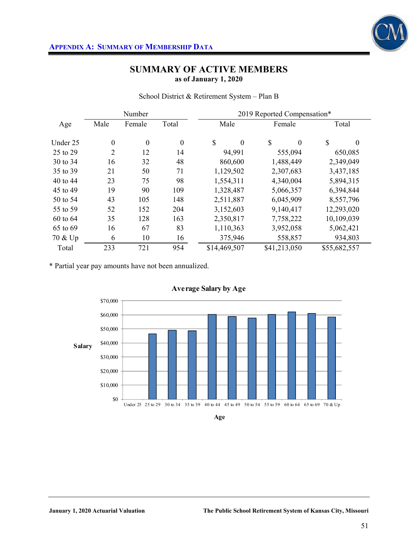

|  | School District & Retirement System - Plan B |  |  |
|--|----------------------------------------------|--|--|
|  |                                              |  |  |

|          |                  | Number           |                  | 2019 Reported Compensation*       |                           |              |  |  |  |
|----------|------------------|------------------|------------------|-----------------------------------|---------------------------|--------------|--|--|--|
| Age      | Male             | Female           | Total            | Male                              | Female                    | Total        |  |  |  |
| Under 25 | $\boldsymbol{0}$ | $\boldsymbol{0}$ | $\boldsymbol{0}$ | $\mathcal{S}$<br>$\boldsymbol{0}$ | $\mathcal{S}$<br>$\theta$ | \$<br>0      |  |  |  |
| 25 to 29 | $\overline{2}$   | 12               | 14               | 94,991                            | 555,094                   | 650,085      |  |  |  |
| 30 to 34 | 16               | 32               | 48               | 860,600                           | 1,488,449                 | 2,349,049    |  |  |  |
| 35 to 39 | 21               | 50               | 71               | 1,129,502                         | 2,307,683                 | 3,437,185    |  |  |  |
| 40 to 44 | 23               | 75               | 98               | 1,554,311                         | 4,340,004                 | 5,894,315    |  |  |  |
| 45 to 49 | 19               | 90               | 109              | 1,328,487                         | 5,066,357                 | 6,394,844    |  |  |  |
| 50 to 54 | 43               | 105              | 148              | 2,511,887                         | 6,045,909                 | 8,557,796    |  |  |  |
| 55 to 59 | 52               | 152              | 204              | 3,152,603                         | 9,140,417                 | 12,293,020   |  |  |  |
| 60 to 64 | 35               | 128              | 163              | 2,350,817                         | 7,758,222                 | 10,109,039   |  |  |  |
| 65 to 69 | 16               | 67               | 83               | 1,110,363                         | 3,952,058                 | 5,062,421    |  |  |  |
| 70 & Up  | 6                | 10               | 16               | 375,946                           | 558,857                   | 934,803      |  |  |  |
| Total    | 233              | 721              | 954              | \$14,469,507                      | \$41,213,050              | \$55,682,557 |  |  |  |

\* Partial year pay amounts have not been annualized.



**Age**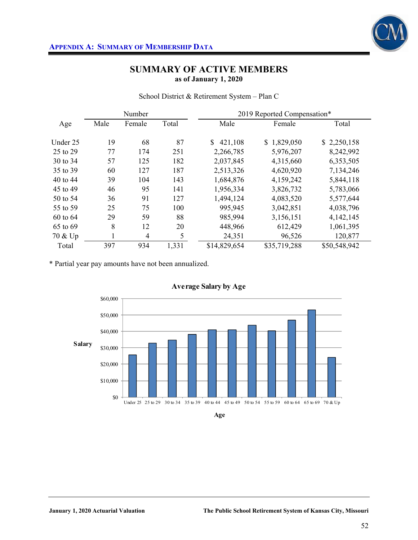

School District & Retirement System – Plan C

|          |      | Number         |       | 2019 Reported Compensation* |              |              |  |  |
|----------|------|----------------|-------|-----------------------------|--------------|--------------|--|--|
| Age      | Male | Female         | Total | Male                        | Female       | Total        |  |  |
| Under 25 | 19   | 68             | 87    | $\mathbb{S}$<br>421,108     | \$1,829,050  | \$2,250,158  |  |  |
| 25 to 29 | 77   | 174            | 251   | 2,266,785                   | 5,976,207    | 8,242,992    |  |  |
| 30 to 34 | 57   | 125            | 182   | 2,037,845                   | 4,315,660    | 6,353,505    |  |  |
| 35 to 39 | 60   | 127            | 187   | 2,513,326                   | 4,620,920    | 7,134,246    |  |  |
| 40 to 44 | 39   | 104            | 143   | 1,684,876                   | 4,159,242    | 5,844,118    |  |  |
| 45 to 49 | 46   | 95             | 141   | 1,956,334                   | 3,826,732    | 5,783,066    |  |  |
| 50 to 54 | 36   | 91             | 127   | 1,494,124                   | 4,083,520    | 5,577,644    |  |  |
| 55 to 59 | 25   | 75             | 100   | 995,945                     | 3,042,851    | 4,038,796    |  |  |
| 60 to 64 | 29   | 59             | 88    | 985,994                     | 3,156,151    | 4,142,145    |  |  |
| 65 to 69 | 8    | 12             | 20    | 448,966                     | 612,429      | 1,061,395    |  |  |
| 70 & Up  |      | $\overline{4}$ | 5     | 24,351                      | 96,526       | 120,877      |  |  |
| Total    | 397  | 934            | 1,331 | \$14,829,654                | \$35,719,288 | \$50,548,942 |  |  |

\* Partial year pay amounts have not been annualized.





**Age**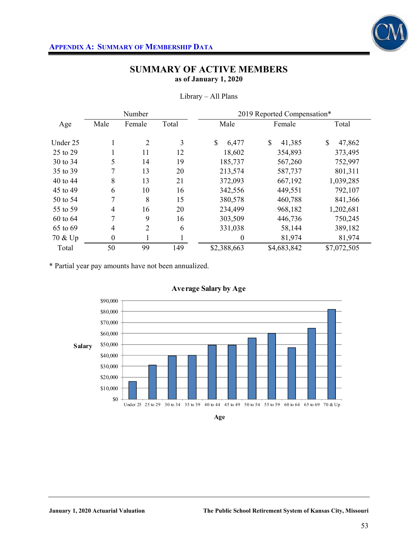

|          |                  | Number |       | 2019 Reported Compensation* |              |                         |  |  |  |
|----------|------------------|--------|-------|-----------------------------|--------------|-------------------------|--|--|--|
| Age      | Male             | Female | Total | Male                        | Female       | Total                   |  |  |  |
| Under 25 | Ι.               | 2      | 3     | \$<br>6,477                 | \$<br>41,385 | $\mathcal{S}$<br>47,862 |  |  |  |
| 25 to 29 |                  | 11     | 12    | 18,602                      | 354,893      | 373,495                 |  |  |  |
| 30 to 34 | 5                | 14     | 19    | 185,737                     | 567,260      | 752,997                 |  |  |  |
| 35 to 39 | 7                | 13     | 20    | 213,574                     | 587,737      | 801,311                 |  |  |  |
| 40 to 44 | 8                | 13     | 21    | 372,093                     | 667,192      | 1,039,285               |  |  |  |
| 45 to 49 | 6                | 10     | 16    | 342,556                     | 449,551      | 792,107                 |  |  |  |
| 50 to 54 | 7                | 8      | 15    | 380,578                     | 460,788      | 841,366                 |  |  |  |
| 55 to 59 | $\overline{4}$   | 16     | 20    | 234,499                     | 968,182      | 1,202,681               |  |  |  |
| 60 to 64 | 7                | 9      | 16    | 303,509                     | 446,736      | 750,245                 |  |  |  |
| 65 to 69 | $\overline{4}$   | 2      | 6     | 331,038                     | 58,144       | 389,182                 |  |  |  |
| 70 & Up  | $\boldsymbol{0}$ |        |       | 0                           | 81,974       | 81,974                  |  |  |  |
| Total    | 50               | 99     | 149   | \$2,388,663                 | \$4,683,842  | \$7,072,505             |  |  |  |

Library – All Plans

\* Partial year pay amounts have not been annualized.



**Age**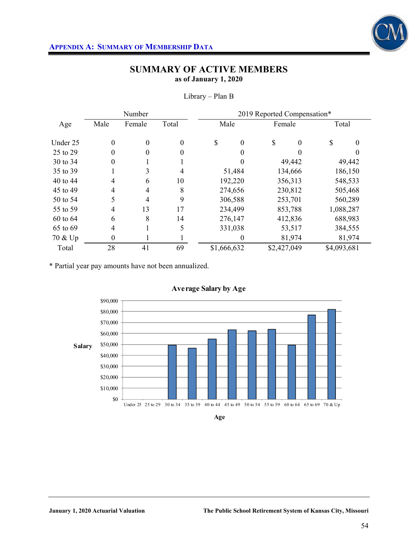

|          |                  | Number           |                  | 2019 Reported Compensation* |                  |             |          |             |         |  |
|----------|------------------|------------------|------------------|-----------------------------|------------------|-------------|----------|-------------|---------|--|
| Age      | Male             | Female           | Total            |                             | Male             |             | Female   |             | Total   |  |
| Under 25 | $\boldsymbol{0}$ | $\boldsymbol{0}$ | $\boldsymbol{0}$ | \$                          | $\boldsymbol{0}$ | \$          | $\Omega$ | S           | 0       |  |
| 25 to 29 | 0                | 0                | $\theta$         |                             | 0                |             |          |             |         |  |
| 30 to 34 | 0                |                  |                  |                             | 0                |             | 49,442   |             | 49,442  |  |
| 35 to 39 |                  | 3                | 4                |                             | 51,484           |             | 134,666  |             | 186,150 |  |
| 40 to 44 | 4                | 6                | 10               |                             | 192,220          |             | 356,313  | 548,533     |         |  |
| 45 to 49 | $\overline{4}$   | $\overline{4}$   | 8                |                             | 274,656          |             | 230,812  |             | 505,468 |  |
| 50 to 54 | 5                | 4                | 9                |                             | 306,588          |             | 253,701  |             | 560,289 |  |
| 55 to 59 | 4                | 13               | 17               |                             | 234,499          |             | 853,788  | 1,088,287   |         |  |
| 60 to 64 | 6                | 8                | 14               |                             | 276,147          |             | 412,836  |             | 688,983 |  |
| 65 to 69 | $\overline{4}$   |                  | 5                |                             | 331,038          |             | 53,517   | 384,555     |         |  |
| 70 & Up  | $\mathbf{0}$     |                  |                  |                             | 0                |             | 81,974   |             | 81,974  |  |
| Total    | 28               | 41               | 69               | \$1,666,632                 |                  | \$2,427,049 |          | \$4,093,681 |         |  |

Library – Plan B

\* Partial year pay amounts have not been annualized.



**Age**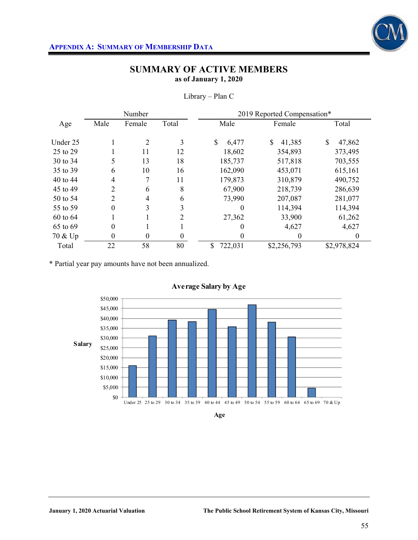

|          |                | Number         |                | 2019 Reported Compensation* |              |              |  |  |  |
|----------|----------------|----------------|----------------|-----------------------------|--------------|--------------|--|--|--|
| Age      | Male           | Female         | Total          | Male                        | Female       | Total        |  |  |  |
|          |                |                |                |                             |              |              |  |  |  |
| Under 25 |                | $\overline{2}$ | 3              | \$<br>6,477                 | \$<br>41,385 | \$<br>47,862 |  |  |  |
| 25 to 29 |                | 11             | 12             | 18,602                      | 354,893      | 373,495      |  |  |  |
| 30 to 34 | 5              | 13             | 18             | 185,737                     | 517,818      | 703,555      |  |  |  |
| 35 to 39 | 6              | 10             | 16             | 162,090                     | 453,071      | 615,161      |  |  |  |
| 40 to 44 | $\overline{4}$ | 7              | 11             | 179,873                     | 310,879      | 490,752      |  |  |  |
| 45 to 49 | 2              | 6              | 8              | 67,900                      | 218,739      | 286,639      |  |  |  |
| 50 to 54 | $\overline{2}$ | 4              | 6              | 73,990                      | 207,087      | 281,077      |  |  |  |
| 55 to 59 | 0              | 3              | 3              | 0                           | 114,394      | 114,394      |  |  |  |
| 60 to 64 |                |                | $\overline{2}$ | 27,362                      | 33,900       | 61,262       |  |  |  |
| 65 to 69 | 0              |                |                | $\theta$                    | 4,627        | 4,627        |  |  |  |
| 70 & Up  | 0              | $\theta$       | $\theta$       | 0                           | $^{(1)}$     | $\Omega$     |  |  |  |
| Total    | 22             | 58             | 80             | \$<br>722,031               | \$2,256,793  | \$2,978,824  |  |  |  |

Library – Plan C

\* Partial year pay amounts have not been annualized.



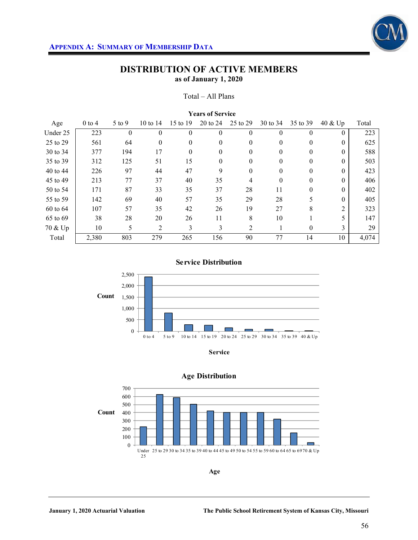

#### Total – All Plans

| <b>Years of Service</b> |          |          |              |          |          |                  |          |          |            |       |
|-------------------------|----------|----------|--------------|----------|----------|------------------|----------|----------|------------|-------|
| Age                     | $0$ to 4 | $5$ to 9 | 10 to $14$   | 15 to 19 | 20 to 24 | 25 to 29         | 30 to 34 | 35 to 39 | $40 \& Up$ | Total |
| Under 25                | 223      | $\theta$ | 0            | $\theta$ | $\theta$ | $\boldsymbol{0}$ | $\Omega$ | $\theta$ | $\Omega$   | 223   |
| 25 to 29                | 561      | 64       | $\mathbf{0}$ | $\theta$ | $\theta$ | $\mathbf{0}$     | $\Omega$ | $\theta$ | $\Omega$   | 625   |
| 30 to 34                | 377      | 194      | 17           | $\theta$ | $\theta$ | $\mathbf{0}$     | $\Omega$ | $\theta$ | $\Omega$   | 588   |
| 35 to 39                | 312      | 125      | 51           | 15       | $\theta$ | $\mathbf{0}$     | 0        | $\theta$ | $\Omega$   | 503   |
| 40 to 44                | 226      | 97       | 44           | 47       | 9        | $\boldsymbol{0}$ | $\Omega$ | $\theta$ | $\Omega$   | 423   |
| 45 to 49                | 213      | 77       | 37           | 40       | 35       | 4                | $\Omega$ | $\theta$ | $\Omega$   | 406   |
| 50 to 54                | 171      | 87       | 33           | 35       | 37       | 28               | 11       | $\theta$ | $\Omega$   | 402   |
| 55 to 59                | 142      | 69       | 40           | 57       | 35       | 29               | 28       | 5        | $\Omega$   | 405   |
| 60 to 64                | 107      | 57       | 35           | 42       | 26       | 19               | 27       | 8        | 2          | 323   |
| 65 to 69                | 38       | 28       | 20           | 26       | 11       | 8                | 10       |          |            | 147   |
| 70 & Up                 | 10       | 5        | 2            | 3        | 3        | 2                |          | $\theta$ | 3          | 29    |
| Total                   | 2,380    | 803      | 279          | 265      | 156      | 90               | 77       | 14       | 10         | 4,074 |

#### **Service Distribution**







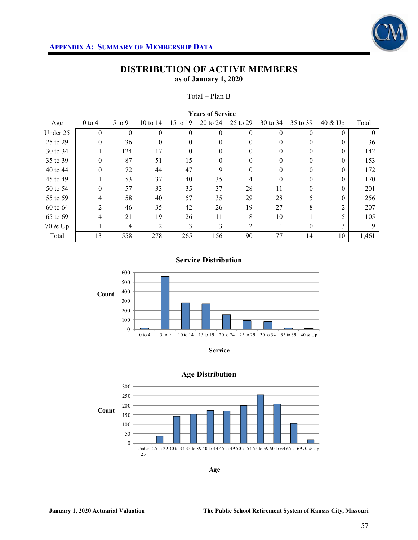

#### Total – Plan B

| <b>Years of Service</b> |                |          |            |          |          |          |          |          |          |                    |
|-------------------------|----------------|----------|------------|----------|----------|----------|----------|----------|----------|--------------------|
| Age                     | $0$ to 4       | 5 to 9   | 10 to $14$ | 15 to 19 | 20 to 24 | 25 to 29 | 30 to 34 | 35 to 39 | 40 & Up  | Total              |
| Under 25                | $\theta$       | $\theta$ | $\theta$   | $\theta$ | $\Omega$ | $\theta$ | 0        | $\theta$ | $\Omega$ | $\left( 0 \right)$ |
| 25 to 29                | $\theta$       | 36       | $\theta$   | $\theta$ | $\theta$ | 0        | 0        | $\theta$ | $\theta$ | 36                 |
| 30 to 34                |                | 124      | 17         | 0        | 0        | 0        |          | 0        | $\Omega$ | 142                |
| 35 to 39                | $\theta$       | 87       | 51         | 15       | $\Omega$ | $\theta$ | 0        | $\Omega$ | $\Omega$ | 153                |
| 40 to 44                | 0              | 72       | 44         | 47       | 9        | $\theta$ | 0        | $\theta$ | $\Omega$ | 172                |
| 45 to 49                |                | 53       | 37         | 40       | 35       | 4        |          | 0        | $\Omega$ | 170                |
| 50 to 54                | $\theta$       | 57       | 33         | 35       | 37       | 28       | 11       | $\Omega$ | $\Omega$ | 201                |
| 55 to 59                | 4              | 58       | 40         | 57       | 35       | 29       | 28       | 5        | $\Omega$ | 256                |
| 60 to 64                | $\overline{2}$ | 46       | 35         | 42       | 26       | 19       | 27       | 8        | 2        | 207                |
| 65 to 69                | 4              | 21       | 19         | 26       | 11       | 8        | 10       |          |          | 105                |
| 70 & Up                 |                | 4        | 2          | 3        | 3        | 2        |          | $\theta$ | 3        | 19                 |
| Total                   | 13             | 558      | 278        | 265      | 156      | 90       | 77       | 14       | 10       | 1,461              |

#### **Service Distribution**



**Service**





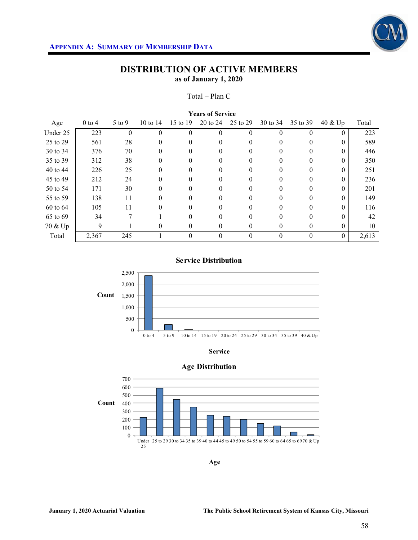

#### Total – Plan C

| <b>Years of Service</b> |          |          |            |          |          |          |          |          |            |       |  |  |
|-------------------------|----------|----------|------------|----------|----------|----------|----------|----------|------------|-------|--|--|
| Age                     | $0$ to 4 | 5 to 9   | 10 to $14$ | 15 to 19 | 20 to 24 | 25 to 29 | 30 to 34 | 35 to 39 | $40 \&$ Up | Total |  |  |
| Under 25                | 223      | $\theta$ | $\theta$   | $\theta$ | $\Omega$ | $\theta$ | $\Omega$ | $\Omega$ | $\theta$   | 223   |  |  |
| 25 to 29                | 561      | 28       | 0          | 0        | 0        | 0        |          | 0        | $\Omega$   | 589   |  |  |
| 30 to 34                | 376      | 70       | $\theta$   | $\Omega$ | 0        | 0        | 0        | $\theta$ | $\Omega$   | 446   |  |  |
| 35 to 39                | 312      | 38       | 0          |          |          | 0        |          | 0        | $\Omega$   | 350   |  |  |
| 40 to 44                | 226      | 25       | 0          | $\Omega$ | 0        | $\Omega$ |          | $\Omega$ | $\Omega$   | 251   |  |  |
| 45 to 49                | 212      | 24       | $\theta$   | 0        | 0        | 0        |          | 0        | $\Omega$   | 236   |  |  |
| 50 to 54                | 171      | 30       | $\theta$   |          | 0        | 0        |          | 0        | $\Omega$   | 201   |  |  |
| 55 to 59                | 138      | 11       | 0          | $\Omega$ | 0        | $\Omega$ | 0        | $\Omega$ | $\Omega$   | 149   |  |  |
| 60 to 64                | 105      | 11       | 0          |          |          | 0        |          | 0        | $\Omega$   | 116   |  |  |
| 65 to 69                | 34       | 7        |            |          | 0        | 0        |          | 0        | $\Omega$   | 42    |  |  |
| 70 & Up                 | 9        |          | 0          | $\theta$ | $\Omega$ | 0        | $\Omega$ | $\theta$ | $\Omega$   | 10    |  |  |
| Total                   | 2,367    | 245      |            | $\theta$ |          | $\theta$ |          | $\theta$ | $\theta$   | 2,613 |  |  |

### **Service Distribution**





#### **Age Distribution**

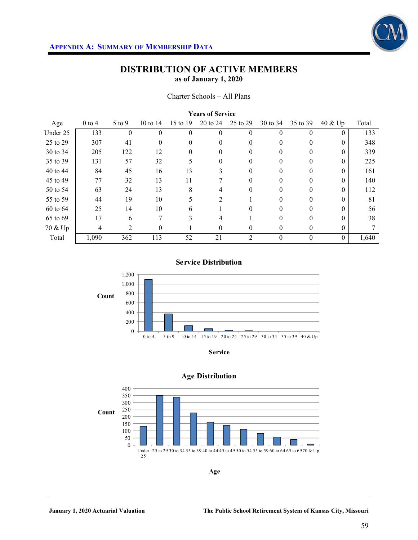

#### Charter Schools – All Plans

| <b>Years of Service</b> |          |          |            |          |                |          |          |          |          |       |  |  |
|-------------------------|----------|----------|------------|----------|----------------|----------|----------|----------|----------|-------|--|--|
| Age                     | $0$ to 4 | $5$ to 9 | 10 to $14$ | 15 to 19 | 20 to 24       | 25 to 29 | 30 to 34 | 35 to 39 | 40 & Up  | Total |  |  |
| Under 25                | 133      | $\theta$ | $\theta$   | $\theta$ | $\Omega$       | 0        | $\Omega$ | $\Omega$ | $\theta$ | 133   |  |  |
| 25 to 29                | 307      | 41       | $\Omega$   | $\Omega$ | $\Omega$       | 0        | $\Omega$ | $\Omega$ | $\Omega$ | 348   |  |  |
| 30 to 34                | 205      | 122      | 12         | $\theta$ | $\theta$       | 0        | $\theta$ | $\theta$ | $\theta$ | 339   |  |  |
| 35 to 39                | 131      | 57       | 32         | 5        | $\Omega$       | 0        |          | $\Omega$ | $\Omega$ | 225   |  |  |
| 40 to 44                | 84       | 45       | 16         | 13       | 3              | 0        | $\Omega$ | $\Omega$ | $\Omega$ | 161   |  |  |
| 45 to 49                | 77       | 32       | 13         | 11       |                | 0        | 0        | $\theta$ | $\Omega$ | 140   |  |  |
| 50 to 54                | 63       | 24       | 13         | 8        | 4              | 0        | 0        | $\Omega$ | $\Omega$ | 112   |  |  |
| 55 to 59                | 44       | 19       | 10         | 5        | $\overline{2}$ |          | $\Omega$ | $\Omega$ | $\Omega$ | 81    |  |  |
| 60 to 64                | 25       | 14       | 10         | 6        |                | 0        |          | 0        | 0        | 56    |  |  |
| 65 to 69                | 17       | 6        | 7          | 3        | 4              |          | $\Omega$ | $\Omega$ | $\Omega$ | 38    |  |  |
| 70 & Up                 | 4        | 2        | $\theta$   |          | $\theta$       | 0        | $\theta$ | $\theta$ | $\theta$ |       |  |  |
| Total                   | 1,090    | 362      | 113        | 52       | 21             | 2        | $\theta$ | $\theta$ | $\theta$ | 1,640 |  |  |

#### **Service Distribution**







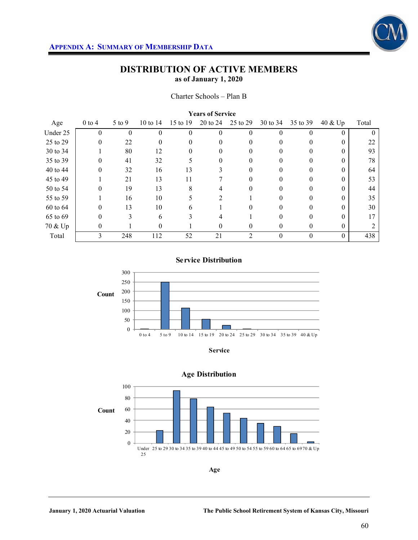

#### Charter Schools – Plan B

| <b>Years of Service</b> |                |          |            |          |          |          |          |          |                    |          |  |  |
|-------------------------|----------------|----------|------------|----------|----------|----------|----------|----------|--------------------|----------|--|--|
| Age                     | $0$ to 4       | 5 to 9   | 10 to $14$ | 15 to 19 | 20 to 24 | 25 to 29 | 30 to 34 | 35 to 39 | 40 & Up            | Total    |  |  |
| Under 25                | $\overline{0}$ | $\theta$ | 0          | $\theta$ | 0        | $\Omega$ |          | 0        | $\theta$           | $\theta$ |  |  |
| 25 to 29                | $\theta$       | 22       | 0          | 0        | 0        |          |          | 0        | $\Omega$           | 22       |  |  |
| 30 to 34                |                | 80       | 12         | 0        | 0        | $^{(1)}$ | $^{(1)}$ | 0        | 0                  | 93       |  |  |
| 35 to 39                | $\theta$       | 41       | 32         |          | 0        |          |          |          | 0                  | 78       |  |  |
| 40 to 44                | $\theta$       | 32       | 16         | 13       | 3        | 0        |          | 0        | $\theta$           | 64       |  |  |
| 45 to 49                |                | 21       | 13         | 11       |          |          |          | $\theta$ | $\theta$           | 53       |  |  |
| 50 to 54                | $\theta$       | 19       | 13         | 8        | 4        |          |          |          | 0                  | 44       |  |  |
| 55 to 59                |                | 16       | 10         |          | 2        |          | 0        | 0        | 0                  | 35       |  |  |
| 60 to 64                | 0              | 13       | 10         | 6        |          |          |          |          | 0                  | 30       |  |  |
| 65 to 69                | 0              | 3        | 6          |          | 4        |          |          | 0        | $\Omega$           | 17       |  |  |
| 70 & Up                 | 0              |          | 0          |          | $\theta$ | $_{0}$   | $\theta$ | $\theta$ | $\left( 0 \right)$ |          |  |  |
| Total                   | 3              | 248      | 112        | 52       | 21       | 2        |          | $\theta$ | $\theta$           | 438      |  |  |

#### **Service Distribution**



**Service**



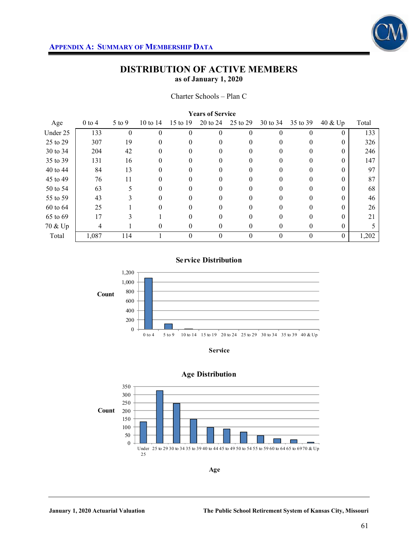

Charter Schools – Plan C

| <b>Years of Service</b> |            |            |          |          |          |          |          |          |            |       |  |  |
|-------------------------|------------|------------|----------|----------|----------|----------|----------|----------|------------|-------|--|--|
| Age                     | $0$ to $4$ | $5$ to $9$ | 10 to 14 | 15 to 19 | 20 to 24 | 25 to 29 | 30 to 34 | 35 to 39 | $40 \& Up$ | Total |  |  |
| Under 25                | 133        | $\theta$   | 0        | $\theta$ | $\Omega$ | 0        |          | $\theta$ | $\theta$   | 133   |  |  |
| 25 to 29                | 307        | 19         |          |          | 0        |          |          | 0        | $\Omega$   | 326   |  |  |
| 30 to 34                | 204        | 42         | 0        | 0        | 0        | $\Omega$ | $\theta$ | $\theta$ | $\Omega$   | 246   |  |  |
| 35 to 39                | 131        | 16         |          |          |          |          |          | 0        | $\theta$   | 147   |  |  |
| 40 to 44                | 84         | 13         |          |          | 0        |          |          | 0        | $\Omega$   | 97    |  |  |
| 45 to 49                | 76         | 11         |          | 0        | $\theta$ | $_{0}$   | $\theta$ | 0        | $\Omega$   | 87    |  |  |
| 50 to 54                | 63         |            |          |          |          |          |          |          | 0          | 68    |  |  |
| 55 to 59                | 43         |            | 0        | 0        | 0        | $\Omega$ | $\theta$ | $\Omega$ | $\Omega$   | 46    |  |  |
| 60 to 64                | 25         |            |          |          |          |          |          | 0        | $\theta$   | 26    |  |  |
| 65 to 69                | 17         |            |          |          | 0        |          |          | 0        | 0          | 21    |  |  |
| 70 & Up                 | 4          |            | 0        | $\theta$ | 0        | 0        | $\theta$ | $\theta$ | $\Omega$   |       |  |  |
| Total                   | 1,087      | 114        |          | $\theta$ | $\theta$ | 0        | $\Omega$ | $\theta$ | $\theta$   | 1,202 |  |  |

## **Service Distribution**







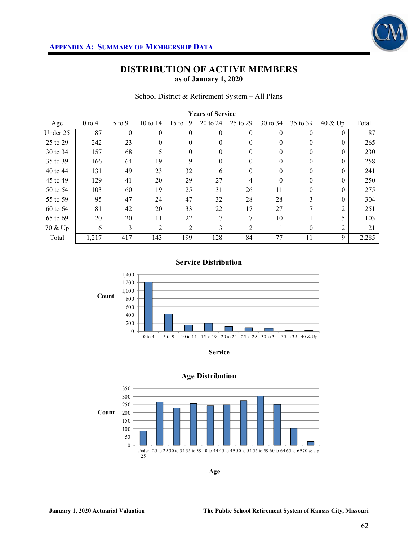

School District & Retirement System – All Plans

| <b>Years of Service</b> |          |            |                |              |          |          |          |          |                |       |  |  |
|-------------------------|----------|------------|----------------|--------------|----------|----------|----------|----------|----------------|-------|--|--|
| Age                     | $0$ to 4 | $5$ to $9$ | 10 to $14$     | 15 to 19     | 20 to 24 | 25 to 29 | 30 to 34 | 35 to 39 | 40 & Up        | Total |  |  |
| Under 25                | 87       | $\theta$   | $\Omega$       | $\Omega$     | $\Omega$ | $\theta$ | $\Omega$ | $\Omega$ | 0              | 87    |  |  |
| 25 to 29                | 242      | 23         | 0              | $\mathbf{0}$ | $\theta$ | 0        | $\theta$ | $\theta$ | $\theta$       | 265   |  |  |
| 30 to 34                | 157      | 68         | 5              | $\Omega$     | $\Omega$ | 0        | 0        | $\Omega$ | $\Omega$       | 230   |  |  |
| 35 to 39                | 166      | 64         | 19             | 9            | $\Omega$ | $\theta$ | $\Omega$ | $\Omega$ | $\Omega$       | 258   |  |  |
| 40 to 44                | 131      | 49         | 23             | 32           | 6        | 0        | $\theta$ | $\theta$ | $\theta$       | 241   |  |  |
| 45 to 49                | 129      | 41         | 20             | 29           | 27       | 4        | $\Omega$ | $\theta$ | $\Omega$       | 250   |  |  |
| 50 to 54                | 103      | 60         | 19             | 25           | 31       | 26       | 11       | $\Omega$ | $\Omega$       | 275   |  |  |
| 55 to 59                | 95       | 47         | 24             | 47           | 32       | 28       | 28       | 3        | $\Omega$       | 304   |  |  |
| 60 to 64                | 81       | 42         | 20             | 33           | 22       | 17       | 27       | 7        | $\overline{2}$ | 251   |  |  |
| 65 to 69                | 20       | 20         | 11             | 22           | 7        | 7        | 10       |          |                | 103   |  |  |
| 70 & Up                 | 6        | 3          | $\overline{2}$ | 2            | 3        | 2        |          | $\theta$ | 2              | 21    |  |  |
| Total                   | 1,217    | 417        | 143            | 199          | 128      | 84       | 77       | 11       | 9              | 2,285 |  |  |

#### **Service Distribution**



**Service**



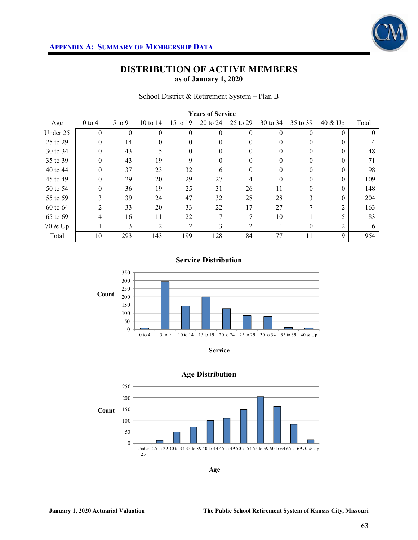

#### School District & Retirement System – Plan B

| <b>Years of Service</b> |                |          |            |          |          |          |          |          |                |          |  |  |
|-------------------------|----------------|----------|------------|----------|----------|----------|----------|----------|----------------|----------|--|--|
| Age                     | $0$ to 4       | 5 to 9   | 10 to $14$ | 15 to 19 | 20 to 24 | 25 to 29 | 30 to 34 | 35 to 39 | $40 \&$ Up     | Total    |  |  |
| Under 25                | $\theta$       | $\theta$ | $\theta$   | $\theta$ | $\theta$ | $\theta$ | $\Omega$ | $\theta$ | $\Omega$       | $\theta$ |  |  |
| 25 to 29                | $\theta$       | 14       | $\theta$   | $\Omega$ | $\Omega$ | $\Omega$ | 0        | $\Omega$ | $\Omega$       | 14       |  |  |
| 30 to 34                | $\theta$       | 43       | 5          | $\theta$ | $\Omega$ | $\Omega$ | $\Omega$ | $\theta$ | $\Omega$       | 48       |  |  |
| 35 to 39                | $\overline{0}$ | 43       | 19         | 9        | 0        | 0        |          | $\theta$ | $\Omega$       | 71       |  |  |
| 40 to 44                | $\theta$       | 37       | 23         | 32       | 6        | 0        | 0        | $\Omega$ | $\Omega$       | 98       |  |  |
| 45 to 49                | $\theta$       | 29       | 20         | 29       | 27       | 4        | $\Omega$ | $\theta$ | $\Omega$       | 109      |  |  |
| 50 to 54                | $\theta$       | 36       | 19         | 25       | 31       | 26       | 11       | 0        | $\Omega$       | 148      |  |  |
| 55 to 59                | 3              | 39       | 24         | 47       | 32       | 28       | 28       | 3        | $\Omega$       | 204      |  |  |
| 60 to 64                | 2              | 33       | 20         | 33       | 22       | 17       | 27       |          | $\overline{2}$ | 163      |  |  |
| 65 to 69                | 4              | 16       | 11         | 22       | 7        | 7        | 10       |          |                | 83       |  |  |
| 70 & Up                 |                | 3        | 2          | 2        | 3        | 2        |          | $\theta$ | 2              | 16       |  |  |
| Total                   | 10             | 293      | 143        | 199      | 128      | 84       | 77       | 11       | 9              | 954      |  |  |

#### **Service Distribution**



**Service**



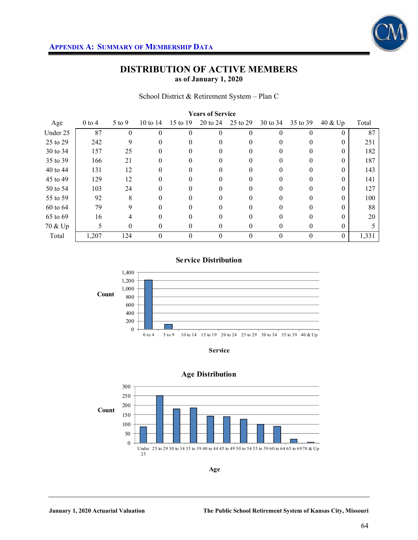

School District & Retirement System – Plan C

| <b>Years of Service</b> |            |          |            |          |          |              |          |          |            |       |  |  |
|-------------------------|------------|----------|------------|----------|----------|--------------|----------|----------|------------|-------|--|--|
| Age                     | $0$ to $4$ | 5 to 9   | 10 to $14$ | 15 to 19 | 20 to 24 | 25 to 29     | 30 to 34 | 35 to 39 | $40 \&$ Up | Total |  |  |
| Under 25                | 87         | $\theta$ | $\theta$   | $\theta$ | $\Omega$ | $\theta$     |          | $\Omega$ | $\Omega$   | 87    |  |  |
| 25 to 29                | 242        | 9        | 0          |          | 0        | 0            |          | 0        | $\Omega$   | 251   |  |  |
| 30 to 34                | 157        | 25       | 0          | 0        | 0        | 0            | $\theta$ | 0        | $\Omega$   | 182   |  |  |
| 35 to 39                | 166        | 21       |            |          |          |              |          | 0        | $\theta$   | 187   |  |  |
| 40 to 44                | 131        | 12       | $\Omega$   | 0        | 0        | $\mathbf{0}$ |          | 0        | $\Omega$   | 143   |  |  |
| 45 to 49                | 129        | 12       | 0          | 0        | 0        | $_{0}$       |          | 0        | $\Omega$   | 141   |  |  |
| 50 to 54                | 103        | 24       |            |          | 0        | 0            |          |          | 0          | 127   |  |  |
| 55 to 59                | 92         | 8        | 0          | $\Omega$ | 0        | 0            | 0        | $\Omega$ | $\Omega$   | 100   |  |  |
| 60 to 64                | 79         | 9        | 0          |          |          |              |          | 0        | $\Omega$   | 88    |  |  |
| 65 to 69                | 16         |          |            |          | 0        |              |          | 0        | $\Omega$   | 20    |  |  |
| 70 & Up                 | 5          | $\theta$ | 0          | 0        | $\Omega$ | 0            | 0        | $\Omega$ | $\Omega$   |       |  |  |
| Total                   | 1,207      | 124      | 0          | $\theta$ | $\Omega$ | $\theta$     |          | $\theta$ | $\theta$   | 1,331 |  |  |

#### **Service Distribution**



**Service**

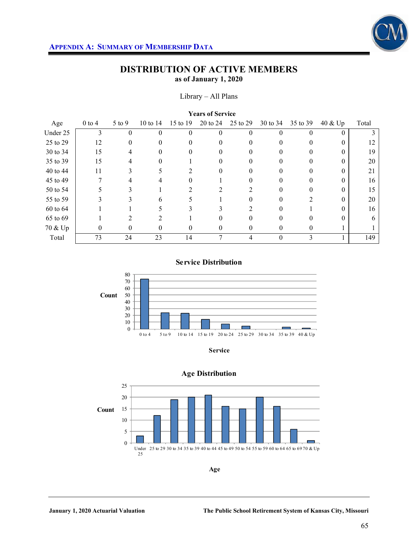

#### Library – All Plans

| <b>Years of Service</b> |            |            |                             |          |          |          |          |          |          |       |  |  |
|-------------------------|------------|------------|-----------------------------|----------|----------|----------|----------|----------|----------|-------|--|--|
| Age                     | $0$ to $4$ | $5$ to $9$ | 10 to 14                    | 15 to 19 | 20 to 24 | 25 to 29 | 30 to 34 | 35 to 39 | 40 & Up  | Total |  |  |
| Under 25                | 3          | $\theta$   | $\theta$                    | $\Omega$ | $\Omega$ | 0        | $\Omega$ | 0        | $\theta$ |       |  |  |
| 25 to 29                | 12         | 0          | 0                           |          | 0        |          |          | 0        |          | 12    |  |  |
| 30 to 34                | 15         | 4          | 0                           | $\theta$ | 0        | 0        | $\theta$ | $\theta$ | 0        | 19    |  |  |
| 35 to 39                | 15         |            |                             |          |          |          |          |          |          | 20    |  |  |
| 40 to 44                | 11         |            |                             | 2        | 0        | 0        | 0        | 0        | 0        | 21    |  |  |
| 45 to 49                |            |            |                             |          |          |          |          |          | 0        | 16    |  |  |
| 50 to 54                |            |            |                             |          |          |          |          |          |          | 15    |  |  |
| 55 to 59                |            | 3          | 6                           |          |          | 0        | 0        |          |          | 20    |  |  |
| 60 to 64                |            |            |                             |          |          |          |          |          |          | 16    |  |  |
| 65 to 69                |            | っ          | $\mathcal{D}_{\mathcal{L}}$ |          | 0        |          |          | 0        |          | 6     |  |  |
| 70 & Up                 | 0          | 0          | 0                           | $\theta$ | 0        | 0        | $\theta$ | 0        |          |       |  |  |
| Total                   | 73         | 24         | 23                          | 14       |          | 4        | $\theta$ | 3        |          | 149   |  |  |

### **Service Distribution**



**Service**

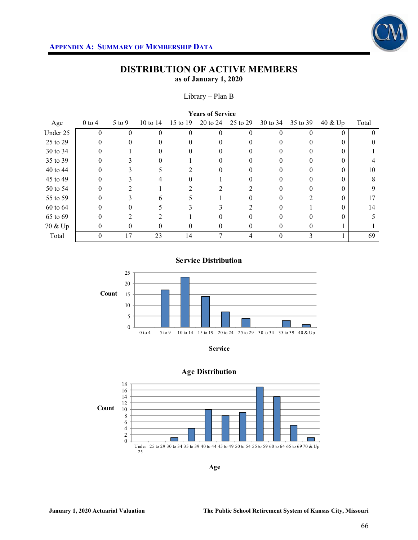

#### Library – Plan B

| <b>Years of Service</b> |            |            |                     |          |          |              |          |          |          |          |  |  |
|-------------------------|------------|------------|---------------------|----------|----------|--------------|----------|----------|----------|----------|--|--|
| Age                     | $0$ to $4$ | $5$ to $9$ | $10 \text{ to } 14$ | 15 to 19 | 20 to 24 | 25 to 29     | 30 to 34 | 35 to 39 | 40 & Up  | Total    |  |  |
| Under 25                | $\theta$   |            |                     | $\theta$ | $\theta$ | $\theta$     | $\theta$ | 0        | $\theta$ | $\theta$ |  |  |
| 25 to 29                |            |            |                     |          |          |              |          |          |          |          |  |  |
| 30 to 34                | $\theta$   |            |                     | $\theta$ | $\Omega$ | $\mathbf{0}$ | 0        | 0        | 0        |          |  |  |
| 35 to 39                |            |            |                     |          |          |              |          |          |          |          |  |  |
| 40 to 44                |            |            |                     |          | 0        |              |          |          | 0        | 10       |  |  |
| 45 to 49                |            |            |                     |          |          |              |          | 0        |          | 8        |  |  |
| 50 to 54                |            |            |                     |          |          |              |          |          |          | 9        |  |  |
| 55 to 59                | 0          | 3          | h.                  |          |          |              |          |          | 0        | 17       |  |  |
| 60 to 64                |            |            |                     |          |          |              |          |          | 0        | 14       |  |  |
| 65 to 69                |            |            |                     |          |          |              |          |          |          |          |  |  |
| 70 & Up                 | 0          | $\theta$   | $\theta$            | $\theta$ | 0        | 0            | 0        | 0        |          |          |  |  |
| Total                   | $\theta$   | 17         | 23                  | 14       | Η        |              | 0        | 3        |          | 69       |  |  |

**Service Distribution**



**Service**



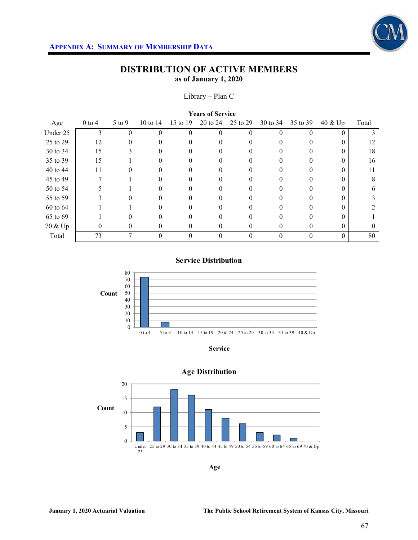

### Library – Plan C

| <b>Years of Service</b> |            |            |            |          |          |              |          |          |          |          |  |  |
|-------------------------|------------|------------|------------|----------|----------|--------------|----------|----------|----------|----------|--|--|
| Age                     | $0$ to $4$ | $5$ to $9$ | 10 to $14$ | 15 to 19 | 20 to 24 | 25 to 29     | 30 to 34 | 35 to 39 | 40 & Up  | Total    |  |  |
| Under 25                | 3          |            | 0          | $\theta$ | 0        | $\theta$     | $\theta$ | 0        | $\theta$ |          |  |  |
| 25 to 29                | 12         |            |            |          |          |              |          |          | 0        | 12       |  |  |
| 30 to 34                | 15         | 3          |            | $\theta$ | 0        | $_{0}$       | $^{(1)}$ | $\theta$ | 0        | 18       |  |  |
| 35 to 39                | 15         |            |            |          |          |              |          |          | 0        | 16       |  |  |
| 40 to 44                | 11         |            |            |          | 0        |              |          |          | 0        | 11       |  |  |
| 45 to 49                |            |            |            |          | $\theta$ | 0            | 0        | 0        | 0        | 8        |  |  |
| 50 to 54                |            |            |            |          |          |              |          |          |          | 6        |  |  |
| 55 to 59                |            | 0          |            |          | 0        | $\mathbf{0}$ |          | 0        | 0        |          |  |  |
| 60 to 64                |            |            |            |          |          |              |          |          |          |          |  |  |
| 65 to 69                |            |            |            |          |          |              |          |          |          |          |  |  |
| 70 & Up                 | 0          | $\theta$   | 0          | $\theta$ | 0        | 0            | 0        | 0        | 0        | $\Omega$ |  |  |
| Total                   | 73         |            | 0          | $\theta$ | $\Omega$ | $\theta$     | 0        | $\theta$ | $\Omega$ | 80       |  |  |

### **Service Distribution**





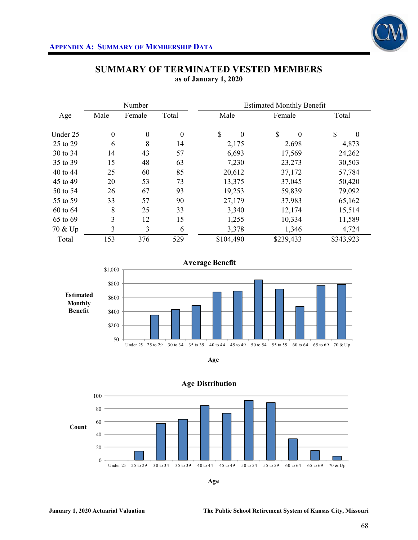

|          |                  | Number           |                  | <b>Estimated Monthly Benefit</b> |                          |                |  |  |  |  |
|----------|------------------|------------------|------------------|----------------------------------|--------------------------|----------------|--|--|--|--|
| Age      | Male             | Female           | Total            | Male                             | Female                   | Total          |  |  |  |  |
| Under 25 | $\boldsymbol{0}$ | $\boldsymbol{0}$ | $\boldsymbol{0}$ | \$<br>$\theta$                   | $\mathbb{S}$<br>$\Omega$ | \$<br>$\theta$ |  |  |  |  |
| 25 to 29 | 6                | 8                | 14               | 2,175                            | 2,698                    | 4,873          |  |  |  |  |
| 30 to 34 | 14               | 43               | 57               | 6,693                            | 17,569                   | 24,262         |  |  |  |  |
| 35 to 39 | 15               | 48               | 63               | 7,230                            | 23,273                   | 30,503         |  |  |  |  |
| 40 to 44 | 25               | 60               | 85               | 20,612                           | 37,172                   | 57,784         |  |  |  |  |
| 45 to 49 | 20               | 53               | 73               | 13,375                           | 37,045                   | 50,420         |  |  |  |  |
| 50 to 54 | 26               | 67               | 93               | 19,253                           | 59,839                   | 79,092         |  |  |  |  |
| 55 to 59 | 33               | 57               | 90               | 27,179                           | 37,983                   | 65,162         |  |  |  |  |
| 60 to 64 | 8                | 25               | 33               | 3,340                            | 12,174                   | 15,514         |  |  |  |  |
| 65 to 69 | 3                | 12               | 15               | 1,255                            | 10,334                   | 11,589         |  |  |  |  |
| 70 & Up  | 3                | 3                | 6                | 3,378                            | 1,346                    | 4,724          |  |  |  |  |
| Total    | 153              | 376              | 529              | \$104,490                        | \$239,433                | \$343,923      |  |  |  |  |

### **SUMMARY OF TERMINATED VESTED MEMBERS as of January 1, 2020**







**Age Distribution**

**January 1, 2020 Actuarial Valuation The Public School Retirement System of Kansas City, Missouri**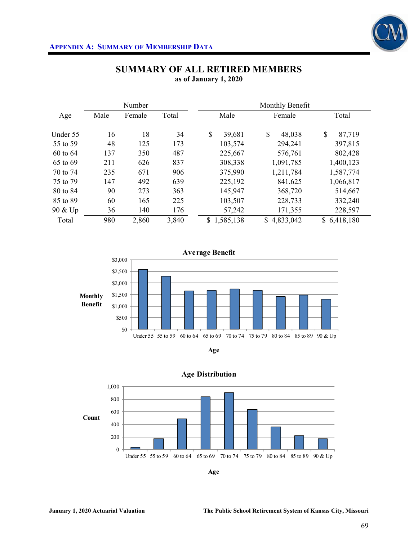

|          |      | Number |       |                 | Monthly Benefit |              |
|----------|------|--------|-------|-----------------|-----------------|--------------|
| Age      | Male | Female | Total | Male            | Female          | Total        |
| Under 55 | 16   | 18     | 34    | \$<br>39,681    | \$<br>48,038    | \$<br>87,719 |
| 55 to 59 | 48   | 125    | 173   | 103,574         | 294,241         | 397,815      |
| 60 to 64 | 137  | 350    | 487   | 225,667         | 576,761         | 802,428      |
| 65 to 69 | 211  | 626    | 837   | 308,338         | 1,091,785       | 1,400,123    |
| 70 to 74 | 235  | 671    | 906   | 375,990         | 1,211,784       | 1,587,774    |
| 75 to 79 | 147  | 492    | 639   | 225,192         | 841,625         | 1,066,817    |
| 80 to 84 | 90   | 273    | 363   | 145,947         | 368,720         | 514,667      |
| 85 to 89 | 60   | 165    | 225   | 103,507         | 228,733         | 332,240      |
| 90 & Up  | 36   | 140    | 176   | 57,242          | 171,355         | 228,597      |
| Total    | 980  | 2,860  | 3,840 | 1,585,138<br>\$ | \$4,833,042     | \$6,418,180  |

# **SUMMARY OF ALL RETIRED MEMBERS as of January 1, 2020**







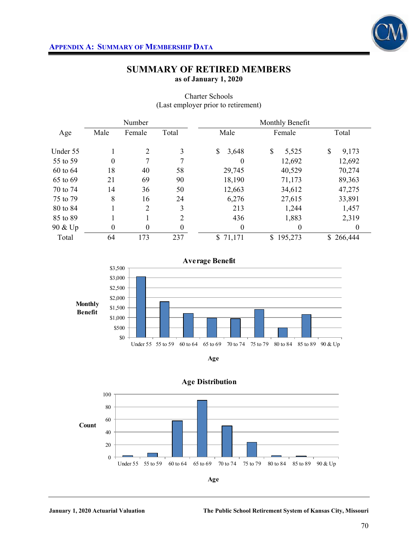

# **SUMMARY OF RETIRED MEMBERS as of January 1, 2020**

|              |                  | Number         |                  |             | Monthly Benefit       |             |
|--------------|------------------|----------------|------------------|-------------|-----------------------|-------------|
| Age          | Male             | Female         | Total            | Male        | Female                | Total       |
| Under 55     |                  | 2              | 3                | \$<br>3,648 | $\mathbb{S}$<br>5,525 | \$<br>9,173 |
| 55 to 59     | $\boldsymbol{0}$ | 7              | 7                | $\theta$    | 12,692                | 12,692      |
| $60$ to $64$ | 18               | 40             | 58               | 29,745      | 40,529                | 70,274      |
| 65 to 69     | 21               | 69             | 90               | 18,190      | 71,173                | 89,363      |
| 70 to 74     | 14               | 36             | 50               | 12,663      | 34,612                | 47,275      |
| 75 to 79     | 8                | 16             | 24               | 6,276       | 27,615                | 33,891      |
| 80 to 84     |                  | $\overline{2}$ | 3                | 213         | 1,244                 | 1,457       |
| 85 to 89     |                  |                | $\overline{2}$   | 436         | 1,883                 | 2,319       |
| 90 & Up      | $\boldsymbol{0}$ | $\overline{0}$ | $\boldsymbol{0}$ | $\theta$    | 0                     | $\theta$    |
| Total        | 64               | 173            | 237              | \$71,171    | \$<br>195,273         | \$266,444   |

# Charter Schools (Last employer prior to retirement)







# **Age Distribution**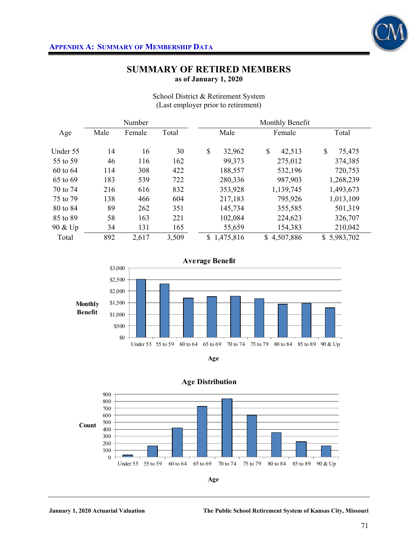

# **SUMMARY OF RETIRED MEMBERS as of January 1, 2020**

|          |      | Number |       |              | Monthly Benefit |              |
|----------|------|--------|-------|--------------|-----------------|--------------|
| Age      | Male | Female | Total | Male         | Female          | Total        |
| Under 55 | 14   | 16     | 30    | \$<br>32,962 | \$<br>42,513    | \$<br>75,475 |
| 55 to 59 | 46   | 116    | 162   | 99,373       | 275,012         | 374,385      |
| 60 to 64 | 114  | 308    | 422   | 188,557      | 532,196         | 720,753      |
| 65 to 69 | 183  | 539    | 722   | 280,336      | 987,903         | 1,268,239    |
| 70 to 74 | 216  | 616    | 832   | 353,928      | 1,139,745       | 1,493,673    |
| 75 to 79 | 138  | 466    | 604   | 217,183      | 795,926         | 1,013,109    |
| 80 to 84 | 89   | 262    | 351   | 145,734      | 355,585         | 501,319      |
| 85 to 89 | 58   | 163    | 221   | 102,084      | 224,623         | 326,707      |
| 90 & Up  | 34   | 131    | 165   | 55,659       | 154,383         | 210,042      |
| Total    | 892  | 2,617  | 3,509 | \$1,475,816  | 4,507,886<br>S  | \$5,983,702  |

School District & Retirement System (Last employer prior to retirement)







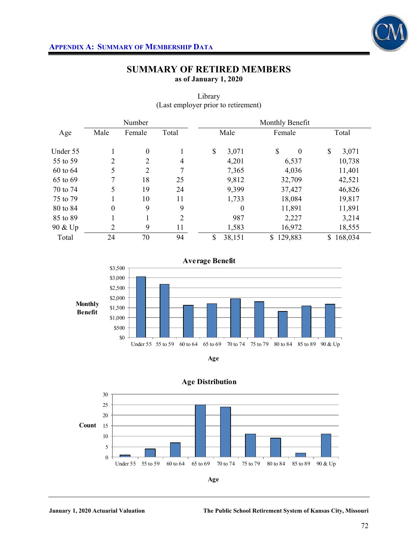

# **SUMMARY OF RETIRED MEMBERS as of January 1, 2020**

|          |                  | Number           |                |              | Monthly Benefit          |                         |
|----------|------------------|------------------|----------------|--------------|--------------------------|-------------------------|
| Age      | Male             | Female           | Total          | Male         | Female                   | Total                   |
| Under 55 |                  | $\boldsymbol{0}$ |                | \$<br>3,071  | $\mathbb{S}$<br>$\theta$ | \$<br>3,071             |
| 55 to 59 | $\overline{2}$   | $\overline{2}$   | 4              | 4,201        | 6,537                    | 10,738                  |
| 60 to 64 | 5                | $\overline{2}$   | 7              | 7,365        | 4,036                    | 11,401                  |
| 65 to 69 | 7                | 18               | 25             | 9,812        | 32,709                   | 42,521                  |
| 70 to 74 | 5                | 19               | 24             | 9,399        | 37,427                   | 46,826                  |
| 75 to 79 |                  | 10               | 11             | 1,733        | 18,084                   | 19,817                  |
| 80 to 84 | $\boldsymbol{0}$ | 9                | 9              | $\theta$     | 11,891                   | 11,891                  |
| 85 to 89 |                  | 1                | $\overline{2}$ | 987          | 2,227                    | 3,214                   |
| 90 & Up  | $\overline{2}$   | 9                | 11             | 1,583        | 16,972                   | 18,555                  |
| Total    | 24               | 70               | 94             | \$<br>38,151 | 129,883<br>\$            | 168,034<br>$\mathbb{S}$ |

# Library (Last employer prior to retirement)







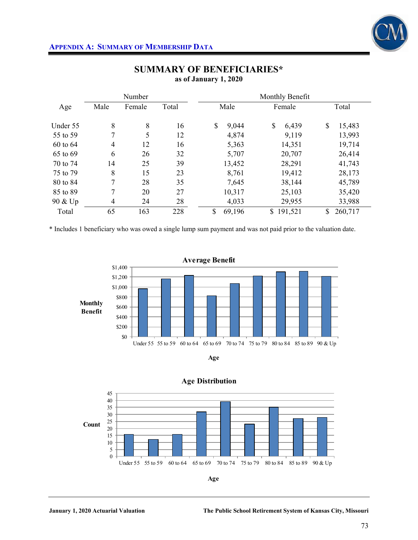

|          |                | Number |       |              | Monthly Benefit         |               |
|----------|----------------|--------|-------|--------------|-------------------------|---------------|
| Age      | Male           | Female | Total | Male         | Female                  | Total         |
| Under 55 | 8              | 8      | 16    | \$<br>9,044  | \$<br>6,439             | \$<br>15,483  |
| 55 to 59 | 7              | 5      | 12    | 4,874        | 9,119                   | 13,993        |
| 60 to 64 | $\overline{4}$ | 12     | 16    | 5,363        | 14,351                  | 19,714        |
| 65 to 69 | 6              | 26     | 32    | 5,707        | 20,707                  | 26,414        |
| 70 to 74 | 14             | 25     | 39    | 13,452       | 28,291                  | 41,743        |
| 75 to 79 | 8              | 15     | 23    | 8,761        | 19,412                  | 28,173        |
| 80 to 84 | 7              | 28     | 35    | 7,645        | 38,144                  | 45,789        |
| 85 to 89 | 7              | 20     | 27    | 10,317       | 25,103                  | 35,420        |
| 90 & Up  | $\overline{4}$ | 24     | 28    | 4,033        | 29,955                  | 33,988        |
| Total    | 65             | 163    | 228   | \$<br>69,196 | 191,521<br>$\mathbb{S}$ | 260,717<br>\$ |

# **SUMMARY OF BENEFICIARIES\* as of January 1, 2020**

\* Includes 1 beneficiary who was owed a single lump sum payment and was not paid prior to the valuation date.









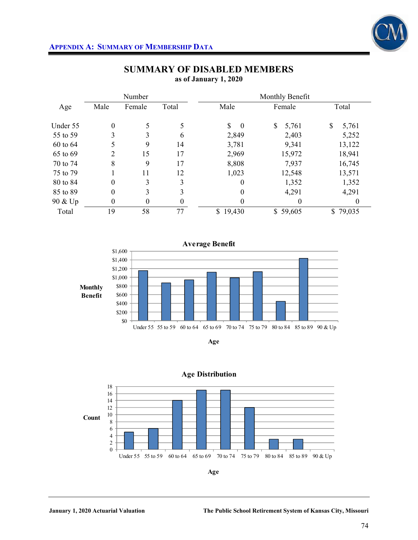

|          |                  | Number           |       |                | Monthly Benefit |             |
|----------|------------------|------------------|-------|----------------|-----------------|-------------|
| Age      | Male             | Female           | Total | Male           | Female          | Total       |
| Under 55 | $\boldsymbol{0}$ | 5                | 5     | \$<br>$\bf{0}$ | \$<br>5,761     | \$<br>5,761 |
| 55 to 59 | 3                | 3                | 6     | 2,849          | 2,403           | 5,252       |
| 60 to 64 | 5                | 9                | 14    | 3,781          | 9,341           | 13,122      |
| 65 to 69 | 2                | 15               | 17    | 2,969          | 15,972          | 18,941      |
| 70 to 74 | 8                | 9                | 17    | 8,808          | 7,937           | 16,745      |
| 75 to 79 |                  | 11               | 12    | 1,023          | 12,548          | 13,571      |
| 80 to 84 | $\overline{0}$   | 3                | 3     | $\theta$       | 1,352           | 1,352       |
| 85 to 89 | $\theta$         | 3                | 3     | $\theta$       | 4,291           | 4,291       |
| 90 & Up  | 0                | $\boldsymbol{0}$ | 0     | 0              | $\theta$        | 0           |
| Total    | 19               | 58               | 77    | \$19,430       | \$59,605        | \$79,035    |

# **SUMMARY OF DISABLED MEMBERS as of January 1, 2020**







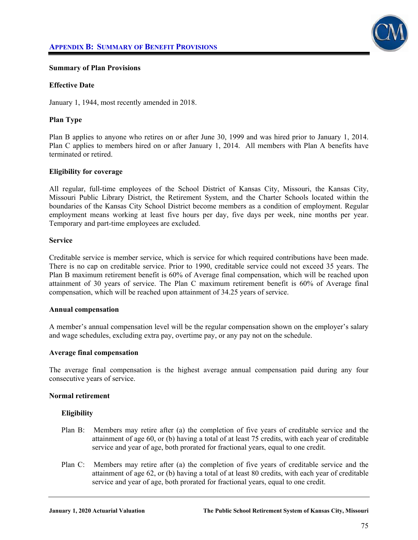

### **Summary of Plan Provisions**

### **Effective Date**

January 1, 1944, most recently amended in 2018.

### **Plan Type**

Plan B applies to anyone who retires on or after June 30, 1999 and was hired prior to January 1, 2014. Plan C applies to members hired on or after January 1, 2014. All members with Plan A benefits have terminated or retired.

### **Eligibility for coverage**

All regular, full-time employees of the School District of Kansas City, Missouri, the Kansas City, Missouri Public Library District, the Retirement System, and the Charter Schools located within the boundaries of the Kansas City School District become members as a condition of employment. Regular employment means working at least five hours per day, five days per week, nine months per year. Temporary and part-time employees are excluded.

#### **Service**

Creditable service is member service, which is service for which required contributions have been made. There is no cap on creditable service. Prior to 1990, creditable service could not exceed 35 years. The Plan B maximum retirement benefit is 60% of Average final compensation, which will be reached upon attainment of 30 years of service. The Plan C maximum retirement benefit is 60% of Average final compensation, which will be reached upon attainment of 34.25 years of service.

### **Annual compensation**

A member's annual compensation level will be the regular compensation shown on the employer's salary and wage schedules, excluding extra pay, overtime pay, or any pay not on the schedule.

### **Average final compensation**

The average final compensation is the highest average annual compensation paid during any four consecutive years of service.

### **Normal retirement**

### **Eligibility**

- Plan B: Members may retire after (a) the completion of five years of creditable service and the attainment of age 60, or (b) having a total of at least 75 credits, with each year of creditable service and year of age, both prorated for fractional years, equal to one credit.
- Plan C: Members may retire after (a) the completion of five years of creditable service and the attainment of age 62, or (b) having a total of at least 80 credits, with each year of creditable service and year of age, both prorated for fractional years, equal to one credit.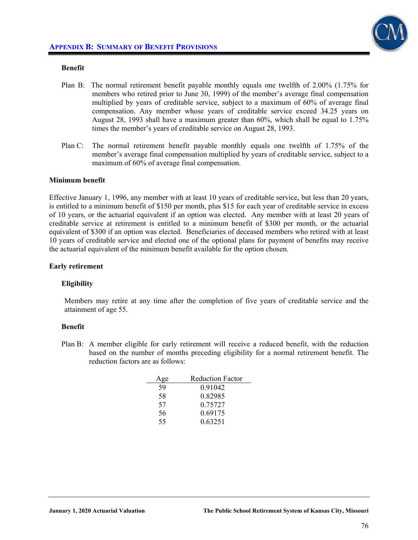

#### **Benefit**

- Plan B: The normal retirement benefit payable monthly equals one twelfth of 2.00% (1.75% for members who retired prior to June 30, 1999) of the member's average final compensation multiplied by years of creditable service, subject to a maximum of 60% of average final compensation. Any member whose years of creditable service exceed 34.25 years on August 28, 1993 shall have a maximum greater than 60%, which shall be equal to 1.75% times the member's years of creditable service on August 28, 1993.
- Plan C: The normal retirement benefit payable monthly equals one twelfth of 1.75% of the member's average final compensation multiplied by years of creditable service, subject to a maximum of 60% of average final compensation.

### **Minimum benefit**

Effective January 1, 1996, any member with at least 10 years of creditable service, but less than 20 years, is entitled to a minimum benefit of \$150 per month, plus \$15 for each year of creditable service in excess of 10 years, or the actuarial equivalent if an option was elected. Any member with at least 20 years of creditable service at retirement is entitled to a minimum benefit of \$300 per month, or the actuarial equivalent of \$300 if an option was elected. Beneficiaries of deceased members who retired with at least 10 years of creditable service and elected one of the optional plans for payment of benefits may receive the actuarial equivalent of the minimum benefit available for the option chosen.

#### **Early retirement**

#### **Eligibility**

Members may retire at any time after the completion of five years of creditable service and the attainment of age 55.

#### **Benefit**

Plan B: A member eligible for early retirement will receive a reduced benefit, with the reduction based on the number of months preceding eligibility for a normal retirement benefit. The reduction factors are as follows:

| Age | <b>Reduction Factor</b> |
|-----|-------------------------|
| 59  | 0.91042                 |
| 58  | 0.82985                 |
| 57  | 0.75727                 |
| 56  | 0.69175                 |
| 55  | 0.63251                 |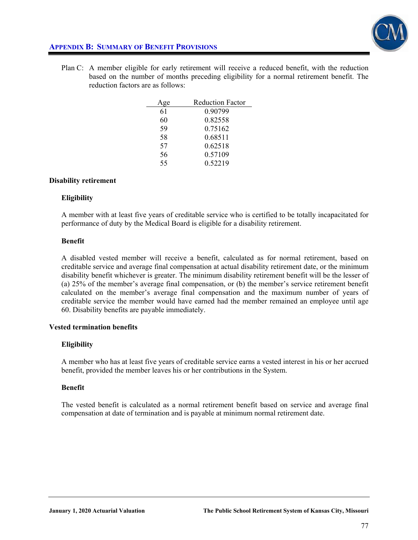

# **APPENDIX B: SUMMARY OF BENEFIT PROVISIONS**

Plan C: A member eligible for early retirement will receive a reduced benefit, with the reduction based on the number of months preceding eligibility for a normal retirement benefit. The reduction factors are as follows:

| ge | <b>Reduction Factor</b> |
|----|-------------------------|
| 61 | 0 90799                 |
| 60 | 0.82558                 |
| 59 | 0.75162                 |
| 58 | 0.68511                 |
| 57 | 0.62518                 |
| 56 | 0.57109                 |
| 55 | 0.52219                 |

### **Disability retirement**

## **Eligibility**

A member with at least five years of creditable service who is certified to be totally incapacitated for performance of duty by the Medical Board is eligible for a disability retirement.

## **Benefit**

A disabled vested member will receive a benefit, calculated as for normal retirement, based on creditable service and average final compensation at actual disability retirement date, or the minimum disability benefit whichever is greater. The minimum disability retirement benefit will be the lesser of (a) 25% of the member's average final compensation, or (b) the member's service retirement benefit calculated on the member's average final compensation and the maximum number of years of creditable service the member would have earned had the member remained an employee until age 60. Disability benefits are payable immediately.

# **Vested termination benefits**

# **Eligibility**

A member who has at least five years of creditable service earns a vested interest in his or her accrued benefit, provided the member leaves his or her contributions in the System.

# **Benefit**

The vested benefit is calculated as a normal retirement benefit based on service and average final compensation at date of termination and is payable at minimum normal retirement date.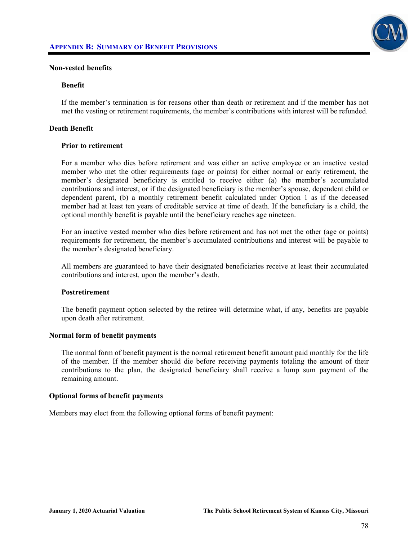

### **Non-vested benefits**

#### **Benefit**

If the member's termination is for reasons other than death or retirement and if the member has not met the vesting or retirement requirements, the member's contributions with interest will be refunded.

#### **Death Benefit**

#### **Prior to retirement**

For a member who dies before retirement and was either an active employee or an inactive vested member who met the other requirements (age or points) for either normal or early retirement, the member's designated beneficiary is entitled to receive either (a) the member's accumulated contributions and interest, or if the designated beneficiary is the member's spouse, dependent child or dependent parent, (b) a monthly retirement benefit calculated under Option 1 as if the deceased member had at least ten years of creditable service at time of death. If the beneficiary is a child, the optional monthly benefit is payable until the beneficiary reaches age nineteen.

 For an inactive vested member who dies before retirement and has not met the other (age or points) requirements for retirement, the member's accumulated contributions and interest will be payable to the member's designated beneficiary.

 All members are guaranteed to have their designated beneficiaries receive at least their accumulated contributions and interest, upon the member's death.

#### **Postretirement**

The benefit payment option selected by the retiree will determine what, if any, benefits are payable upon death after retirement.

#### **Normal form of benefit payments**

The normal form of benefit payment is the normal retirement benefit amount paid monthly for the life of the member. If the member should die before receiving payments totaling the amount of their contributions to the plan, the designated beneficiary shall receive a lump sum payment of the remaining amount.

#### **Optional forms of benefit payments**

Members may elect from the following optional forms of benefit payment: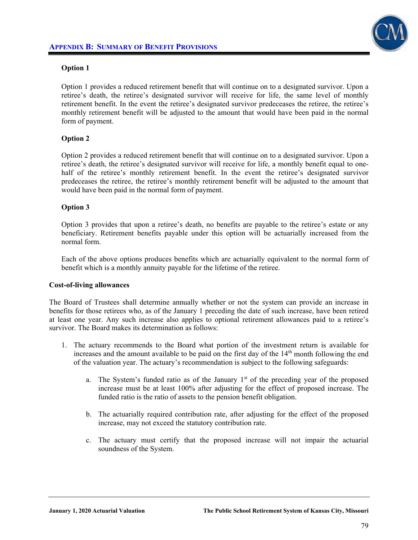

# **Option 1**

Option 1 provides a reduced retirement benefit that will continue on to a designated survivor. Upon a retiree's death, the retiree's designated survivor will receive for life, the same level of monthly retirement benefit. In the event the retiree's designated survivor predeceases the retiree, the retiree's monthly retirement benefit will be adjusted to the amount that would have been paid in the normal form of payment.

# **Option 2**

Option 2 provides a reduced retirement benefit that will continue on to a designated survivor. Upon a retiree's death, the retiree's designated survivor will receive for life, a monthly benefit equal to onehalf of the retiree's monthly retirement benefit. In the event the retiree's designated survivor predeceases the retiree, the retiree's monthly retirement benefit will be adjusted to the amount that would have been paid in the normal form of payment.

## **Option 3**

Option 3 provides that upon a retiree's death, no benefits are payable to the retiree's estate or any beneficiary. Retirement benefits payable under this option will be actuarially increased from the normal form.

 Each of the above options produces benefits which are actuarially equivalent to the normal form of benefit which is a monthly annuity payable for the lifetime of the retiree.

### **Cost-of-living allowances**

The Board of Trustees shall determine annually whether or not the system can provide an increase in benefits for those retirees who, as of the January 1 preceding the date of such increase, have been retired at least one year. Any such increase also applies to optional retirement allowances paid to a retiree's survivor. The Board makes its determination as follows:

- 1. The actuary recommends to the Board what portion of the investment return is available for increases and the amount available to be paid on the first day of the  $14<sup>th</sup>$  month following the end of the valuation year. The actuary's recommendation is subject to the following safeguards:
	- a. The System's funded ratio as of the January  $1<sup>st</sup>$  of the preceding year of the proposed increase must be at least 100% after adjusting for the effect of proposed increase. The funded ratio is the ratio of assets to the pension benefit obligation.
	- b. The actuarially required contribution rate, after adjusting for the effect of the proposed increase, may not exceed the statutory contribution rate.
	- c. The actuary must certify that the proposed increase will not impair the actuarial soundness of the System.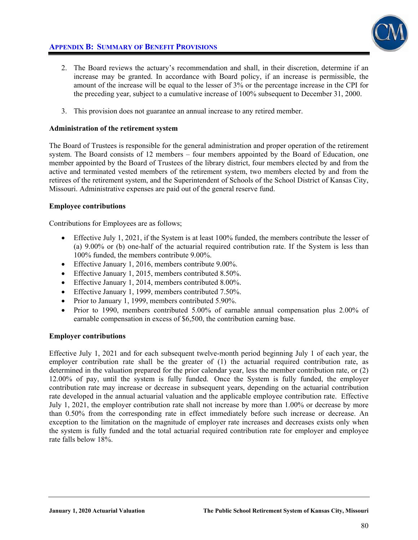# **APPENDIX B: SUMMARY OF BENEFIT PROVISIONS**



- 2. The Board reviews the actuary's recommendation and shall, in their discretion, determine if an increase may be granted. In accordance with Board policy, if an increase is permissible, the amount of the increase will be equal to the lesser of 3% or the percentage increase in the CPI for the preceding year, subject to a cumulative increase of 100% subsequent to December 31, 2000.
- 3. This provision does not guarantee an annual increase to any retired member.

# **Administration of the retirement system**

The Board of Trustees is responsible for the general administration and proper operation of the retirement system. The Board consists of 12 members – four members appointed by the Board of Education, one member appointed by the Board of Trustees of the library district, four members elected by and from the active and terminated vested members of the retirement system, two members elected by and from the retirees of the retirement system, and the Superintendent of Schools of the School District of Kansas City, Missouri. Administrative expenses are paid out of the general reserve fund.

# **Employee contributions**

Contributions for Employees are as follows;

- Effective July 1, 2021, if the System is at least 100% funded, the members contribute the lesser of (a) 9.00% or (b) one-half of the actuarial required contribution rate. If the System is less than 100% funded, the members contribute 9.00%.
- Effective January 1, 2016, members contribute 9.00%.
- Effective January 1, 2015, members contributed 8.50%.
- Effective January 1, 2014, members contributed 8.00%.
- Effective January 1, 1999, members contributed 7.50%.
- Prior to January 1, 1999, members contributed 5.90%.
- Prior to 1990, members contributed  $5.00\%$  of earnable annual compensation plus  $2.00\%$  of earnable compensation in excess of \$6,500, the contribution earning base.

# **Employer contributions**

Effective July 1, 2021 and for each subsequent twelve-month period beginning July 1 of each year, the employer contribution rate shall be the greater of (1) the actuarial required contribution rate, as determined in the valuation prepared for the prior calendar year, less the member contribution rate, or (2) 12.00% of pay, until the system is fully funded. Once the System is fully funded, the employer contribution rate may increase or decrease in subsequent years, depending on the actuarial contribution rate developed in the annual actuarial valuation and the applicable employee contribution rate. Effective July 1, 2021, the employer contribution rate shall not increase by more than 1.00% or decrease by more than 0.50% from the corresponding rate in effect immediately before such increase or decrease. An exception to the limitation on the magnitude of employer rate increases and decreases exists only when the system is fully funded and the total actuarial required contribution rate for employer and employee rate falls below 18%.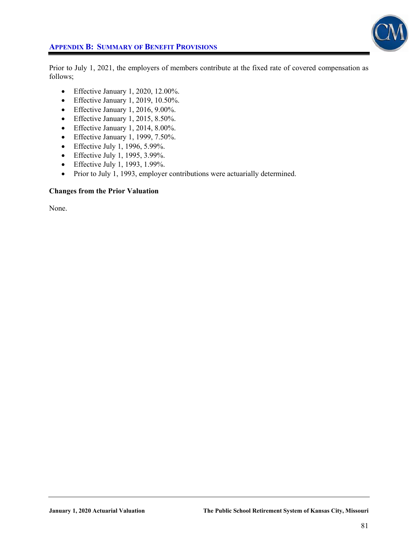

# **APPENDIX B: SUMMARY OF BENEFIT PROVISIONS**

Prior to July 1, 2021, the employers of members contribute at the fixed rate of covered compensation as follows;

- $\bullet$  Effective January 1, 2020, 12.00%.
- Effective January 1, 2019, 10.50%.
- $\bullet$  Effective January 1, 2016, 9.00%.
- Effective January 1, 2015, 8.50%.
- $\bullet$  Effective January 1, 2014, 8.00%.
- $\bullet$  Effective January 1, 1999, 7.50%.
- Effective July 1, 1996, 5.99%.
- Effective July 1, 1995, 3.99%.
- Effective July 1, 1993, 1.99%.
- Prior to July 1, 1993, employer contributions were actuarially determined.

### **Changes from the Prior Valuation**

None.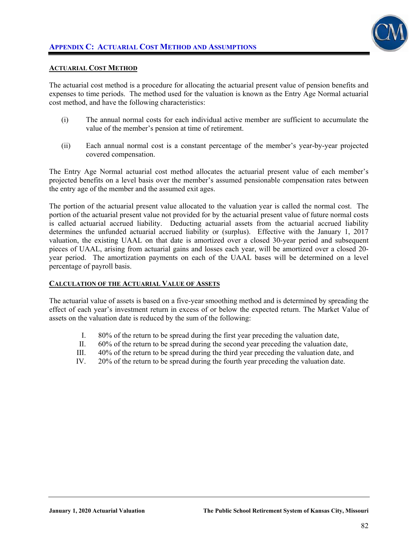

### **ACTUARIAL COST METHOD**

The actuarial cost method is a procedure for allocating the actuarial present value of pension benefits and expenses to time periods. The method used for the valuation is known as the Entry Age Normal actuarial cost method, and have the following characteristics:

- (i) The annual normal costs for each individual active member are sufficient to accumulate the value of the member's pension at time of retirement.
- (ii) Each annual normal cost is a constant percentage of the member's year-by-year projected covered compensation.

The Entry Age Normal actuarial cost method allocates the actuarial present value of each member's projected benefits on a level basis over the member's assumed pensionable compensation rates between the entry age of the member and the assumed exit ages.

The portion of the actuarial present value allocated to the valuation year is called the normal cost. The portion of the actuarial present value not provided for by the actuarial present value of future normal costs is called actuarial accrued liability. Deducting actuarial assets from the actuarial accrued liability determines the unfunded actuarial accrued liability or (surplus). Effective with the January 1, 2017 valuation, the existing UAAL on that date is amortized over a closed 30-year period and subsequent pieces of UAAL, arising from actuarial gains and losses each year, will be amortized over a closed 20 year period. The amortization payments on each of the UAAL bases will be determined on a level percentage of payroll basis.

### **CALCULATION OF THE ACTUARIAL VALUE OF ASSETS**

The actuarial value of assets is based on a five-year smoothing method and is determined by spreading the effect of each year's investment return in excess of or below the expected return. The Market Value of assets on the valuation date is reduced by the sum of the following:

- I. 80% of the return to be spread during the first year preceding the valuation date,
- II. 60% of the return to be spread during the second year preceding the valuation date,
- III. 40% of the return to be spread during the third year preceding the valuation date, and
- IV. 20% of the return to be spread during the fourth year preceding the valuation date.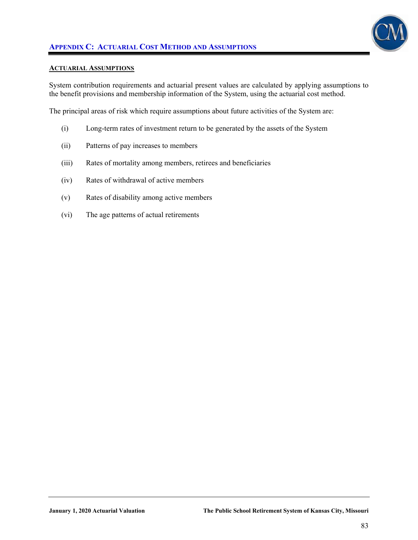

#### **ACTUARIAL ASSUMPTIONS**

System contribution requirements and actuarial present values are calculated by applying assumptions to the benefit provisions and membership information of the System, using the actuarial cost method.

The principal areas of risk which require assumptions about future activities of the System are:

- (i) Long-term rates of investment return to be generated by the assets of the System
- (ii) Patterns of pay increases to members
- (iii) Rates of mortality among members, retirees and beneficiaries
- (iv) Rates of withdrawal of active members
- (v) Rates of disability among active members
- (vi) The age patterns of actual retirements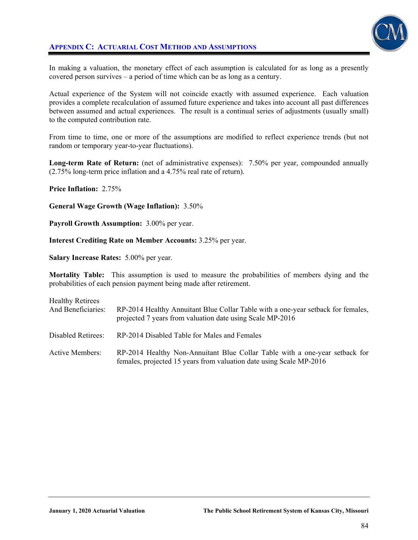# **APPENDIX C: ACTUARIAL COST METHOD AND ASSUMPTIONS**



In making a valuation, the monetary effect of each assumption is calculated for as long as a presently covered person survives – a period of time which can be as long as a century.

Actual experience of the System will not coincide exactly with assumed experience. Each valuation provides a complete recalculation of assumed future experience and takes into account all past differences between assumed and actual experiences. The result is a continual series of adjustments (usually small) to the computed contribution rate.

From time to time, one or more of the assumptions are modified to reflect experience trends (but not random or temporary year-to-year fluctuations).

**Long-term Rate of Return:** (net of administrative expenses): 7.50% per year, compounded annually (2.75% long-term price inflation and a 4.75% real rate of return).

**Price Inflation:** 2.75%

**General Wage Growth (Wage Inflation):** 3.50%

**Payroll Growth Assumption:** 3.00% per year.

**Interest Crediting Rate on Member Accounts:** 3.25% per year.

**Salary Increase Rates:** 5.00% per year.

**Mortality Table:** This assumption is used to measure the probabilities of members dying and the probabilities of each pension payment being made after retirement.

| <b>Healthy Retirees</b><br>And Beneficiaries: | RP-2014 Healthy Annuitant Blue Collar Table with a one-year setback for females,<br>projected 7 years from valuation date using Scale MP-2016      |
|-----------------------------------------------|----------------------------------------------------------------------------------------------------------------------------------------------------|
| Disabled Retirees:                            | RP-2014 Disabled Table for Males and Females                                                                                                       |
| Active Members:                               | RP-2014 Healthy Non-Annuitant Blue Collar Table with a one-year setback for<br>females, projected 15 years from valuation date using Scale MP-2016 |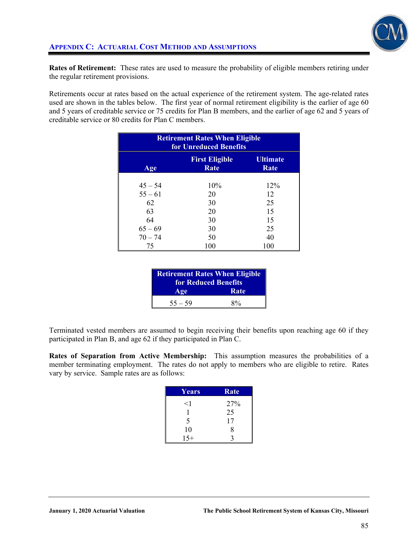

**Rates of Retirement:** These rates are used to measure the probability of eligible members retiring under the regular retirement provisions.

Retirements occur at rates based on the actual experience of the retirement system. The age-related rates used are shown in the tables below. The first year of normal retirement eligibility is the earlier of age 60 and 5 years of creditable service or 75 credits for Plan B members, and the earlier of age 62 and 5 years of creditable service or 80 credits for Plan C members.

| <b>Retirement Rates When Eligible</b><br>for Unreduced Benefits |     |     |  |  |
|-----------------------------------------------------------------|-----|-----|--|--|
| <b>Ultimate</b><br><b>First Eligible</b><br>Rate<br>Rate<br>Age |     |     |  |  |
| $45 - 54$                                                       | 10% | 12% |  |  |
| $55 - 61$                                                       | 20  | 12  |  |  |
| 62                                                              | 30  | 25  |  |  |
| 63                                                              | 20  | 15  |  |  |
| 64                                                              | 30  | 15  |  |  |
| $65 - 69$                                                       | 30  | 25  |  |  |
| $70 - 74$                                                       | 50  | 40  |  |  |
| 75                                                              | 100 | 100 |  |  |

| <b>Retirement Rates When Eligible</b><br>for Reduced Benefits |       |  |
|---------------------------------------------------------------|-------|--|
| Age                                                           | Rate  |  |
| $55 - 59$                                                     | $8\%$ |  |

Terminated vested members are assumed to begin receiving their benefits upon reaching age 60 if they participated in Plan B, and age 62 if they participated in Plan C.

**Rates of Separation from Active Membership:** This assumption measures the probabilities of a member terminating employment. The rates do not apply to members who are eligible to retire. Rates vary by service. Sample rates are as follows:

| <b>Years</b> | Rate |
|--------------|------|
| $<$ 1        | 27%  |
|              | 25   |
| 5            | 17   |
| 10           | 8    |
| $15+$        |      |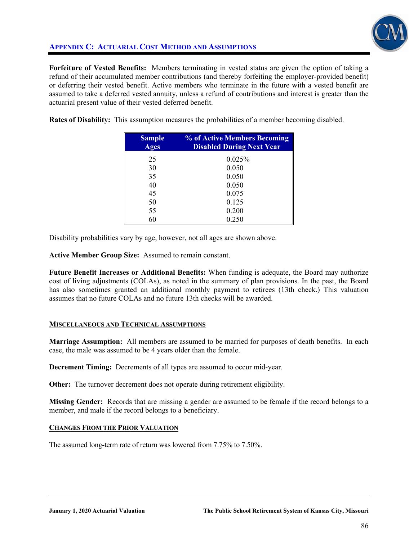

# **APPENDIX C: ACTUARIAL COST METHOD AND ASSUMPTIONS**

**Forfeiture of Vested Benefits:** Members terminating in vested status are given the option of taking a refund of their accumulated member contributions (and thereby forfeiting the employer-provided benefit) or deferring their vested benefit. Active members who terminate in the future with a vested benefit are assumed to take a deferred vested annuity, unless a refund of contributions and interest is greater than the actuarial present value of their vested deferred benefit.

**Rates of Disability:** This assumption measures the probabilities of a member becoming disabled.

| <b>Sample</b><br><b>Ages</b> | % of Active Members Becoming<br><b>Disabled During Next Year</b> |
|------------------------------|------------------------------------------------------------------|
| 25                           | 0.025%                                                           |
| 30                           | 0.050                                                            |
| 35                           | 0.050                                                            |
| 40                           | 0.050                                                            |
| 45                           | 0.075                                                            |
| 50                           | 0.125                                                            |
| 55                           | 0.200                                                            |
| 60                           | 0.250                                                            |

Disability probabilities vary by age, however, not all ages are shown above.

**Active Member Group Size:** Assumed to remain constant.

**Future Benefit Increases or Additional Benefits:** When funding is adequate, the Board may authorize cost of living adjustments (COLAs), as noted in the summary of plan provisions. In the past, the Board has also sometimes granted an additional monthly payment to retirees (13th check.) This valuation assumes that no future COLAs and no future 13th checks will be awarded.

# **MISCELLANEOUS AND TECHNICAL ASSUMPTIONS**

**Marriage Assumption:** All members are assumed to be married for purposes of death benefits. In each case, the male was assumed to be 4 years older than the female.

**Decrement Timing:** Decrements of all types are assumed to occur mid-year.

**Other:** The turnover decrement does not operate during retirement eligibility.

**Missing Gender:** Records that are missing a gender are assumed to be female if the record belongs to a member, and male if the record belongs to a beneficiary.

# **CHANGES FROM THE PRIOR VALUATION**

The assumed long-term rate of return was lowered from 7.75% to 7.50%.